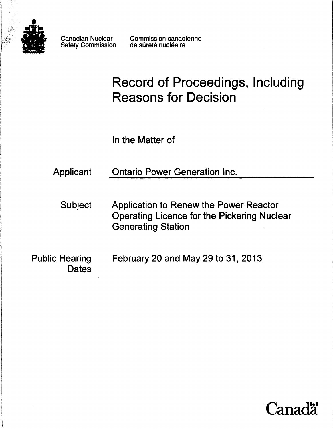

Safety Commission

Canadian Nuclear Commission canadienne<br>Safety Commission de sûreté nucléaire

# Record of Proceedings, Including Reasons for Decision

In the Matter of

Applicant Ontario Power Generation Inc.

Subject Application to Renew the Power Reactor Operating Licence for the Pickering Nuclear Generating Station

Public Hearing February 20 and May 29 to 31, 2013 **Dates** 

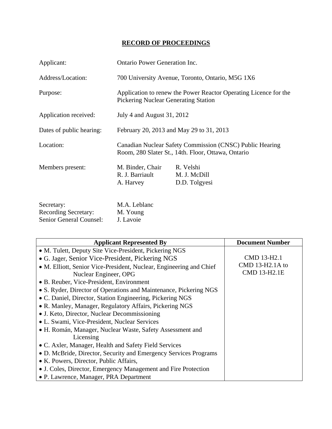# **RECORD OF PROCEEDINGS**

| Applicant:                               | <b>Ontario Power Generation Inc.</b>                                                                            |                                            |  |
|------------------------------------------|-----------------------------------------------------------------------------------------------------------------|--------------------------------------------|--|
| Address/Location:                        | 700 University Avenue, Toronto, Ontario, M5G 1X6                                                                |                                            |  |
| Purpose:                                 | Application to renew the Power Reactor Operating Licence for the<br><b>Pickering Nuclear Generating Station</b> |                                            |  |
| Application received:                    | July 4 and August 31, 2012                                                                                      |                                            |  |
| Dates of public hearing:                 | February 20, 2013 and May 29 to 31, 2013                                                                        |                                            |  |
| Location:                                | Canadian Nuclear Safety Commission (CNSC) Public Hearing<br>Room, 280 Slater St., 14th. Floor, Ottawa, Ontario  |                                            |  |
| Members present:                         | M. Binder, Chair<br>R. J. Barriault<br>A. Harvey                                                                | R. Velshi<br>M. J. McDill<br>D.D. Tolgyesi |  |
| Secretary:<br>$D$ coording $C$ constants | M.A. Leblanc<br>$M$ $V_{\alpha}$                                                                                |                                            |  |

| <b>Recording Secretary:</b>    | M. Young  |
|--------------------------------|-----------|
| <b>Senior General Counsel:</b> | J. Lavoie |

| <b>Applicant Represented By</b>                                     | <b>Document Number</b> |
|---------------------------------------------------------------------|------------------------|
| • M. Tulett, Deputy Site Vice-President, Pickering NGS              |                        |
| • G. Jager, Senior Vice-President, Pickering NGS                    | CMD 13-H2.1            |
| • M. Elliott, Senior Vice-President, Nuclear, Engineering and Chief | CMD 13-H2.1A to        |
| Nuclear Engineer, OPG                                               | CMD 13-H2.1E           |
| • B. Reuber, Vice-President, Environment                            |                        |
| • S. Ryder, Director of Operations and Maintenance, Pickering NGS   |                        |
| • C. Daniel, Director, Station Engineering, Pickering NGS           |                        |
| • R. Manley, Manager, Regulatory Affairs, Pickering NGS             |                        |
| • J. Keto, Director, Nuclear Decommissioning                        |                        |
| • L. Swami, Vice-President, Nuclear Services                        |                        |
| • H. Román, Manager, Nuclear Waste, Safety Assessment and           |                        |
| Licensing                                                           |                        |
| • C. Axler, Manager, Health and Safety Field Services               |                        |
| • D. McBride, Director, Security and Emergency Services Programs    |                        |
| • K. Powers, Director, Public Affairs,                              |                        |
| • J. Coles, Director, Emergency Management and Fire Protection      |                        |
| • P. Lawrence, Manager, PRA Department                              |                        |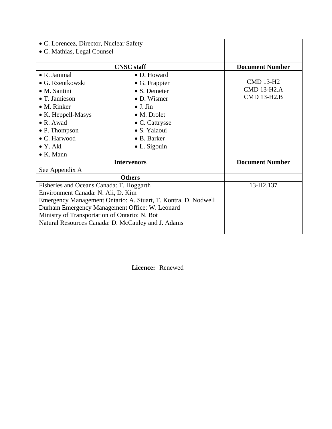| • C. Lorencez, Director, Nuclear Safety                                                                                                                                                                                                                                                                   |                                                                                                                                          |                                                              |
|-----------------------------------------------------------------------------------------------------------------------------------------------------------------------------------------------------------------------------------------------------------------------------------------------------------|------------------------------------------------------------------------------------------------------------------------------------------|--------------------------------------------------------------|
| • C. Mathias, Legal Counsel                                                                                                                                                                                                                                                                               |                                                                                                                                          |                                                              |
|                                                                                                                                                                                                                                                                                                           |                                                                                                                                          |                                                              |
| <b>CNSC</b> staff                                                                                                                                                                                                                                                                                         |                                                                                                                                          | <b>Document Number</b>                                       |
| • R. Jammal<br>• G. Rzentkowski<br>$\bullet$ M. Santini<br>$\bullet$ T. Jamieson<br>$\bullet$ M. Rinker<br>• K. Heppell-Masys<br>$\bullet$ R. Awad                                                                                                                                                        | • D. Howard<br>$\bullet$ G. Frappier<br>$\bullet$ S. Demeter<br>• D. Wismer<br>$\bullet$ J. Jin<br>$\bullet$ M. Drolet<br>• C. Cattrysse | <b>CMD 13-H2</b><br><b>CMD 13-H2.A</b><br><b>CMD 13-H2.B</b> |
| • P. Thompson                                                                                                                                                                                                                                                                                             | • S. Yalaoui                                                                                                                             |                                                              |
| • C. Harwood<br>$\bullet$ Y. Akl<br>$\bullet$ K. Mann                                                                                                                                                                                                                                                     | • B. Barker<br>$\bullet$ L. Sigouin                                                                                                      |                                                              |
| <b>Intervenors</b>                                                                                                                                                                                                                                                                                        |                                                                                                                                          | <b>Document Number</b>                                       |
| See Appendix A                                                                                                                                                                                                                                                                                            |                                                                                                                                          |                                                              |
| <b>Others</b>                                                                                                                                                                                                                                                                                             |                                                                                                                                          |                                                              |
| Fisheries and Oceans Canada: T. Hoggarth<br>Environment Canada: N. Ali, D. Kim<br>Emergency Management Ontario: A. Stuart, T. Kontra, D. Nodwell<br>Durham Emergency Management Office: W. Leonard<br>Ministry of Transportation of Ontario: N. Bot<br>Natural Resources Canada: D. McCauley and J. Adams |                                                                                                                                          | 13-H2.137                                                    |

**Licence:** Renewed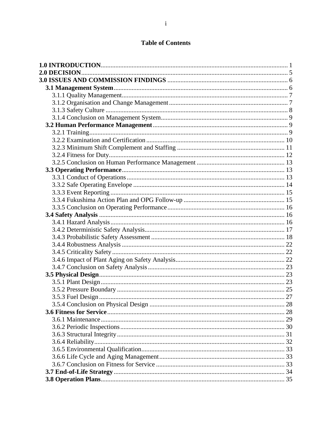# **Table of Contents**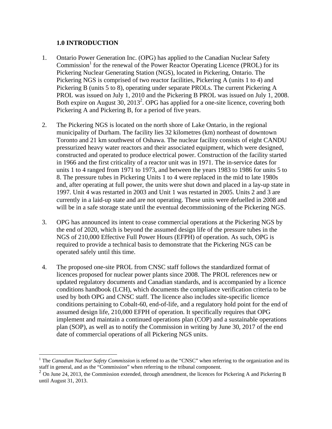#### **1.0 INTRODUCTION**

- 1. Ontario Power Generation Inc. (OPG) has applied to the Canadian Nuclear Safety Commission<sup>1</sup> for the renewal of the Power Reactor Operating Licence (PROL) for its Pickering Nuclear Generating Station (NGS), located in Pickering, Ontario. The Pickering NGS is comprised of two reactor facilities, Pickering A (units 1 to 4) and Pickering B (units 5 to 8), operating under separate PROLs. The current Pickering A PROL was issued on July 1, 2010 and the Pickering B PROL was issued on July 1, 2008. Both expire on August  $30$ ,  $2013^2$ . OPG has applied for a one-site licence, covering both Pickering A and Pickering B, for a period of five years.
- 2. The Pickering NGS is located on the north shore of Lake Ontario, in the regional municipality of Durham. The facility lies 32 kilometres (km) northeast of downtown Toronto and 21 km southwest of Oshawa. The nuclear facility consists of eight CANDU pressurized heavy water reactors and their associated equipment, which were designed, constructed and operated to produce electrical power. Construction of the facility started in 1966 and the first criticality of a reactor unit was in 1971. The in-service dates for units 1 to 4 ranged from 1971 to 1973, and between the years 1983 to 1986 for units 5 to 8. The pressure tubes in Pickering Units 1 to 4 were replaced in the mid to late 1980s and, after operating at full power, the units were shut down and placed in a lay-up state in 1997. Unit 4 was restarted in 2003 and Unit 1 was restarted in 2005. Units 2 and 3 are currently in a laid-up state and are not operating. These units were defuelled in 2008 and will be in a safe storage state until the eventual decommissioning of the Pickering NGS.
- 3. OPG has announced its intent to cease commercial operations at the Pickering NGS by the end of 2020, which is beyond the assumed design life of the pressure tubes in the NGS of 210,000 Effective Full Power Hours (EFPH) of operation. As such, OPG is required to provide a technical basis to demonstrate that the Pickering NGS can be operated safely until this time.
- 4. The proposed one-site PROL from CNSC staff follows the standardized format of licences proposed for nuclear power plants since 2008. The PROL references new or updated regulatory documents and Canadian standards, and is accompanied by a licence conditions handbook (LCH), which documents the compliance verification criteria to be used by both OPG and CNSC staff. The licence also includes site-specific licence conditions pertaining to Cobalt-60, end-of-life, and a regulatory hold point for the end of assumed design life, 210,000 EFPH of operation. It specifically requires that OPG implement and maintain a continued operations plan (COP) and a sustainable operations plan (SOP), as well as to notify the Commission in writing by June 30, 2017 of the end date of commercial operations of all Pickering NGS units.

<sup>1</sup> <sup>1</sup> The *Canadian Nuclear Safety Commission* is referred to as the "CNSC" when referring to the organization and its staff in general, and as the "Commission" when referring to the tribunal component.

<sup>&</sup>lt;sup>2</sup> On June 24, 2013, the Commission extended, through amendment, the licences for Pickering A and Pickering B until August 31, 2013.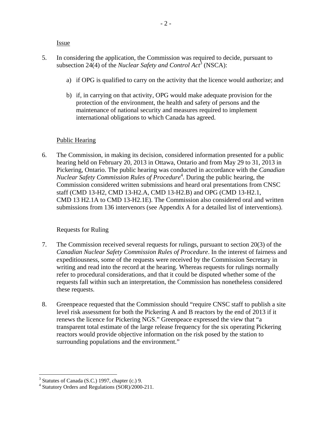**Issue** 

- 5. In considering the application, the Commission was required to decide, pursuant to subsection 24(4) of the *Nuclear Safety and Control Act*<sup>3</sup> (NSCA):
	- a) if OPG is qualified to carry on the activity that the licence would authorize; and
	- b) if, in carrying on that activity, OPG would make adequate provision for the protection of the environment, the health and safety of persons and the maintenance of national security and measures required to implement international obligations to which Canada has agreed.

#### Public Hearing

6. The Commission, in making its decision, considered information presented for a public hearing held on February 20, 2013 in Ottawa, Ontario and from May 29 to 31, 2013 in Pickering, Ontario. The public hearing was conducted in accordance with the *Canadian*  Nuclear Safety Commission Rules of Procedure<sup>4</sup>. During the public hearing, the Commission considered written submissions and heard oral presentations from CNSC staff (CMD 13-H2, CMD 13-H2.A, CMD 13-H2.B) and OPG (CMD 13-H2.1, CMD 13 H2.1A to CMD 13-H2.1E). The Commission also considered oral and written submissions from 136 intervenors (see Appendix A for a detailed list of interventions).

#### Requests for Ruling

- 7. The Commission received several requests for rulings, pursuant to section 20(3) of the *Canadian Nuclear Safety Commission Rules of Procedure*. In the interest of fairness and expeditiousness, some of the requests were received by the Commission Secretary in writing and read into the record at the hearing. Whereas requests for rulings normally refer to procedural considerations, and that it could be disputed whether some of the requests fall within such an interpretation, the Commission has nonetheless considered these requests.
- 8. Greenpeace requested that the Commission should "require CNSC staff to publish a site level risk assessment for both the Pickering A and B reactors by the end of 2013 if it renews the licence for Pickering NGS." Greenpeace expressed the view that "a transparent total estimate of the large release frequency for the six operating Pickering reactors would provide objective information on the risk posed by the station to surrounding populations and the environment."

 $3$  Statutes of Canada (S.C.) 1997, chapter (c.) 9.

<sup>4</sup> Statutory Orders and Regulations (SOR)/2000-211.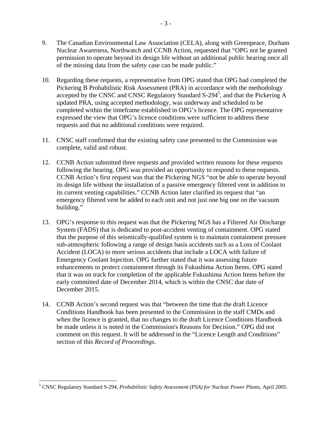- 9. The Canadian Environmental Law Association (CELA), along with Greenpeace, Durham Nuclear Awareness, Northwatch and CCNB Action, requested that "OPG not be granted permission to operate beyond its design life without an additional public hearing once all of the missing data from the safety case can be made public."
- 10. Regarding these requests, a representative from OPG stated that OPG had completed the Pickering B Probabilistic Risk Assessment (PRA) in accordance with the methodology accepted by the CNSC and CNSC Regulatory Standard  $S-294^5$ , and that the Pickering A updated PRA, using accepted methodology, was underway and scheduled to be completed within the timeframe established in OPG's licence. The OPG representative expressed the view that OPG's licence conditions were sufficient to address these requests and that no additional conditions were required.
- 11. CNSC staff confirmed that the existing safety case presented to the Commission was complete, valid and robust.
- 12. CCNB Action submitted three requests and provided written reasons for these requests following the hearing. OPG was provided an opportunity to respond to these requests. CCNB Action's first request was that the Pickering NGS "not be able to operate beyond its design life without the installation of a passive emergency filtered vent in addition to its current venting capabilities." CCNB Action later clarified its request that "an emergency filtered vent be added to each unit and not just one big one on the vacuum building."
- 13. OPG's response to this request was that the Pickering NGS has a Filtered Air Discharge System (FADS) that is dedicated to post-accident venting of containment. OPG stated that the purpose of this seismically-qualified system is to maintain containment pressure sub-atmospheric following a range of design basis accidents such as a Loss of Coolant Accident (LOCA) to more serious accidents that include a LOCA with failure of Emergency Coolant Injection. OPG further stated that it was assessing future enhancements to protect containment through its Fukushima Action Items. OPG stated that it was on track for completion of the applicable Fukushima Action Items before the early committed date of December 2014, which is within the CNSC due date of December 2015.
- 14. CCNB Action's second request was that "between the time that the draft Licence Conditions Handbook has been presented to the Commission in the staff CMDs and when the licence is granted, that no changes to the draft Licence Conditions Handbook be made unless it is noted in the Commission's Reasons for Decision." OPG did not comment on this request. It will be addressed in the "Licence Length and Conditions" section of this *Record of Proceedings*.

<u>.</u>

<sup>5</sup> CNSC Regulatory Standard S-294, *Probabilistic Safety Assessment (PSA) for Nuclear Power Plants*, April 2005.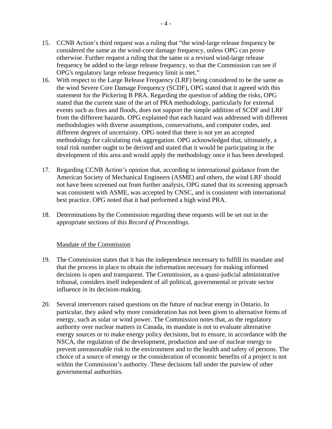- 15. CCNB Action's third request was a ruling that "the wind-large release frequency be considered the same as the wind-core damage frequency, unless OPG can prove otherwise. Further request a ruling that the same or a revised wind-large release frequency be added to the large release frequency, so that the Commission can see if OPG's regulatory large release frequency limit is met."
- 16. With respect to the Large Release Frequency (LRF) being considered to be the same as the wind Severe Core Damage Frequency (SCDF), OPG stated that it agreed with this statement for the Pickering B PRA. Regarding the question of adding the risks, OPG stated that the current state of the art of PRA methodology, particularly for external events such as fires and floods, does not support the simple addition of SCDF and LRF from the different hazards. OPG explained that each hazard was addressed with different methodologies with diverse assumptions, conservatisms, and computer codes, and different degrees of uncertainty. OPG noted that there is not yet an accepted methodology for calculating risk aggregation. OPG acknowledged that, ultimately, a total risk number ought to be derived and stated that it would be participating in the development of this area and would apply the methodology once it has been developed.
- 17. Regarding CCNB Action's opinion that, according to international guidance from the American Society of Mechanical Engineers (ASME) and others, the wind LRF should not have been screened out from further analysis, OPG stated that its screening approach was consistent with ASME, was accepted by CNSC, and is consistent with international best practice. OPG noted that it had performed a high wind PRA.
- 18. Determinations by the Commission regarding these requests will be set out in the appropriate sections of this *Record of Proceedings*.

#### Mandate of the Commission

- 19. The Commission states that it has the independence necessary to fulfill its mandate and that the process in place to obtain the information necessary for making informed decisions is open and transparent. The Commission, as a quasi-judicial administrative tribunal, considers itself independent of all political, governmental or private sector influence in its decision-making.
- 20. Several intervenors raised questions on the future of nuclear energy in Ontario. In particular, they asked why more consideration has not been given to alternative forms of energy, such as solar or wind power. The Commission notes that, as the regulatory authority over nuclear matters in Canada, its mandate is not to evaluate alternative energy sources or to make energy policy decisions, but to ensure, in accordance with the NSCA, the regulation of the development, production and use of nuclear energy to prevent unreasonable risk to the environment and to the health and safety of persons. The choice of a source of energy or the consideration of economic benefits of a project is not within the Commission's authority. These decisions fall under the purview of other governmental authorities.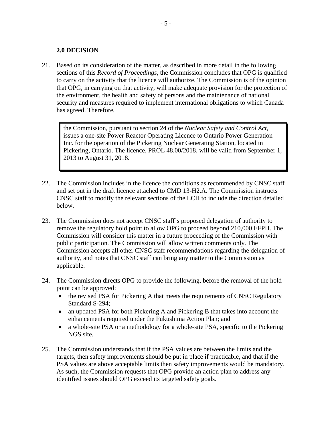#### **2.0 DECISION**

21. Based on its consideration of the matter, as described in more detail in the following sections of this *Record of Proceedings*, the Commission concludes that OPG is qualified to carry on the activity that the licence will authorize. The Commission is of the opinion that OPG, in carrying on that activity, will make adequate provision for the protection of the environment, the health and safety of persons and the maintenance of national security and measures required to implement international obligations to which Canada has agreed. Therefore,

the Commission, pursuant to section 24 of the *Nuclear Safety and Control Act*, issues a one-site Power Reactor Operating Licence to Ontario Power Generation Inc. for the operation of the Pickering Nuclear Generating Station, located in Pickering, Ontario. The licence, PROL 48.00/2018, will be valid from September 1, 2013 to August 31, 2018.

- 22. The Commission includes in the licence the conditions as recommended by CNSC staff and set out in the draft licence attached to CMD 13-H2.A. The Commission instructs CNSC staff to modify the relevant sections of the LCH to include the direction detailed below.
- 23. The Commission does not accept CNSC staff's proposed delegation of authority to remove the regulatory hold point to allow OPG to proceed beyond 210,000 EFPH. The Commission will consider this matter in a future proceeding of the Commission with public participation. The Commission will allow written comments only. The Commission accepts all other CNSC staff recommendations regarding the delegation of authority, and notes that CNSC staff can bring any matter to the Commission as applicable.
- 24. The Commission directs OPG to provide the following, before the removal of the hold point can be approved:
	- the revised PSA for Pickering A that meets the requirements of CNSC Regulatory Standard S-294;
	- an updated PSA for both Pickering A and Pickering B that takes into account the enhancements required under the Fukushima Action Plan; and
	- a whole-site PSA or a methodology for a whole-site PSA, specific to the Pickering NGS site.
- 25. The Commission understands that if the PSA values are between the limits and the targets, then safety improvements should be put in place if practicable, and that if the PSA values are above acceptable limits then safety improvements would be mandatory. As such, the Commission requests that OPG provide an action plan to address any identified issues should OPG exceed its targeted safety goals.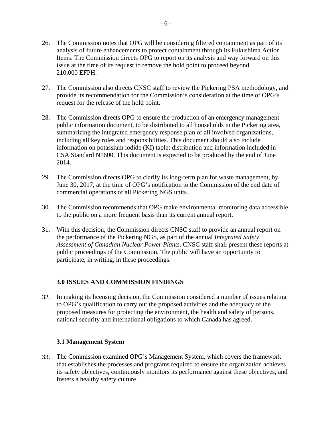- 26. The Commission notes that OPG will be considering filtered containment as part of its analysis of future enhancements to protect containment through its Fukushima Action Items. The Commission directs OPG to report on its analysis and way forward on this issue at the time of its request to remove the hold point to proceed beyond 210,000 EFPH.
- 27. The Commission also directs CNSC staff to review the Pickering PSA methodology, and provide its recommendation for the Commission's consideration at the time of OPG's request for the release of the hold point.
- 28. The Commission directs OPG to ensure the production of an emergency management public information document, to be distributed to all households in the Pickering area, summarizing the integrated emergency response plan of all involved organizations, including all key roles and responsibilities. This document should also include information on potassium iodide (KI) tablet distribution and information included in CSA Standard N1600. This document is expected to be produced by the end of June 2014.
- 29. The Commission directs OPG to clarify its long-term plan for waste management, by June 30, 2017, at the time of OPG's notification to the Commission of the end date of commercial operations of all Pickering NGS units.
- 30. The Commission recommends that OPG make environmental monitoring data accessible to the public on a more frequent basis than its current annual report.
- 31. With this decision, the Commission directs CNSC staff to provide an annual report on the performance of the Pickering NGS, as part of the annual *Integrated Safety Assessment of Canadian Nuclear Power Plants*. CNSC staff shall present these reports at public proceedings of the Commission. The public will have an opportunity to participate, in writing, in these proceedings.

# **3.0 ISSUES AND COMMISSION FINDINGS**

32. In making its licensing decision, the Commission considered a number of issues relating to OPG's qualification to carry out the proposed activities and the adequacy of the proposed measures for protecting the environment, the health and safety of persons, national security and international obligations to which Canada has agreed.

#### **3.1 Management System**

33. The Commission examined OPG's Management System, which covers the framework that establishes the processes and programs required to ensure the organization achieves its safety objectives, continuously monitors its performance against these objectives, and fosters a healthy safety culture.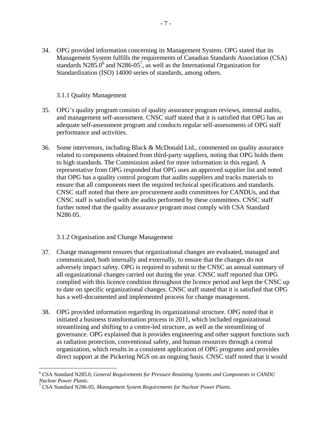34. OPG provided information concerning its Management System. OPG stated that its Management System fulfills the requirements of Canadian Standards Association (CSA) standards N285.0<sup>6</sup> and N286-05<sup>7</sup>, as well as the International Organization for Standardization (ISO) 14000 series of standards, among others.

#### 3.1.1 Quality Management

- 35. OPG's quality program consists of quality assurance program reviews, internal audits, and management self-assessment. CNSC staff stated that it is satisfied that OPG has an adequate self-assessment program and conducts regular self-assessments of OPG staff performance and activities.
- 36. Some intervenors, including Black & McDonald Ltd., commented on quality assurance related to components obtained from third-party suppliers, noting that OPG holds them to high standards. The Commission asked for more information in this regard. A representative from OPG responded that OPG uses an approved supplier list and noted that OPG has a quality control program that audits suppliers and tracks materials to ensure that all components meet the required technical specifications and standards. CNSC staff noted that there are procurement audit committees for CANDUs, and that CNSC staff is satisfied with the audits performed by these committees. CNSC staff further noted that the quality assurance program must comply with CSA Standard N286 05.

# 3.1.2 Organisation and Change Management

- 37. Change management ensures that organizational changes are evaluated, managed and communicated, both internally and externally, to ensure that the changes do not adversely impact safety. OPG is required to submit to the CNSC an annual summary of all organizational changes carried out during the year. CNSC staff reported that OPG complied with this licence condition throughout the licence period and kept the CNSC up to date on specific organizational changes. CNSC staff stated that it is satisfied that OPG has a well-documented and implemented process for change management.
- 38. OPG provided information regarding its organizational structure. OPG noted that it initiated a business transformation process in 2011, which included organizational streamlining and shifting to a centre-led structure, as well as the streamlining of governance. OPG explained that it provides engineering and other support functions such as radiation protection, conventional safety, and human resources through a central organization, which results in a consistent application of OPG programs and provides direct support at the Pickering NGS on an ongoing basis. CNSC staff noted that it would

 $\overline{a}$ 6 CSA Standard N285.0, *General Requirements for Pressure Retaining Systems and Components in CANDU Nuclear Power Plants*. 7

CSA Standard N286-05, *Management System Requirements for Nuclear Power Plants.*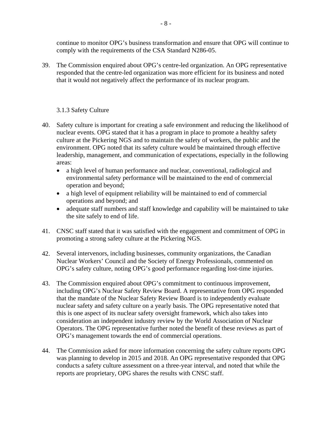continue to monitor OPG's business transformation and ensure that OPG will continue to comply with the requirements of the CSA Standard N286-05.

39. The Commission enquired about OPG's centre-led organization. An OPG representative responded that the centre-led organization was more efficient for its business and noted that it would not negatively affect the performance of its nuclear program.

# 3.1.3 Safety Culture

- 40. Safety culture is important for creating a safe environment and reducing the likelihood of nuclear events. OPG stated that it has a program in place to promote a healthy safety culture at the Pickering NGS and to maintain the safety of workers, the public and the environment. OPG noted that its safety culture would be maintained through effective leadership, management, and communication of expectations, especially in the following areas:
	- a high level of human performance and nuclear, conventional, radiological and environmental safety performance will be maintained to the end of commercial operation and beyond;
	- a high level of equipment reliability will be maintained to end of commercial operations and beyond; and
	- adequate staff numbers and staff knowledge and capability will be maintained to take the site safely to end of life.
- 41. CNSC staff stated that it was satisfied with the engagement and commitment of OPG in promoting a strong safety culture at the Pickering NGS.
- 42. Several intervenors, including businesses, community organizations, the Canadian Nuclear Workers' Council and the Society of Energy Professionals, commented on OPG's safety culture, noting OPG's good performance regarding lost-time injuries.
- 43. The Commission enquired about OPG's commitment to continuous improvement, including OPG's Nuclear Safety Review Board. A representative from OPG responded that the mandate of the Nuclear Safety Review Board is to independently evaluate nuclear safety and safety culture on a yearly basis. The OPG representative noted that this is one aspect of its nuclear safety oversight framework, which also takes into consideration an independent industry review by the World Association of Nuclear Operators. The OPG representative further noted the benefit of these reviews as part of OPG's management towards the end of commercial operations.
- reports are proprietary, OPG shares the results with CNSC staff. 44. The Commission asked for more information concerning the safety culture reports OPG was planning to develop in 2015 and 2018. An OPG representative responded that OPG conducts a safety culture assessment on a three-year interval, and noted that while the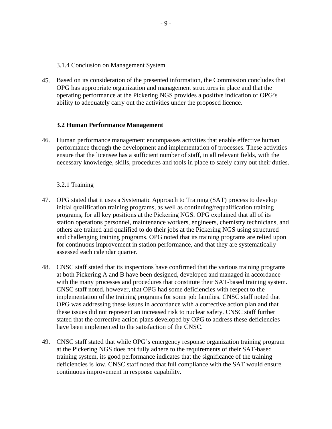3.1.4 Conclusion on Management System

45. Based on its consideration of the presented information, the Commission concludes that OPG has appropriate organization and management structures in place and that the operating performance at the Pickering NGS provides a positive indication of OPG's ability to adequately carry out the activities under the proposed licence.

#### **3.2 Human Performance Management**

46. Human performance management encompasses activities that enable effective human performance through the development and implementation of processes. These activities ensure that the licensee has a sufficient number of staff, in all relevant fields, with the necessary knowledge, skills, procedures and tools in place to safely carry out their duties.

#### 3.2.1 Training

- 47. OPG stated that it uses a Systematic Approach to Training (SAT) process to develop initial qualification training programs, as well as continuing/requalification training programs, for all key positions at the Pickering NGS. OPG explained that all of its station operations personnel, maintenance workers, engineers, chemistry technicians, and others are trained and qualified to do their jobs at the Pickering NGS using structured and challenging training programs. OPG noted that its training programs are relied upon for continuous improvement in station performance, and that they are systematically assessed each calendar quarter.
- 48. CNSC staff stated that its inspections have confirmed that the various training programs at both Pickering A and B have been designed, developed and managed in accordance with the many processes and procedures that constitute their SAT-based training system. CNSC staff noted, however, that OPG had some deficiencies with respect to the implementation of the training programs for some job families. CNSC staff noted that OPG was addressing these issues in accordance with a corrective action plan and that these issues did not represent an increased risk to nuclear safety. CNSC staff further stated that the corrective action plans developed by OPG to address these deficiencies have been implemented to the satisfaction of the CNSC.
- 49. CNSC staff stated that while OPG's emergency response organization training program at the Pickering NGS does not fully adhere to the requirements of their SAT-based training system, its good performance indicates that the significance of the training deficiencies is low. CNSC staff noted that full compliance with the SAT would ensure continuous improvement in response capability.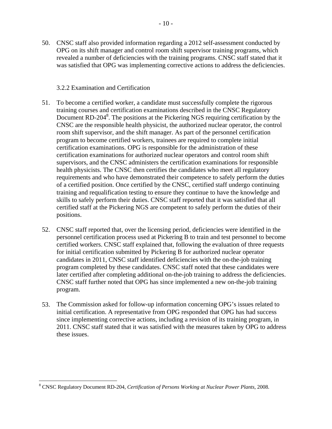50. CNSC staff also provided information regarding a 2012 self-assessment conducted by OPG on its shift manager and control room shift supervisor training programs, which revealed a number of deficiencies with the training programs. CNSC staff stated that it was satisfied that OPG was implementing corrective actions to address the deficiencies.

#### 3.2.2 Examination and Certification

- 51. To become a certified worker, a candidate must successfully complete the rigorous training courses and certification examinations described in the CNSC Regulatory Document RD-204<sup>8</sup>. The positions at the Pickering NGS requiring certification by the CNSC are the responsible health physicist, the authorized nuclear operator, the control room shift supervisor, and the shift manager. As part of the personnel certification program to become certified workers, trainees are required to complete initial certification examinations. OPG is responsible for the administration of these certification examinations for authorized nuclear operators and control room shift supervisors, and the CNSC administers the certification examinations for responsible health physicists. The CNSC then certifies the candidates who meet all regulatory requirements and who have demonstrated their competence to safely perform the duties of a certified position. Once certified by the CNSC, certified staff undergo continuing training and requalification testing to ensure they continue to have the knowledge and skills to safely perform their duties. CNSC staff reported that it was satisfied that all certified staff at the Pickering NGS are competent to safely perform the duties of their positions.
- 52. CNSC staff reported that, over the licensing period, deficiencies were identified in the personnel certification process used at Pickering B to train and test personnel to become certified workers. CNSC staff explained that, following the evaluation of three requests for initial certification submitted by Pickering B for authorized nuclear operator candidates in 2011, CNSC staff identified deficiencies with the on-the-job training program completed by these candidates. CNSC staff noted that these candidates were later certified after completing additional on-the-job training to address the deficiencies. CNSC staff further noted that OPG has since implemented a new on-the-job training program.
- 53. The Commission asked for follow-up information concerning OPG's issues related to initial certification. A representative from OPG responded that OPG has had success since implementing corrective actions, including a revision of its training program, in 2011. CNSC staff stated that it was satisfied with the measures taken by OPG to address these issues.

<sup>8</sup> CNSC Regulatory Document RD-204, *Certification of Persons Working at Nuclear Power Plants*, 2008.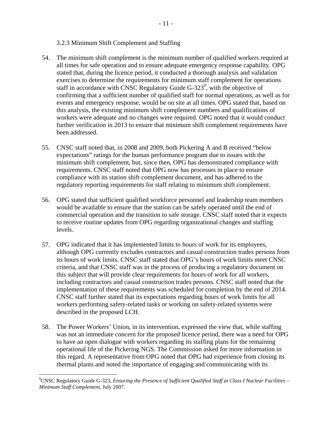#### 3.2.3 Minimum Shift Complement and Staffing

- 54. The minimum shift complement is the minimum number of qualified workers required at all times for safe operation and to ensure adequate emergency response capability. OPG stated that, during the licence period, it conducted a thorough analysis and validation exercises to determine the requirements for minimum staff complement for operations staff in accordance with CNSC Regulatory Guide  $G-323^9$ , with the objective of confirming that a sufficient number of qualified staff for normal operations, as well as for events and emergency response, would be on site at all times. OPG stated that, based on this analysis, the existing minimum shift complement numbers and qualifications of workers were adequate and no changes were required. OPG noted that it would conduct further verification in 2013 to ensure that minimum shift complement requirements have been addressed.
- 55. CNSC staff noted that, in 2008 and 2009, both Pickering A and B received "below expectations" ratings for the human performance program due to issues with the minimum shift complement, but, since then, OPG has demonstrated compliance with requirements. CNSC staff noted that OPG now has processes in place to ensure compliance with its station shift complement document, and has adhered to the regulatory reporting requirements for staff relating to minimum shift complement.
- 56. OPG stated that sufficient qualified workforce personnel and leadership team members would be available to ensure that the station can be safely operated until the end of commercial operation and the transition to safe storage. CNSC staff noted that it expects to receive routine updates from OPG regarding organizational changes and staffing levels.
- 57. OPG indicated that it has implemented limits to hours of work for its employees, although OPG currently excludes contractors and casual construction trades persons from its hours of work limits. CNSC staff stated that OPG's hours of work limits meet CNSC criteria, and that CNSC staff was in the process of producing a regulatory document on this subject that will provide clear requirements for hours of work for all workers, including contractors and casual construction trades persons. CNSC staff noted that the implementation of these requirements was scheduled for completion by the end of 2014. CNSC staff further stated that its expectations regarding hours of work limits for all workers performing safety-related tasks or working on safety-related systems were described in the proposed LCH.
- 58. The Power Workers' Union, in its intervention, expressed the view that, while staffing was not an immediate concern for the proposed licence period, there was a need for OPG to have an open dialogue with workers regarding its staffing plans for the remaining operational life of the Pickering NGS. The Commission asked for more information in this regard. A representative from OPG noted that OPG had experience from closing its thermal plants and noted the importance of engaging and communicating with its

<sup>9</sup> CNSC Regulatory Guide G-323, *Ensuring the Presence of Sufficient Qualified Staff at Class I Nuclear Facilities – Minimum Staff Complement*, July 2007.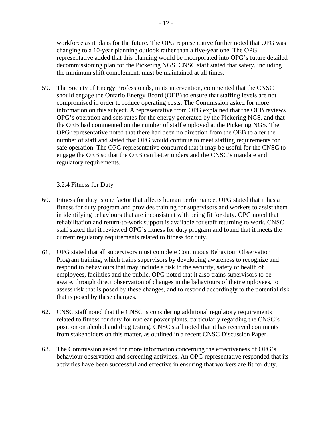workforce as it plans for the future. The OPG representative further noted that OPG was changing to a 10-year planning outlook rather than a five-year one. The OPG representative added that this planning would be incorporated into OPG's future detailed decommissioning plan for the Pickering NGS. CNSC staff stated that safety, including the minimum shift complement, must be maintained at all times.

59. The Society of Energy Professionals, in its intervention, commented that the CNSC should engage the Ontario Energy Board (OEB) to ensure that staffing levels are not compromised in order to reduce operating costs. The Commission asked for more information on this subject. A representative from OPG explained that the OEB reviews OPG's operation and sets rates for the energy generated by the Pickering NGS, and that the OEB had commented on the number of staff employed at the Pickering NGS. The OPG representative noted that there had been no direction from the OEB to alter the number of staff and stated that OPG would continue to meet staffing requirements for safe operation. The OPG representative concurred that it may be useful for the CNSC to engage the OEB so that the OEB can better understand the CNSC's mandate and regulatory requirements.

#### 3.2.4 Fitness for Duty

- 60. Fitness for duty is one factor that affects human performance. OPG stated that it has a fitness for duty program and provides training for supervisors and workers to assist them in identifying behaviours that are inconsistent with being fit for duty. OPG noted that rehabilitation and return-to-work support is available for staff returning to work. CNSC staff stated that it reviewed OPG's fitness for duty program and found that it meets the current regulatory requirements related to fitness for duty.
- 61. OPG stated that all supervisors must complete Continuous Behaviour Observation Program training, which trains supervisors by developing awareness to recognize and respond to behaviours that may include a risk to the security, safety or health of employees, facilities and the public. OPG noted that it also trains supervisors to be aware, through direct observation of changes in the behaviours of their employees, to assess risk that is posed by these changes, and to respond accordingly to the potential risk that is posed by these changes.
- 62. CNSC staff noted that the CNSC is considering additional regulatory requirements related to fitness for duty for nuclear power plants, particularly regarding the CNSC's position on alcohol and drug testing. CNSC staff noted that it has received comments from stakeholders on this matter, as outlined in a recent CNSC Discussion Paper.
- 63. The Commission asked for more information concerning the effectiveness of OPG's behaviour observation and screening activities. An OPG representative responded that its activities have been successful and effective in ensuring that workers are fit for duty.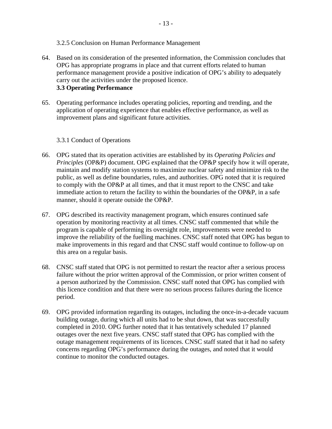#### 3.2.5 Conclusion on Human Performance Management

- 64. Based on its consideration of the presented information, the Commission concludes that OPG has appropriate programs in place and that current efforts related to human performance management provide a positive indication of OPG's ability to adequately carry out the activities under the proposed licence. **3.3 Operating Performance**
- 65. Operating performance includes operating policies, reporting and trending, and the application of operating experience that enables effective performance, as well as improvement plans and significant future activities.

#### 3.3.1 Conduct of Operations

- 66. OPG stated that its operation activities are established by its *Operating Policies and Principles* (OP&P) document. OPG explained that the OP&P specify how it will operate, maintain and modify station systems to maximize nuclear safety and minimize risk to the public, as well as define boundaries, rules, and authorities. OPG noted that it is required to comply with the OP&P at all times, and that it must report to the CNSC and take immediate action to return the facility to within the boundaries of the OP&P, in a safe manner, should it operate outside the OP&P.
- 67. OPG described its reactivity management program, which ensures continued safe operation by monitoring reactivity at all times. CNSC staff commented that while the program is capable of performing its oversight role, improvements were needed to improve the reliability of the fuelling machines. CNSC staff noted that OPG has begun to make improvements in this regard and that CNSC staff would continue to follow-up on this area on a regular basis.
- 68. CNSC staff stated that OPG is not permitted to restart the reactor after a serious process failure without the prior written approval of the Commission, or prior written consent of a person authorized by the Commission. CNSC staff noted that OPG has complied with this licence condition and that there were no serious process failures during the licence period.
- 69. OPG provided information regarding its outages, including the once-in-a-decade vacuum building outage, during which all units had to be shut down, that was successfully completed in 2010. OPG further noted that it has tentatively scheduled 17 planned outages over the next five years. CNSC staff stated that OPG has complied with the outage management requirements of its licences. CNSC staff stated that it had no safety concerns regarding OPG's performance during the outages, and noted that it would continue to monitor the conducted outages.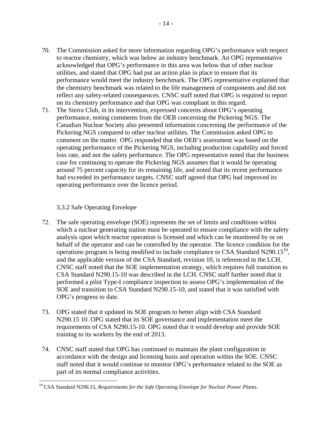- 70. The Commission asked for more information regarding OPG's performance with respect to reactor chemistry, which was below an industry benchmark. An OPG representative acknowledged that OPG's performance in this area was below that of other nuclear utilities, and stated that OPG had put an action plan in place to ensure that its performance would meet the industry benchmark. The OPG representative explained that the chemistry benchmark was related to the life management of components and did not reflect any safety-related consequences. CNSC staff noted that OPG is required to report on its chemistry performance and that OPG was compliant in this regard.
- 71. The Sierra Club, in its intervention, expressed concerns about OPG's operating performance, noting comments from the OEB concerning the Pickering NGS. The Canadian Nuclear Society also presented information concerning the performance of the Pickering NGS compared to other nuclear utilities. The Commission asked OPG to comment on the matter. OPG responded that the OEB's assessment was based on the operating performance of the Pickering NGS, including production capability and forced loss rate, and not the safety performance. The OPG representative noted that the business case for continuing to operate the Pickering NGS assumes that it would be operating around 75 percent capacity for its remaining life, and noted that its recent performance had exceeded its performance targets. CNSC staff agreed that OPG had improved its operating performance over the licence period.

# 3.3.2 Safe Operating Envelope

- 72. The safe operating envelope (SOE) represents the set of limits and conditions within which a nuclear generating station must be operated to ensure compliance with the safety analysis upon which reactor operation is licensed and which can be monitored by or on behalf of the operator and can be controlled by the operator. The licence condition for the operations program is being modified to include compliance to CSA Standard N290.15 $^{10}$ , and the applicable version of the CSA Standard, revision 10, is referenced in the LCH*.*  CNSC staff noted that the SOE implementation strategy, which requires full transition to CSA Standard N290.15-10 was described in the LCH. CNSC staff further noted that it performed a pilot Type-I compliance inspection to assess OPG's implementation of the SOE and transition to CSA Standard N290.15-10, and stated that it was satisfied with OPG's progress to date.
- 73. OPG stated that it updated its SOE program to better align with CSA Standard N290.15 10. OPG stated that its SOE governance and implementation meet the requirements of CSA N290.15-10. OPG noted that it would develop and provide SOE training to its workers by the end of 2013.
- 74. CNSC staff stated that OPG has continued to maintain the plant configuration in accordance with the design and licensing basis and operation within the SOE. CNSC staff noted that it would continue to monitor OPG's performance related to the SOE as part of its normal compliance activities.

 $\overline{a}$ 10 CSA Standard N290.15, *Requirements for the Safe Operating Envelope for Nuclear Power Plants*.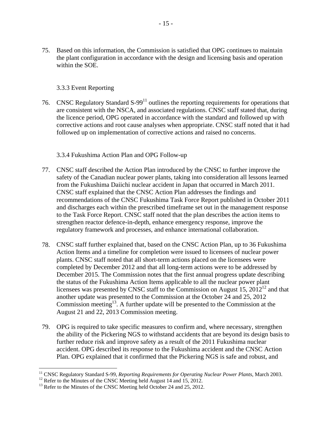75. Based on this information, the Commission is satisfied that OPG continues to maintain the plant configuration in accordance with the design and licensing basis and operation within the SOE.

#### 3.3.3 Event Reporting

76. CNSC Regulatory Standard  $S-99<sup>11</sup>$  outlines the reporting requirements for operations that are consistent with the NSCA, and associated regulations. CNSC staff stated that, during the licence period, OPG operated in accordance with the standard and followed up with corrective actions and root cause analyses when appropriate. CNSC staff noted that it had followed up on implementation of corrective actions and raised no concerns.

#### 3.3.4 Fukushima Action Plan and OPG Follow-up

- 77. CNSC staff described the Action Plan introduced by the CNSC to further improve the safety of the Canadian nuclear power plants, taking into consideration all lessons learned from the Fukushima Daiichi nuclear accident in Japan that occurred in March 2011. CNSC staff explained that the CNSC Action Plan addresses the findings and recommendations of the CNSC Fukushima Task Force Report published in October 2011 and discharges each within the prescribed timeframe set out in the management response to the Task Force Report. CNSC staff noted that the plan describes the action items to strengthen reactor defence-in-depth, enhance emergency response, improve the regulatory framework and processes, and enhance international collaboration.
- 78. CNSC staff further explained that, based on the CNSC Action Plan, up to 36 Fukushima Action Items and a timeline for completion were issued to licensees of nuclear power plants. CNSC staff noted that all short-term actions placed on the licensees were completed by December 2012 and that all long-term actions were to be addressed by December 2015. The Commission notes that the first annual progress update describing the status of the Fukushima Action Items applicable to all the nuclear power plant licensees was presented by CNSC staff to the Commission on August 15,  $2012^{12}$  and that another update was presented to the Commission at the October 24 and 25, 2012 Commission meeting<sup>13</sup>. A further update will be presented to the Commission at the August 21 and 22, 2013 Commission meeting.
- 79. OPG is required to take specific measures to confirm and, where necessary, strengthen the ability of the Pickering NGS to withstand accidents that are beyond its design basis to further reduce risk and improve safety as a result of the 2011 Fukushima nuclear accident. OPG described its response to the Fukushima accident and the CNSC Action Plan. OPG explained that it confirmed that the Pickering NGS is safe and robust, and

<sup>&</sup>lt;sup>11</sup> CNSC Regulatory Standard S-99, *Reporting Requirements for Operating Nuclear Power Plants*, March 2003.

<sup>&</sup>lt;sup>12</sup> Refer to the Minutes of the CNSC Meeting held August 14 and 15, 2012.

<sup>&</sup>lt;sup>12</sup> Refer to the Minutes of the CNSC Meeting held August 14 and 15, 2012.<br><sup>13</sup> Refer to the Minutes of the CNSC Meeting held October 24 and 25, 2012.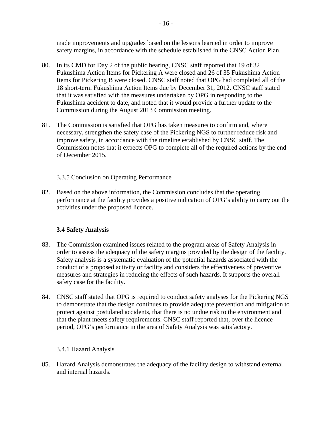made improvements and upgrades based on the lessons learned in order to improve

- safety margins, in accordance with the schedule established in the CNSC Action Plan.<br>80. In its CMD for Day 2 of the public hearing, CNSC staff reported that 19 of 32 Fukushima Action Items for Pickering A were closed and 26 of 35 Fukushima Action Items for Pickering B were closed. CNSC staff noted that OPG had completed all of the 18 short-term Fukushima Action Items due by December 31, 2012. CNSC staff stated that it was satisfied with the measures undertaken by OPG in responding to the Fukushima accident to date, and noted that it would provide a further update to the Commission during the August 2013 Commission meeting.
- 81. The Commission is satisfied that OPG has taken measures to confirm and, where necessary, strengthen the safety case of the Pickering NGS to further reduce risk and improve safety, in accordance with the timeline established by CNSC staff. The Commission notes that it expects OPG to complete all of the required actions by the end of December 2015.

3.3.5 Conclusion on Operating Performance

82. Based on the above information, the Commission concludes that the operating performance at the facility provides a positive indication of OPG's ability to carry out the activities under the proposed licence.

# **3.4 Safety Analysis**

- 83. The Commission examined issues related to the program areas of Safety Analysis in order to assess the adequacy of the safety margins provided by the design of the facility. Safety analysis is a systematic evaluation of the potential hazards associated with the conduct of a proposed activity or facility and considers the effectiveness of preventive measures and strategies in reducing the effects of such hazards. It supports the overall safety case for the facility.
- 84. CNSC staff stated that OPG is required to conduct safety analyses for the Pickering NGS to demonstrate that the design continues to provide adequate prevention and mitigation to protect against postulated accidents, that there is no undue risk to the environment and that the plant meets safety requirements. CNSC staff reported that, over the licence period, OPG's performance in the area of Safety Analysis was satisfactory.

# 3.4.1 Hazard Analysis

85. Hazard Analysis demonstrates the adequacy of the facility design to withstand external and internal hazards.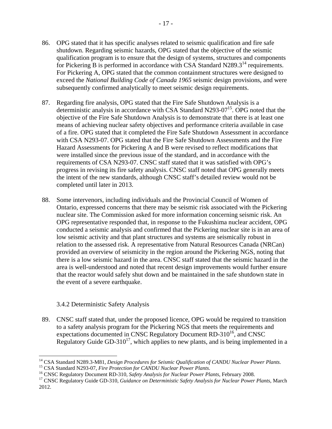- 86. OPG stated that it has specific analyses related to seismic qualification and fire safe shutdown. Regarding seismic hazards, OPG stated that the objective of the seismic qualification program is to ensure that the design of systems, structures and components for Pickering B is performed in accordance with CSA Standard  $N289.3<sup>14</sup>$  requirements. For Pickering A, OPG stated that the common containment structures were designed to exceed the *National Building Code of Canada 1965* seismic design provisions, and were subsequently confirmed analytically to meet seismic design requirements.
- 87. Regarding fire analysis, OPG stated that the Fire Safe Shutdown Analysis is a deterministic analysis in accordance with CSA Standard N293-07<sup>15</sup>. OPG noted that the objective of the Fire Safe Shutdown Analysis is to demonstrate that there is at least one means of achieving nuclear safety objectives and performance criteria available in case of a fire. OPG stated that it completed the Fire Safe Shutdown Assessment in accordance with CSA N293-07. OPG stated that the Fire Safe Shutdown Assessments and the Fire Hazard Assessments for Pickering A and B were revised to reflect modifications that were installed since the previous issue of the standard, and in accordance with the requirements of CSA N293-07. CNSC staff stated that it was satisfied with OPG's progress in revising its fire safety analysis. CNSC staff noted that OPG generally meets the intent of the new standards, although CNSC staff's detailed review would not be completed until later in 2013.
- 88. Some intervenors, including individuals and the Provincial Council of Women of Ontario, expressed concerns that there may be seismic risk associated with the Pickering nuclear site. The Commission asked for more information concerning seismic risk. An OPG representative responded that, in response to the Fukushima nuclear accident, OPG conducted a seismic analysis and confirmed that the Pickering nuclear site is in an area of low seismic activity and that plant structures and systems are seismically robust in relation to the assessed risk. A representative from Natural Resources Canada (NRCan) provided an overview of seismicity in the region around the Pickering NGS, noting that there is a low seismic hazard in the area. CNSC staff stated that the seismic hazard in the area is well-understood and noted that recent design improvements would further ensure that the reactor would safely shut down and be maintained in the safe shutdown state in the event of a severe earthquake.

#### 3.4.2 Deterministic Safety Analysis

 $\overline{a}$ 

89. CNSC staff stated that, under the proposed licence, OPG would be required to transition to a safety analysis program for the Pickering NGS that meets the requirements and expectations documented in CNSC Regulatory Document  $RD-310^{16}$ , and CNSC Regulatory Guide GD-310<sup>17</sup>, which applies to new plants, and is being implemented in a

<sup>&</sup>lt;sup>14</sup> CSA Standard N289.3-M81, *Design Procedures for Seismic Qualification of CANDU Nuclear Power Plants*.<br><sup>15</sup> CSA Standard N293-07, *Fire Protection for CANDU Nuclear Power Plants*.<br><sup>16</sup> CNSC Regulatory Document RD-310,

<sup>2012.</sup>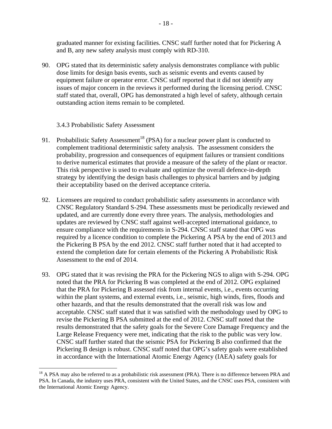graduated manner for existing facilities. CNSC staff further noted that for Pickering A and B, any new safety analysis must comply with RD-310.

90. OPG stated that its deterministic safety analysis demonstrates compliance with public dose limits for design basis events, such as seismic events and events caused by equipment failure or operator error. CNSC staff reported that it did not identify any issues of major concern in the reviews it performed during the licensing period. CNSC staff stated that, overall, OPG has demonstrated a high level of safety, although certain outstanding action items remain to be completed.

3.4.3 Probabilistic Safety Assessment

- 91. Probabilistic Safety Assessment<sup>18</sup> (PSA) for a nuclear power plant is conducted to complement traditional deterministic safety analysis. The assessment considers the probability, progression and consequences of equipment failures or transient conditions to derive numerical estimates that provide a measure of the safety of the plant or reactor. This risk perspective is used to evaluate and optimize the overall defence-in-depth strategy by identifying the design basis challenges to physical barriers and by judging their acceptability based on the derived acceptance criteria.
- 92. Licensees are required to conduct probabilistic safety assessments in accordance with CNSC Regulatory Standard S-294. These assessments must be periodically reviewed and updated, and are currently done every three years. The analysis, methodologies and updates are reviewed by CNSC staff against well-accepted international guidance, to ensure compliance with the requirements in S-294. CNSC staff stated that OPG was required by a licence condition to complete the Pickering A PSA by the end of 2013 and the Pickering B PSA by the end 2012. CNSC staff further noted that it had accepted to extend the completion date for certain elements of the Pickering A Probabilistic Risk Assessment to the end of 2014.
- 93. OPG stated that it was revising the PRA for the Pickering NGS to align with S-294. OPG noted that the PRA for Pickering B was completed at the end of 2012. OPG explained that the PRA for Pickering B assessed risk from internal events, i.e., events occurring within the plant systems, and external events, i.e., seismic, high winds, fires, floods and other hazards, and that the results demonstrated that the overall risk was low and acceptable. CNSC staff stated that it was satisfied with the methodology used by OPG to revise the Pickering B PSA submitted at the end of 2012. CNSC staff noted that the results demonstrated that the safety goals for the Severe Core Damage Frequency and the Large Release Frequency were met, indicating that the risk to the public was very low. CNSC staff further stated that the seismic PSA for Pickering B also confirmed that the Pickering B design is robust. CNSC staff noted that OPG's safety goals were established in accordance with the International Atomic Energy Agency (IAEA) safety goals for

 $<sup>18</sup>$  A PSA may also be referred to as a probabilistic risk assessment (PRA). There is no difference between PRA and</sup> PSA. In Canada, the industry uses PRA, consistent with the United States, and the CNSC uses PSA, consistent with the International Atomic Energy Agency.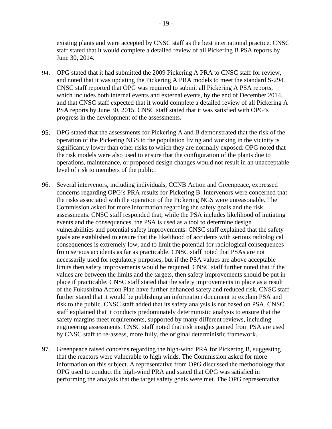existing plants and were accepted by CNSC staff as the best international practice. CNSC staff stated that it would complete a detailed review of all Pickering B PSA reports by June 30, 2014.

- 94. OPG stated that it had submitted the 2009 Pickering A PRA to CNSC staff for review, and noted that it was updating the Pickering A PRA models to meet the standard S-294. CNSC staff reported that OPG was required to submit all Pickering A PSA reports, which includes both internal events and external events, by the end of December 2014, and that CNSC staff expected that it would complete a detailed review of all Pickering A PSA reports by June 30, 2015. CNSC staff stated that it was satisfied with OPG's progress in the development of the assessments.
- 95. OPG stated that the assessments for Pickering A and B demonstrated that the risk of the operation of the Pickering NGS to the population living and working in the vicinity is significantly lower than other risks to which they are normally exposed. OPG noted that the risk models were also used to ensure that the configuration of the plants due to operations, maintenance, or proposed design changes would not result in an unacceptable level of risk to members of the public.
- 96. Several intervenors, including individuals, CCNB Action and Greenpeace, expressed concerns regarding OPG's PRA results for Pickering B. Intervenors were concerned that the risks associated with the operation of the Pickering NGS were unreasonable. The Commission asked for more information regarding the safety goals and the risk assessments. CNSC staff responded that, while the PSA includes likelihood of initiating events and the consequences, the PSA is used as a tool to determine design vulnerabilities and potential safety improvements. CNSC staff explained that the safety goals are established to ensure that the likelihood of accidents with serious radiological consequences is extremely low, and to limit the potential for radiological consequences from serious accidents as far as practicable. CNSC staff noted that PSAs are not necessarily used for regulatory purposes, but if the PSA values are above acceptable limits then safety improvements would be required. CNSC staff further noted that if the values are between the limits and the targets, then safety improvements should be put in place if practicable. CNSC staff stated that the safety improvements in place as a result of the Fukushima Action Plan have further enhanced safety and reduced risk. CNSC staff further stated that it would be publishing an information document to explain PSA and risk to the public. CNSC staff added that its safety analysis is not based on PSA. CNSC staff explained that it conducts predominately deterministic analysis to ensure that the safety margins meet requirements, supported by many different reviews, including engineering assessments. CNSC staff noted that risk insights gained from PSA are used by CNSC staff to re-assess, more fully, the original deterministic framework.
- 97. Greenpeace raised concerns regarding the high-wind PRA for Pickering B, suggesting that the reactors were vulnerable to high winds. The Commission asked for more information on this subject. A representative from OPG discussed the methodology that OPG used to conduct the high-wind PRA and stated that OPG was satisfied in performing the analysis that the target safety goals were met. The OPG representative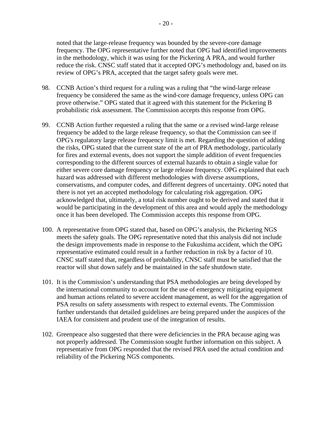noted that the large-release frequency was bounded by the severe-core damage frequency. The OPG representative further noted that OPG had identified improvements in the methodology, which it was using for the Pickering A PRA, and would further reduce the risk. CNSC staff stated that it accepted OPG's methodology and, based on its review of OPG's PRA, accepted that the target safety goals were met.

- 98. CCNB Action's third request for a ruling was a ruling that "the wind-large release" frequency be considered the same as the wind-core damage frequency, unless OPG can prove otherwise." OPG stated that it agreed with this statement for the Pickering B probabilistic risk assessment. The Commission accepts this response from OPG.
- 99. CCNB Action further requested a ruling that the same or a revised wind-large release frequency be added to the large release frequency, so that the Commission can see if OPG's regulatory large release frequency limit is met. Regarding the question of adding the risks, OPG stated that the current state of the art of PRA methodology, particularly for fires and external events, does not support the simple addition of event frequencies corresponding to the different sources of external hazards to obtain a single value for either severe core damage frequency or large release frequency. OPG explained that each hazard was addressed with different methodologies with diverse assumptions, conservatisms, and computer codes, and different degrees of uncertainty. OPG noted that there is not yet an accepted methodology for calculating risk aggregation. OPG acknowledged that, ultimately, a total risk number ought to be derived and stated that it would be participating in the development of this area and would apply the methodology once it has been developed. The Commission accepts this response from OPG.
- 100. A representative from OPG stated that, based on OPG's analysis, the Pickering NGS meets the safety goals. The OPG representative noted that this analysis did not include the design improvements made in response to the Fukushima accident, which the OPG representative estimated could result in a further reduction in risk by a factor of 10. CNSC staff stated that, regardless of probability, CNSC staff must be satisfied that the reactor will shut down safely and be maintained in the safe shutdown state.
- 101. It is the Commission's understanding that PSA methodologies are being developed by the international community to account for the use of emergency mitigating equipment and human actions related to severe accident management, as well for the aggregation of PSA results on safety assessments with respect to external events. The Commission further understands that detailed guidelines are being prepared under the auspices of the IAEA for consistent and prudent use of the integration of results.
- 102. Greenpeace also suggested that there were deficiencies in the PRA because aging was not properly addressed. The Commission sought further information on this subject. A representative from OPG responded that the revised PRA used the actual condition and reliability of the Pickering NGS components.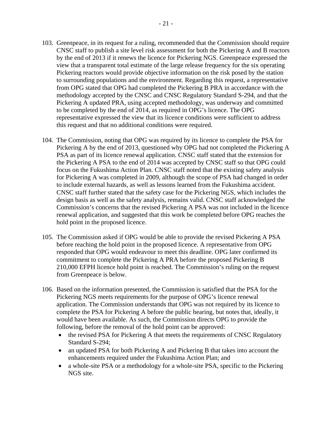- 103. Greenpeace, in its request for a ruling, recommended that the Commission should require CNSC staff to publish a site level risk assessment for both the Pickering A and B reactors by the end of 2013 if it renews the licence for Pickering NGS. Greenpeace expressed the view that a transparent total estimate of the large release frequency for the six operating Pickering reactors would provide objective information on the risk posed by the station to surrounding populations and the environment. Regarding this request, a representative from OPG stated that OPG had completed the Pickering B PRA in accordance with the methodology accepted by the CNSC and CNSC Regulatory Standard S-294, and that the Pickering A updated PRA, using accepted methodology, was underway and committed to be completed by the end of 2014, as required in OPG's licence. The OPG representative expressed the view that its licence conditions were sufficient to address this request and that no additional conditions were required.
- 104. The Commission, noting that OPG was required by its licence to complete the PSA for Pickering A by the end of 2013, questioned why OPG had not completed the Pickering A PSA as part of its licence renewal application. CNSC staff stated that the extension for the Pickering A PSA to the end of 2014 was accepted by CNSC staff so that OPG could focus on the Fukushima Action Plan. CNSC staff noted that the existing safety analysis for Pickering A was completed in 2009, although the scope of PSA had changed in order to include external hazards, as well as lessons learned from the Fukushima accident. CNSC staff further stated that the safety case for the Pickering NGS, which includes the design basis as well as the safety analysis, remains valid. CNSC staff acknowledged the Commission's concerns that the revised Pickering A PSA was not included in the licence renewal application, and suggested that this work be completed before OPG reaches the hold point in the proposed licence.
- 105. The Commission asked if OPG would be able to provide the revised Pickering A PSA before reaching the hold point in the proposed licence. A representative from OPG responded that OPG would endeavour to meet this deadline. OPG later confirmed its commitment to complete the Pickering A PRA before the proposed Pickering B 210,000 EFPH licence hold point is reached. The Commission's ruling on the request from Greenpeace is below.
- 106. Based on the information presented, the Commission is satisfied that the PSA for the Pickering NGS meets requirements for the purpose of OPG's licence renewal application. The Commission understands that OPG was not required by its licence to complete the PSA for Pickering A before the public hearing, but notes that, ideally, it would have been available. As such, the Commission directs OPG to provide the following, before the removal of the hold point can be approved:
	- the revised PSA for Pickering A that meets the requirements of CNSC Regulatory Standard S-294;
	- an updated PSA for both Pickering A and Pickering B that takes into account the enhancements required under the Fukushima Action Plan; and
	- a whole-site PSA or a methodology for a whole-site PSA, specific to the Pickering NGS site.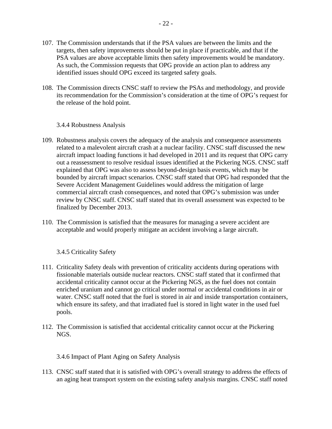- 107. The Commission understands that if the PSA values are between the limits and the targets, then safety improvements should be put in place if practicable, and that if the PSA values are above acceptable limits then safety improvements would be mandatory. As such, the Commission requests that OPG provide an action plan to address any identified issues should OPG exceed its targeted safety goals.
- 108. The Commission directs CNSC staff to review the PSAs and methodology, and provide its recommendation for the Commission's consideration at the time of OPG's request for the release of the hold point.

3.4.4 Robustness Analysis

- 109. Robustness analysis covers the adequacy of the analysis and consequence assessments related to a malevolent aircraft crash at a nuclear facility. CNSC staff discussed the new aircraft impact loading functions it had developed in 2011 and its request that OPG carry out a reassessment to resolve residual issues identified at the Pickering NGS. CNSC staff explained that OPG was also to assess beyond-design basis events, which may be bounded by aircraft impact scenarios. CNSC staff stated that OPG had responded that the Severe Accident Management Guidelines would address the mitigation of large commercial aircraft crash consequences, and noted that OPG's submission was under review by CNSC staff. CNSC staff stated that its overall assessment was expected to be finalized by December 2013.
- 110. The Commission is satisfied that the measures for managing a severe accident are acceptable and would properly mitigate an accident involving a large aircraft.

3.4.5 Criticality Safety

- 111. Criticality Safety deals with prevention of criticality accidents during operations with fissionable materials outside nuclear reactors. CNSC staff stated that it confirmed that accidental criticality cannot occur at the Pickering NGS, as the fuel does not contain enriched uranium and cannot go critical under normal or accidental conditions in air or water. CNSC staff noted that the fuel is stored in air and inside transportation containers, which ensure its safety, and that irradiated fuel is stored in light water in the used fuel pools.
- 112. The Commission is satisfied that accidental criticality cannot occur at the Pickering NGS.

3.4.6 Impact of Plant Aging on Safety Analysis

113. CNSC staff stated that it is satisfied with OPG's overall strategy to address the effects of an aging heat transport system on the existing safety analysis margins. CNSC staff noted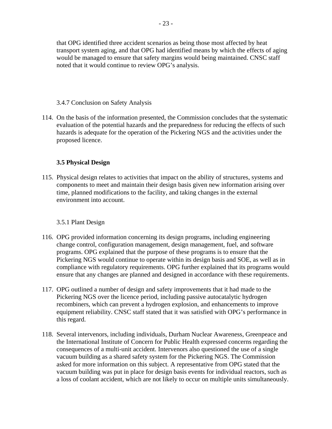that OPG identified three accident scenarios as being those most affected by heat transport system aging, and that OPG had identified means by which the effects of aging would be managed to ensure that safety margins would being maintained. CNSC staff noted that it would continue to review OPG's analysis.

#### 3.4.7 Conclusion on Safety Analysis

114. On the basis of the information presented, the Commission concludes that the systematic evaluation of the potential hazards and the preparedness for reducing the effects of such hazards is adequate for the operation of the Pickering NGS and the activities under the proposed licence.

# **3.5 Physical Design**

115. Physical design relates to activities that impact on the ability of structures, systems and components to meet and maintain their design basis given new information arising over time, planned modifications to the facility, and taking changes in the external environment into account.

#### 3.5.1 Plant Design

- 116. OPG provided information concerning its design programs, including engineering change control, configuration management, design management, fuel, and software programs. OPG explained that the purpose of these programs is to ensure that the Pickering NGS would continue to operate within its design basis and SOE, as well as in compliance with regulatory requirements. OPG further explained that its programs would ensure that any changes are planned and designed in accordance with these requirements.
- 117. OPG outlined a number of design and safety improvements that it had made to the Pickering NGS over the licence period, including passive autocatalytic hydrogen recombiners, which can prevent a hydrogen explosion, and enhancements to improve equipment reliability. CNSC staff stated that it was satisfied with OPG's performance in this regard.
- 118. Several intervenors, including individuals, Durham Nuclear Awareness, Greenpeace and the International Institute of Concern for Public Health expressed concerns regarding the consequences of a multi-unit accident. Intervenors also questioned the use of a single vacuum building as a shared safety system for the Pickering NGS. The Commission asked for more information on this subject. A representative from OPG stated that the vacuum building was put in place for design basis events for individual reactors, such as a loss of coolant accident, which are not likely to occur on multiple units simultaneously.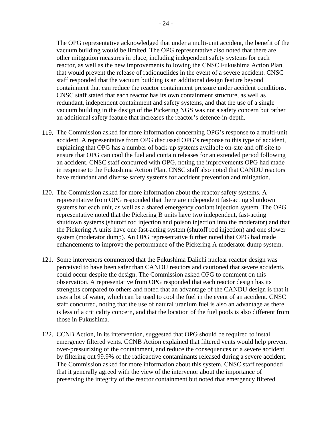The OPG representative acknowledged that under a multi-unit accident, the benefit of the vacuum building would be limited. The OPG representative also noted that there are other mitigation measures in place, including independent safety systems for each reactor, as well as the new improvements following the CNSC Fukushima Action Plan, that would prevent the release of radionuclides in the event of a severe accident. CNSC staff responded that the vacuum building is an additional design feature beyond containment that can reduce the reactor containment pressure under accident conditions. CNSC staff stated that each reactor has its own containment structure, as well as redundant, independent containment and safety systems, and that the use of a single vacuum building in the design of the Pickering NGS was not a safety concern but rather an additional safety feature that increases the reactor's defence-in-depth.

- 119. The Commission asked for more information concerning OPG's response to a multi-unit accident. A representative from OPG discussed OPG's response to this type of accident, explaining that OPG has a number of back-up systems available on-site and off-site to ensure that OPG can cool the fuel and contain releases for an extended period following an accident. CNSC staff concurred with OPG, noting the improvements OPG had made in response to the Fukushima Action Plan. CNSC staff also noted that CANDU reactors have redundant and diverse safety systems for accident prevention and mitigation.
- 120. The Commission asked for more information about the reactor safety systems. A representative from OPG responded that there are independent fast-acting shutdown systems for each unit, as well as a shared emergency coolant injection system. The OPG representative noted that the Pickering B units have two independent, fast-acting shutdown systems (shutoff rod injection and poison injection into the moderator) and that the Pickering A units have one fast-acting system (shutoff rod injection) and one slower system (moderator dump). An OPG representative further noted that OPG had made enhancements to improve the performance of the Pickering A moderator dump system.
- 121. Some intervenors commented that the Fukushima Daiichi nuclear reactor design was perceived to have been safer than CANDU reactors and cautioned that severe accidents could occur despite the design. The Commission asked OPG to comment on this observation. A representative from OPG responded that each reactor design has its strengths compared to others and noted that an advantage of the CANDU design is that it uses a lot of water, which can be used to cool the fuel in the event of an accident. CNSC staff concurred, noting that the use of natural uranium fuel is also an advantage as there is less of a criticality concern, and that the location of the fuel pools is also different from those in Fukushima.
- 122. CCNB Action, in its intervention, suggested that OPG should be required to install emergency filtered vents. CCNB Action explained that filtered vents would help prevent over-pressurizing of the containment, and reduce the consequences of a severe accident by filtering out 99.9% of the radioactive contaminants released during a severe accident. The Commission asked for more information about this system. CNSC staff responded that it generally agreed with the view of the intervenor about the importance of preserving the integrity of the reactor containment but noted that emergency filtered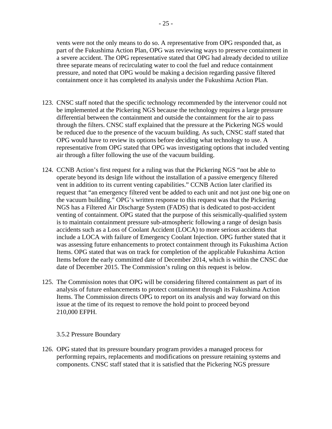vents were not the only means to do so. A representative from OPG responded that, as part of the Fukushima Action Plan, OPG was reviewing ways to preserve containment in a severe accident. The OPG representative stated that OPG had already decided to utilize three separate means of recirculating water to cool the fuel and reduce containment pressure, and noted that OPG would be making a decision regarding passive filtered containment once it has completed its analysis under the Fukushima Action Plan.

- 123. CNSC staff noted that the specific technology recommended by the intervenor could not be implemented at the Pickering NGS because the technology requires a large pressure differential between the containment and outside the containment for the air to pass through the filters. CNSC staff explained that the pressure at the Pickering NGS would be reduced due to the presence of the vacuum building. As such, CNSC staff stated that OPG would have to review its options before deciding what technology to use. A representative from OPG stated that OPG was investigating options that included venting air through a filter following the use of the vacuum building.
- 124. CCNB Action's first request for a ruling was that the Pickering NGS "not be able to operate beyond its design life without the installation of a passive emergency filtered vent in addition to its current venting capabilities." CCNB Action later clarified its request that "an emergency filtered vent be added to each unit and not just one big one on the vacuum building." OPG's written response to this request was that the Pickering NGS has a Filtered Air Discharge System (FADS) that is dedicated to post-accident venting of containment. OPG stated that the purpose of this seismically-qualified system is to maintain containment pressure sub-atmospheric following a range of design basis accidents such as a Loss of Coolant Accident (LOCA) to more serious accidents that include a LOCA with failure of Emergency Coolant Injection. OPG further stated that it was assessing future enhancements to protect containment through its Fukushima Action Items. OPG stated that was on track for completion of the applicable Fukushima Action Items before the early committed date of December 2014, which is within the CNSC due date of December 2015. The Commission's ruling on this request is below.
- 125. The Commission notes that OPG will be considering filtered containment as part of its analysis of future enhancements to protect containment through its Fukushima Action Items. The Commission directs OPG to report on its analysis and way forward on this issue at the time of its request to remove the hold point to proceed beyond 210,000 EFPH.

#### 3.5.2 Pressure Boundary

126. OPG stated that its pressure boundary program provides a managed process for performing repairs, replacements and modifications on pressure retaining systems and components. CNSC staff stated that it is satisfied that the Pickering NGS pressure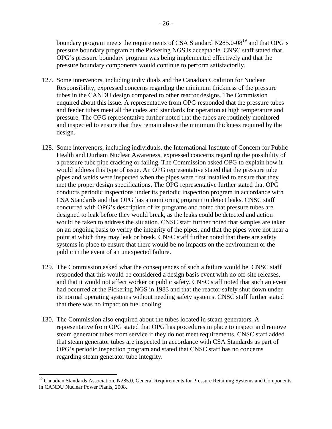boundary program meets the requirements of CSA Standard N285.0-08<sup>19</sup> and that OPG's pressure boundary program at the Pickering NGS is acceptable. CNSC staff stated that OPG's pressure boundary program was being implemented effectively and that the pressure boundary components would continue to perform satisfactorily.

- 127. Some intervenors, including individuals and the Canadian Coalition for Nuclear Responsibility, expressed concerns regarding the minimum thickness of the pressure tubes in the CANDU design compared to other reactor designs. The Commission enquired about this issue. A representative from OPG responded that the pressure tubes and feeder tubes meet all the codes and standards for operation at high temperature and pressure. The OPG representative further noted that the tubes are routinely monitored and inspected to ensure that they remain above the minimum thickness required by the design.
- 128. Some intervenors, including individuals, the International Institute of Concern for Public Health and Durham Nuclear Awareness, expressed concerns regarding the possibility of a pressure tube pipe cracking or failing. The Commission asked OPG to explain how it would address this type of issue. An OPG representative stated that the pressure tube pipes and welds were inspected when the pipes were first installed to ensure that they met the proper design specifications. The OPG representative further stated that OPG conducts periodic inspections under its periodic inspection program in accordance with CSA Standards and that OPG has a monitoring program to detect leaks. CNSC staff concurred with OPG's description of its programs and noted that pressure tubes are designed to leak before they would break, as the leaks could be detected and action would be taken to address the situation. CNSC staff further noted that samples are taken on an ongoing basis to verify the integrity of the pipes, and that the pipes were not near a point at which they may leak or break. CNSC staff further noted that there are safety systems in place to ensure that there would be no impacts on the environment or the public in the event of an unexpected failure.
- 129. The Commission asked what the consequences of such a failure would be. CNSC staff responded that this would be considered a design basis event with no off-site releases, and that it would not affect worker or public safety. CNSC staff noted that such an event had occurred at the Pickering NGS in 1983 and that the reactor safely shut down under its normal operating systems without needing safety systems. CNSC staff further stated that there was no impact on fuel cooling.
- 130. The Commission also enquired about the tubes located in steam generators. A representative from OPG stated that OPG has procedures in place to inspect and remove steam generator tubes from service if they do not meet requirements. CNSC staff added that steam generator tubes are inspected in accordance with CSA Standards as part of OPG's periodic inspection program and stated that CNSC staff has no concerns regarding steam generator tube integrity.

<sup>&</sup>lt;sup>19</sup> Canadian Standards Association, N285.0, General Requirements for Pressure Retaining Systems and Components in CANDU Nuclear Power Plants, 2008.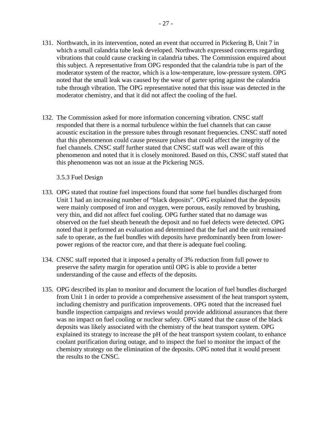- 131. Northwatch, in its intervention, noted an event that occurred in Pickering B, Unit 7 in which a small calandria tube leak developed. Northwatch expressed concerns regarding vibrations that could cause cracking in calandria tubes. The Commission enquired about this subject. A representative from OPG responded that the calandria tube is part of the moderator system of the reactor, which is a low-temperature, low-pressure system. OPG noted that the small leak was caused by the wear of garter spring against the calandria tube through vibration. The OPG representative noted that this issue was detected in the moderator chemistry, and that it did not affect the cooling of the fuel.
- 132. The Commission asked for more information concerning vibration. CNSC staff responded that there is a normal turbulence within the fuel channels that can cause acoustic excitation in the pressure tubes through resonant frequencies. CNSC staff noted that this phenomenon could cause pressure pulses that could affect the integrity of the fuel channels. CNSC staff further stated that CNSC staff was well aware of this phenomenon and noted that it is closely monitored. Based on this, CNSC staff stated that this phenomenon was not an issue at the Pickering NGS.

3.5.3 Fuel Design

- 133. OPG stated that routine fuel inspections found that some fuel bundles discharged from Unit 1 had an increasing number of "black deposits". OPG explained that the deposits were mainly composed of iron and oxygen, were porous, easily removed by brushing, very thin, and did not affect fuel cooling. OPG further stated that no damage was observed on the fuel sheath beneath the deposit and no fuel defects were detected. OPG noted that it performed an evaluation and determined that the fuel and the unit remained safe to operate, as the fuel bundles with deposits have predominantly been from lowerpower regions of the reactor core, and that there is adequate fuel cooling.
- 134. CNSC staff reported that it imposed a penalty of 3% reduction from full power to preserve the safety margin for operation until OPG is able to provide a better understanding of the cause and effects of the deposits.
- 135. OPG described its plan to monitor and document the location of fuel bundles discharged from Unit 1 in order to provide a comprehensive assessment of the heat transport system, including chemistry and purification improvements. OPG noted that the increased fuel bundle inspection campaigns and reviews would provide additional assurances that there was no impact on fuel cooling or nuclear safety. OPG stated that the cause of the black deposits was likely associated with the chemistry of the heat transport system. OPG explained its strategy to increase the pH of the heat transport system coolant, to enhance coolant purification during outage, and to inspect the fuel to monitor the impact of the chemistry strategy on the elimination of the deposits. OPG noted that it would present the results to the CNSC.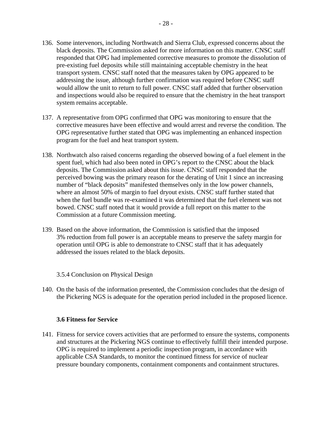- 136. Some intervenors, including Northwatch and Sierra Club, expressed concerns about the black deposits. The Commission asked for more information on this matter. CNSC staff responded that OPG had implemented corrective measures to promote the dissolution of pre-existing fuel deposits while still maintaining acceptable chemistry in the heat transport system. CNSC staff noted that the measures taken by OPG appeared to be addressing the issue, although further confirmation was required before CNSC staff would allow the unit to return to full power. CNSC staff added that further observation and inspections would also be required to ensure that the chemistry in the heat transport system remains acceptable.
- 137. A representative from OPG confirmed that OPG was monitoring to ensure that the corrective measures have been effective and would arrest and reverse the condition. The OPG representative further stated that OPG was implementing an enhanced inspection program for the fuel and heat transport system.
- 138. Northwatch also raised concerns regarding the observed bowing of a fuel element in the spent fuel, which had also been noted in OPG's report to the CNSC about the black deposits. The Commission asked about this issue. CNSC staff responded that the perceived bowing was the primary reason for the derating of Unit 1 since an increasing number of "black deposits" manifested themselves only in the low power channels, where an almost 50% of margin to fuel dryout exists. CNSC staff further stated that when the fuel bundle was re-examined it was determined that the fuel element was not bowed. CNSC staff noted that it would provide a full report on this matter to the Commission at a future Commission meeting.
- 139. Based on the above information, the Commission is satisfied that the imposed 3% reduction from full power is an acceptable means to preserve the safety margin for operation until OPG is able to demonstrate to CNSC staff that it has adequately addressed the issues related to the black deposits.

#### 3.5.4 Conclusion on Physical Design

140. On the basis of the information presented, the Commission concludes that the design of the Pickering NGS is adequate for the operation period included in the proposed licence.

#### **3.6 Fitness for Service**

141. Fitness for service covers activities that are performed to ensure the systems, components and structures at the Pickering NGS continue to effectively fulfill their intended purpose. OPG is required to implement a periodic inspection program, in accordance with applicable CSA Standards, to monitor the continued fitness for service of nuclear pressure boundary components, containment components and containment structures.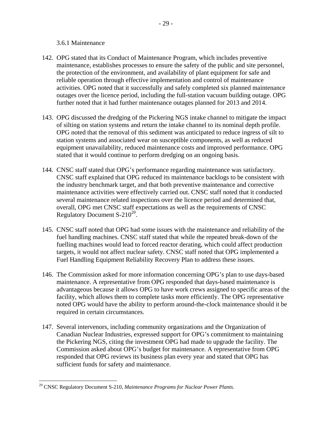#### 3.6.1 Maintenance

- 142. OPG stated that its Conduct of Maintenance Program, which includes preventive maintenance, establishes processes to ensure the safety of the public and site personnel, the protection of the environment, and availability of plant equipment for safe and reliable operation through effective implementation and control of maintenance activities. OPG noted that it successfully and safely completed six planned maintenance outages over the licence period, including the full-station vacuum building outage. OPG further noted that it had further maintenance outages planned for 2013 and 2014.
- 143. OPG discussed the dredging of the Pickering NGS intake channel to mitigate the impact of silting on station systems and return the intake channel to its nominal depth profile. OPG noted that the removal of this sediment was anticipated to reduce ingress of silt to station systems and associated wear on susceptible components, as well as reduced equipment unavailability, reduced maintenance costs and improved performance. OPG stated that it would continue to perform dredging on an ongoing basis.
- 144. CNSC staff stated that OPG's performance regarding maintenance was satisfactory. CNSC staff explained that OPG reduced its maintenance backlogs to be consistent with the industry benchmark target, and that both preventive maintenance and corrective maintenance activities were effectively carried out. CNSC staff noted that it conducted several maintenance related inspections over the licence period and determined that, overall, OPG met CNSC staff expectations as well as the requirements of CNSC Regulatory Document S- $210^{20}$ .
- 145. CNSC staff noted that OPG had some issues with the maintenance and reliability of the fuel handling machines. CNSC staff stated that while the repeated break-down of the fuelling machines would lead to forced reactor derating, which could affect production targets, it would not affect nuclear safety. CNSC staff noted that OPG implemented a Fuel Handling Equipment Reliability Recovery Plan to address these issues.
- 146. The Commission asked for more information concerning OPG's plan to use days-based maintenance. A representative from OPG responded that days-based maintenance is advantageous because it allows OPG to have work crews assigned to specific areas of the facility, which allows them to complete tasks more efficiently. The OPG representative noted OPG would have the ability to perform around-the-clock maintenance should it be required in certain circumstances.
- 147. Several intervenors, including community organizations and the Organization of Canadian Nuclear Industries, expressed support for OPG's commitment to maintaining the Pickering NGS, citing the investment OPG had made to upgrade the facility. The Commission asked about OPG's budget for maintenance. A representative from OPG responded that OPG reviews its business plan every year and stated that OPG has sufficient funds for safety and maintenance.

 $\overline{a}$ 20 CNSC Regulatory Document S-210, *Maintenance Programs for Nuclear Power Plants*.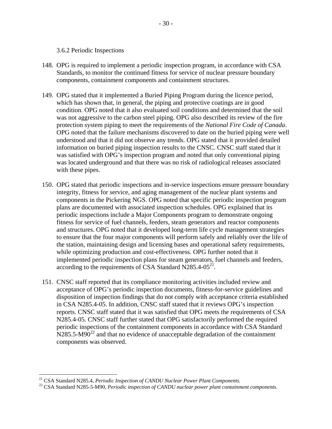#### 3.6.2 Periodic Inspections

- 148. OPG is required to implement a periodic inspection program, in accordance with CSA Standards, to monitor the continued fitness for service of nuclear pressure boundary components, containment components and containment structures.
- 149. OPG stated that it implemented a Buried Piping Program during the licence period, which has shown that, in general, the piping and protective coatings are in good condition. OPG noted that it also evaluated soil conditions and determined that the soil was not aggressive to the carbon steel piping. OPG also described its review of the fire protection system piping to meet the requirements of the *National Fire Code of Canada*. OPG noted that the failure mechanisms discovered to date on the buried piping were well understood and that it did not observe any trends. OPG stated that it provided detailed information on buried piping inspection results to the CNSC. CNSC staff stated that it was satisfied with OPG's inspection program and noted that only conventional piping was located underground and that there was no risk of radiological releases associated with these pipes.
- 150. OPG stated that periodic inspections and in-service inspections ensure pressure boundary integrity, fitness for service, and aging management of the nuclear plant systems and components in the Pickering NGS. OPG noted that specific periodic inspection program plans are documented with associated inspection schedules. OPG explained that its periodic inspections include a Major Components program to demonstrate ongoing fitness for service of fuel channels, feeders, steam generators and reactor components and structures. OPG noted that it developed long-term life cycle management strategies to ensure that the four major components will perform safely and reliably over the life of the station, maintaining design and licensing bases and operational safety requirements, while optimizing production and cost-effectiveness. OPG further noted that it implemented periodic inspection plans for steam generators, fuel channels and feeders, according to the requirements of CSA Standard N285.4-05<sup>21</sup>.
- 151. CNSC staff reported that its compliance monitoring activities included review and acceptance of OPG's periodic inspection documents, fitness-for-service guidelines and disposition of inspection findings that do not comply with acceptance criteria established in CSA N285.4-05. In addition, CNSC staff stated that it reviews OPG's inspection reports. CNSC staff stated that it was satisfied that OPG meets the requirements of CSA N285.4-05. CNSC staff further stated that OPG satisfactorily performed the required periodic inspections of the containment components in accordance with CSA Standard  $N285.5-M90^{22}$  and that no evidence of unacceptable degradation of the containment components was observed.

 $^{21}$  CSA Standard N285.4, Periodic Inspection of CANDU Nuclear Power Plant Components.

<sup>&</sup>lt;sup>22</sup> CSA Standard N285-5-M90, *Periodic inspection of CANDU nuclear power plant containment components*.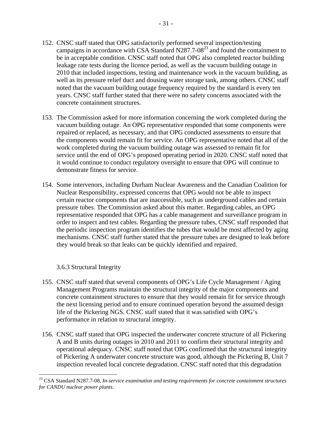- 152. CNSC staff stated that OPG satisfactorily performed several inspection/testing campaigns in accordance with CSA Standard N287.7-08 $^{23}$  and found the containment to be in acceptable condition. CNSC staff noted that OPG also completed reactor building leakage rate tests during the licence period, as well as the vacuum building outage in 2010 that included inspections, testing and maintenance work in the vacuum building, as well as its pressure relief duct and dousing water storage tank, among others. CNSC staff noted that the vacuum building outage frequency required by the standard is every ten years. CNSC staff further stated that there were no safety concerns associated with the concrete containment structures.
- 153. The Commission asked for more information concerning the work completed during the vacuum building outage. An OPG representative responded that some components were repaired or replaced, as necessary, and that OPG conducted assessments to ensure that the components would remain fit for service. An OPG representative noted that all of the work completed during the vacuum building outage was assessed to remain fit for service until the end of OPG's proposed operating period in 2020. CNSC staff noted that it would continue to conduct regulatory oversight to ensure that OPG will continue to demonstrate fitness for service.
- 154. Some intervenors, including Durham Nuclear Awareness and the Canadian Coalition for Nuclear Responsibility, expressed concerns that OPG would not be able to inspect certain reactor components that are inaccessible, such as underground cables and certain pressure tubes. The Commission asked about this matter. Regarding cables, an OPG representative responded that OPG has a cable management and surveillance program in order to inspect and test cables. Regarding the pressure tubes, CNSC staff responded that the periodic inspection program identifies the tubes that would be most affected by aging mechanisms. CNSC staff further stated that the pressure tubes are designed to leak before they would break so that leaks can be quickly identified and repaired.

#### 3.6.3 Structural Integrity

- 155. CNSC staff stated that several components of OPG's Life Cycle Management / Aging Management Programs maintain the structural integrity of the major components and concrete containment structures to ensure that they would remain fit for service through the next licensing period and to ensure continued operation beyond the assumed design life of the Pickering NGS. CNSC staff stated that it was satisfied with OPG's performance in relation to structural integrity.
- 156. CNSC staff stated that OPG inspected the underwater concrete structure of all Pickering A and B units during outages in 2010 and 2011 to confirm their structural integrity and operational adequacy. CNSC staff noted that OPG confirmed that the structural integrity of Pickering A underwater concrete structure was good, although the Pickering B, Unit 7 inspection revealed local concrete degradation. CNSC staff noted that this degradation

<sup>23</sup> CSA Standard N287.7-08, *In-service examination and testing requirements for concrete containment structures for CANDU nuclear power plants*.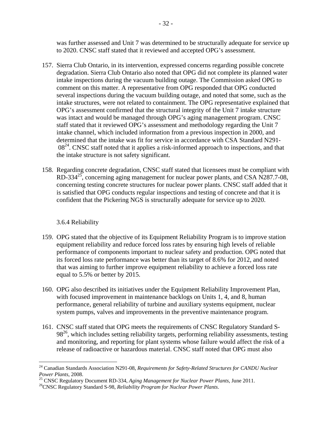was further assessed and Unit 7 was determined to be structurally adequate for service up to 2020. CNSC staff stated that it reviewed and accepted OPG's assessment.

- 157. Sierra Club Ontario, in its intervention, expressed concerns regarding possible concrete degradation. Sierra Club Ontario also noted that OPG did not complete its planned water intake inspections during the vacuum building outage. The Commission asked OPG to comment on this matter. A representative from OPG responded that OPG conducted several inspections during the vacuum building outage, and noted that some, such as the intake structures, were not related to containment. The OPG representative explained that OPG's assessment confirmed that the structural integrity of the Unit 7 intake structure was intact and would be managed through OPG's aging management program. CNSC staff stated that it reviewed OPG's assessment and methodology regarding the Unit 7 intake channel, which included information from a previous inspection in 2000, and determined that the intake was fit for service in accordance with CSA Standard N291  $08<sup>24</sup>$ . CNSC staff noted that it applies a risk-informed approach to inspections, and that the intake structure is not safety significant.
- 158. Regarding concrete degradation, CNSC staff stated that licensees must be compliant with RD-334<sup>25</sup>, concerning aging management for nuclear power plants, and CSA N287.7-08, concerning testing concrete structures for nuclear power plants. CNSC staff added that it is satisfied that OPG conducts regular inspections and testing of concrete and that it is confident that the Pickering NGS is structurally adequate for service up to 2020.

# 3.6.4 Reliability

- 159. OPG stated that the objective of its Equipment Reliability Program is to improve station equipment reliability and reduce forced loss rates by ensuring high levels of reliable performance of components important to nuclear safety and production. OPG noted that its forced loss rate performance was better than its target of 8.6% for 2012, and noted that was aiming to further improve equipment reliability to achieve a forced loss rate equal to 5.5% or better by 2015.
- 160. OPG also described its initiatives under the Equipment Reliability Improvement Plan, with focused improvement in maintenance backlogs on Units 1, 4, and 8, human performance, general reliability of turbine and auxiliary systems equipment, nuclear system pumps, valves and improvements in the preventive maintenance program.
- 161. CNSC staff stated that OPG meets the requirements of CNSC Regulatory Standard S- $98<sup>26</sup>$ , which includes setting reliability targets, performing reliability assessments, testing and monitoring, and reporting for plant systems whose failure would affect the risk of a release of radioactive or hazardous material. CNSC staff noted that OPG must also

<sup>24</sup> Canadian Standards Association N291-08, *Requirements for Safety-Related Structures for CANDU Nuclear Power Plants*, 2008.<br><sup>25</sup> CNSC Regulatory Document RD-334, *Aging Management for Nuclear Power Plants*, June 2011.<br><sup>26</sup>CNSC Regulatory Standard S-98, *Reliability Program for Nuclear Power Plants*.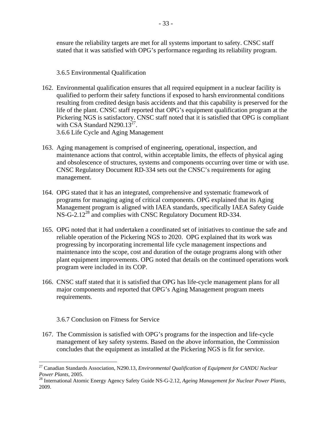ensure the reliability targets are met for all systems important to safety. CNSC staff stated that it was satisfied with OPG's performance regarding its reliability program.

# 3.6.5 Environmental Qualification

162. Environmental qualification ensures that all required equipment in a nuclear facility is qualified to perform their safety functions if exposed to harsh environmental conditions resulting from credited design basis accidents and that this capability is preserved for the life of the plant. CNSC staff reported that OPG's equipment qualification program at the Pickering NGS is satisfactory. CNSC staff noted that it is satisfied that OPG is compliant with CSA Standard N290.13 $^{27}$ .

3.6.6 Life Cycle and Aging Management

- 163. Aging management is comprised of engineering, operational, inspection, and maintenance actions that control, within acceptable limits, the effects of physical aging and obsolescence of structures, systems and components occurring over time or with use. CNSC Regulatory Document RD-334 sets out the CNSC's requirements for aging management.
- 164. OPG stated that it has an integrated, comprehensive and systematic framework of programs for managing aging of critical components. OPG explained that its Aging Management program is aligned with IAEA standards, specifically IAEA Safety Guide NS-G-2.12<sup>28</sup> and complies with CNSC Regulatory Document RD-334.
- 165. OPG noted that it had undertaken a coordinated set of initiatives to continue the safe and reliable operation of the Pickering NGS to 2020. OPG explained that its work was progressing by incorporating incremental life cycle management inspections and maintenance into the scope, cost and duration of the outage programs along with other plant equipment improvements. OPG noted that details on the continued operations work program were included in its COP.
- 166. CNSC staff stated that it is satisfied that OPG has life-cycle management plans for all major components and reported that OPG's Aging Management program meets requirements.

### 3.6.7 Conclusion on Fitness for Service

 $\overline{a}$ 

167. The Commission is satisfied with OPG's programs for the inspection and life-cycle management of key safety systems. Based on the above information, the Commission concludes that the equipment as installed at the Pickering NGS is fit for service.

<sup>27</sup> Canadian Standards Association, N290.13*, Environmental Qualification of Equipment for CANDU Nuclear* 

*Power Plants*, 2005. 28 International Atomic Energy Agency Safety Guide NS-G-2.12, *Ageing Management for Nuclear Power Plants*, 2009.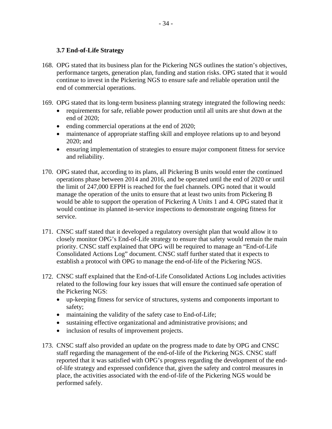### **3.7 End-of-Life Strategy**

- 168. OPG stated that its business plan for the Pickering NGS outlines the station's objectives, performance targets, generation plan, funding and station risks. OPG stated that it would continue to invest in the Pickering NGS to ensure safe and reliable operation until the end of commercial operations.
- 169. OPG stated that its long-term business planning strategy integrated the following needs:
	- requirements for safe, reliable power production until all units are shut down at the end of 2020;
	- ending commercial operations at the end of 2020;
	- maintenance of appropriate staffing skill and employee relations up to and beyond 2020; and
	- ensuring implementation of strategies to ensure major component fitness for service and reliability.
- 170. OPG stated that, according to its plans, all Pickering B units would enter the continued operations phase between 2014 and 2016, and be operated until the end of 2020 or until the limit of 247,000 EFPH is reached for the fuel channels. OPG noted that it would manage the operation of the units to ensure that at least two units from Pickering B would be able to support the operation of Pickering A Units 1 and 4. OPG stated that it would continue its planned in-service inspections to demonstrate ongoing fitness for service.
- 171. CNSC staff stated that it developed a regulatory oversight plan that would allow it to closely monitor OPG's End-of-Life strategy to ensure that safety would remain the main priority. CNSC staff explained that OPG will be required to manage an "End-of-Life Consolidated Actions Log" document. CNSC staff further stated that it expects to establish a protocol with OPG to manage the end-of-life of the Pickering NGS.
- 172. CNSC staff explained that the End-of-Life Consolidated Actions Log includes activities related to the following four key issues that will ensure the continued safe operation of the Pickering NGS:
	- up-keeping fitness for service of structures, systems and components important to safety;
	- maintaining the validity of the safety case to End-of-Life;
	- sustaining effective organizational and administrative provisions; and
	- inclusion of results of improvement projects.
- 173. CNSC staff also provided an update on the progress made to date by OPG and CNSC staff regarding the management of the end-of-life of the Pickering NGS. CNSC staff reported that it was satisfied with OPG's progress regarding the development of the endof-life strategy and expressed confidence that, given the safety and control measures in place, the activities associated with the end-of-life of the Pickering NGS would be performed safely.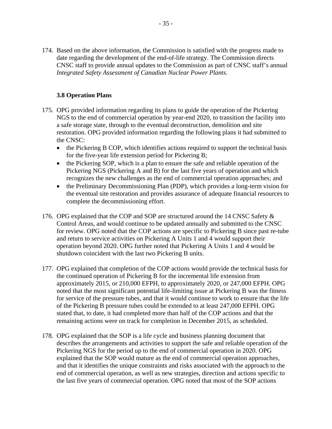174. Based on the above information, the Commission is satisfied with the progress made to date regarding the development of the end-of-life strategy. The Commission directs CNSC staff to provide annual updates to the Commission as part of CNSC staff's annual *Integrated Safety Assessment of Canadian Nuclear Power Plants*.

# **3.8 Operation Plans**

- 175. OPG provided information regarding its plans to guide the operation of the Pickering NGS to the end of commercial operation by year-end 2020, to transition the facility into a safe storage state, through to the eventual deconstruction, demolition and site restoration. OPG provided information regarding the following plans it had submitted to the CNSC:
	- the Pickering B COP, which identifies actions required to support the technical basis for the five-year life extension period for Pickering B;
	- the Pickering SOP, which is a plan to ensure the safe and reliable operation of the Pickering NGS (Pickering A and B) for the last five years of operation and which recognizes the new challenges as the end of commercial operation approaches; and
	- the Preliminary Decommissioning Plan (PDP), which provides a long-term vision for the eventual site restoration and provides assurance of adequate financial resources to complete the decommissioning effort.
- 176. OPG explained that the COP and SOP are structured around the 14 CNSC Safety  $\&$ Control Areas, and would continue to be updated annually and submitted to the CNSC for review. OPG noted that the COP actions are specific to Pickering B since past re-tube and return to service activities on Pickering A Units 1 and 4 would support their operation beyond 2020. OPG further noted that Pickering A Units 1 and 4 would be shutdown coincident with the last two Pickering B units.
- 177. OPG explained that completion of the COP actions would provide the technical basis for the continued operation of Pickering B for the incremental life extension from approximately 2015, or 210,000 EFPH, to approximately 2020, or 247,000 EFPH. OPG noted that the most significant potential life-limiting issue at Pickering B was the fitness for service of the pressure tubes, and that it would continue to work to ensure that the life of the Pickering B pressure tubes could be extended to at least 247,000 EFPH. OPG stated that, to date, it had completed more than half of the COP actions and that the remaining actions were on track for completion in December 2015, as scheduled.
- 178. OPG explained that the SOP is a life cycle and business planning document that describes the arrangements and activities to support the safe and reliable operation of the Pickering NGS for the period up to the end of commercial operation in 2020. OPG explained that the SOP would mature as the end of commercial operation approaches, and that it identifies the unique constraints and risks associated with the approach to the end of commercial operation, as well as new strategies, direction and actions specific to the last five years of commercial operation. OPG noted that most of the SOP actions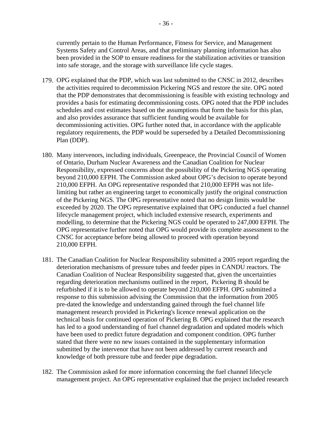currently pertain to the Human Performance, Fitness for Service, and Management Systems Safety and Control Areas, and that preliminary planning information has also been provided in the SOP to ensure readiness for the stabilization activities or transition into safe storage, and the storage with surveillance life cycle stages.

- 179. OPG explained that the PDP, which was last submitted to the CNSC in 2012, describes the activities required to decommission Pickering NGS and restore the site. OPG noted that the PDP demonstrates that decommissioning is feasible with existing technology and provides a basis for estimating decommissioning costs. OPG noted that the PDP includes schedules and cost estimates based on the assumptions that form the basis for this plan, and also provides assurance that sufficient funding would be available for decommissioning activities. OPG further noted that, in accordance with the applicable regulatory requirements, the PDP would be superseded by a Detailed Decommissioning Plan (DDP).
- 180. Many intervenors, including individuals, Greenpeace, the Provincial Council of Women of Ontario, Durham Nuclear Awareness and the Canadian Coalition for Nuclear Responsibility, expressed concerns about the possibility of the Pickering NGS operating beyond 210,000 EFPH. The Commission asked about OPG's decision to operate beyond 210,000 EFPH. An OPG representative responded that 210,000 EFPH was not lifelimiting but rather an engineering target to economically justify the original construction of the Pickering NGS. The OPG representative noted that no design limits would be exceeded by 2020. The OPG representative explained that OPG conducted a fuel channel lifecycle management project, which included extensive research, experiments and modelling, to determine that the Pickering NGS could be operated to 247,000 EFPH. The OPG representative further noted that OPG would provide its complete assessment to the CNSC for acceptance before being allowed to proceed with operation beyond 210,000 EFPH.
- 181. The Canadian Coalition for Nuclear Responsibility submitted a 2005 report regarding the deterioration mechanisms of pressure tubes and feeder pipes in CANDU reactors. The Canadian Coalition of Nuclear Responsibility suggested that, given the uncertainties regarding deterioration mechanisms outlined in the report, Pickering B should be refurbished if it is to be allowed to operate beyond 210,000 EFPH. OPG submitted a response to this submission advising the Commission that the information from 2005 pre-dated the knowledge and understanding gained through the fuel channel life management research provided in Pickering's licence renewal application on the technical basis for continued operation of Pickering B. OPG explained that the research has led to a good understanding of fuel channel degradation and updated models which have been used to predict future degradation and component condition. OPG further stated that there were no new issues contained in the supplementary information submitted by the intervenor that have not been addressed by current research and knowledge of both pressure tube and feeder pipe degradation.
- 182. The Commission asked for more information concerning the fuel channel lifecycle management project. An OPG representative explained that the project included research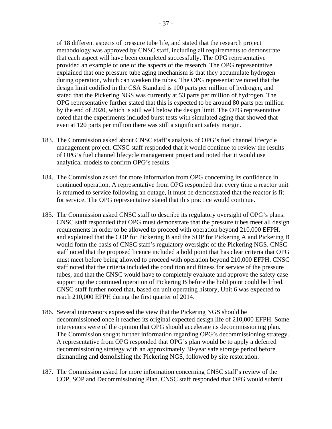of 18 different aspects of pressure tube life, and stated that the research project methodology was approved by CNSC staff, including all requirements to demonstrate that each aspect will have been completed successfully. The OPG representative provided an example of one of the aspects of the research. The OPG representative explained that one pressure tube aging mechanism is that they accumulate hydrogen during operation, which can weaken the tubes. The OPG representative noted that the design limit codified in the CSA Standard is 100 parts per million of hydrogen, and stated that the Pickering NGS was currently at 53 parts per million of hydrogen. The OPG representative further stated that this is expected to be around 80 parts per million by the end of 2020, which is still well below the design limit. The OPG representative noted that the experiments included burst tests with simulated aging that showed that even at 120 parts per million there was still a significant safety margin.

- 183. The Commission asked about CNSC staff's analysis of OPG's fuel channel lifecycle management project. CNSC staff responded that it would continue to review the results of OPG's fuel channel lifecycle management project and noted that it would use analytical models to confirm OPG's results.
- 184. The Commission asked for more information from OPG concerning its confidence in continued operation. A representative from OPG responded that every time a reactor unit is returned to service following an outage, it must be demonstrated that the reactor is fit for service. The OPG representative stated that this practice would continue.
- 185. The Commission asked CNSC staff to describe its regulatory oversight of OPG's plans. CNSC staff responded that OPG must demonstrate that the pressure tubes meet all design requirements in order to be allowed to proceed with operation beyond 210,000 EFPH, and explained that the COP for Pickering B and the SOP for Pickering A and Pickering B would form the basis of CNSC staff's regulatory oversight of the Pickering NGS. CNSC staff noted that the proposed licence included a hold point that has clear criteria that OPG must meet before being allowed to proceed with operation beyond 210,000 EFPH. CNSC staff noted that the criteria included the condition and fitness for service of the pressure tubes, and that the CNSC would have to completely evaluate and approve the safety case supporting the continued operation of Pickering B before the hold point could be lifted. CNSC staff further noted that, based on unit operating history, Unit 6 was expected to reach 210,000 EFPH during the first quarter of 2014.
- 186. Several intervenors expressed the view that the Pickering NGS should be decommissioned once it reaches its original expected design life of 210,000 EFPH. Some intervenors were of the opinion that OPG should accelerate its decommissioning plan. The Commission sought further information regarding OPG's decommissioning strategy. A representative from OPG responded that OPG's plan would be to apply a deferred decommissioning strategy with an approximately 30-year safe storage period before dismantling and demolishing the Pickering NGS, followed by site restoration.
- 187. The Commission asked for more information concerning CNSC staff's review of the COP, SOP and Decommissioning Plan. CNSC staff responded that OPG would submit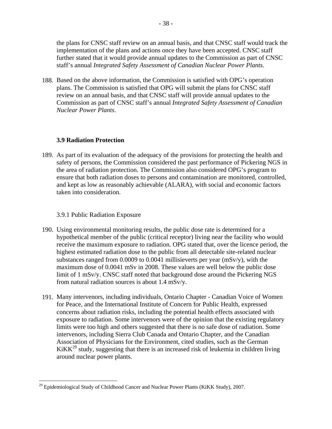the plans for CNSC staff review on an annual basis, and that CNSC staff would track the implementation of the plans and actions once they have been accepted. CNSC staff further stated that it would provide annual updates to the Commission as part of CNSC staff's annual *Integrated Safety Assessment of Canadian Nuclear Power Plants*.

188. Based on the above information, the Commission is satisfied with OPG's operation plans. The Commission is satisfied that OPG will submit the plans for CNSC staff review on an annual basis, and that CNSC staff will provide annual updates to the Commission as part of CNSC staff's annual *Integrated Safety Assessment of Canadian Nuclear Power Plants*.

### **3.9 Radiation Protection**

taken into consideration. 189. As part of its evaluation of the adequacy of the provisions for protecting the health and safety of persons, the Commission considered the past performance of Pickering NGS in the area of radiation protection. The Commission also considered OPG's program to ensure that both radiation doses to persons and contamination are monitored, controlled, and kept as low as reasonably achievable (ALARA), with social and economic factors

### 3.9.1 Public Radiation Exposure

<u>.</u>

- 190. Using environmental monitoring results, the public dose rate is determined for a hypothetical member of the public (critical receptor) living near the facility who would receive the maximum exposure to radiation. OPG stated that, over the licence period, the highest estimated radiation dose to the public from all detectable site-related nuclear substances ranged from 0.0009 to 0.0041 millisieverts per year (mSv/y), with the maximum dose of 0.0041 mSv in 2008. These values are well below the public dose limit of 1 mSv/y. CNSC staff noted that background dose around the Pickering NGS from natural radiation sources is about 1.4 mSv/y.
- 191. Many intervenors, including individuals, Ontario Chapter Canadian Voice of Women for Peace, and the International Institute of Concern for Public Health, expressed concerns about radiation risks, including the potential health effects associated with exposure to radiation. Some intervenors were of the opinion that the existing regulatory limits were too high and others suggested that there is no safe dose of radiation. Some intervenors, including Sierra Club Canada and Ontario Chapter, and the Canadian Association of Physicians for the Environment, cited studies, such as the German  $KiKK^{29}$  study, suggesting that there is an increased risk of leukemia in children living around nuclear power plants.

 $^{29}$  Epidemiological Study of Childhood Cancer and Nuclear Power Plants (KiKK Study), 2007.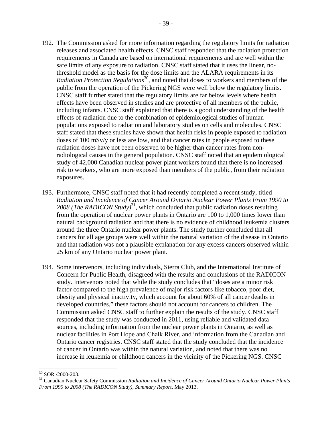- 192. The Commission asked for more information regarding the regulatory limits for radiation releases and associated health effects. CNSC staff responded that the radiation protection requirements in Canada are based on international requirements and are well within the safe limits of any exposure to radiation. CNSC staff stated that it uses the linear, nothreshold model as the basis for the dose limits and the ALARA requirements in its Radiation Protection Regulations<sup>30</sup>, and noted that doses to workers and members of the public from the operation of the Pickering NGS were well below the regulatory limits. CNSC staff further stated that the regulatory limits are far below levels where health effects have been observed in studies and are protective of all members of the public, including infants. CNSC staff explained that there is a good understanding of the health effects of radiation due to the combination of epidemiological studies of human populations exposed to radiation and laboratory studies on cells and molecules. CNSC staff stated that these studies have shown that health risks in people exposed to radiation doses of 100 mSv/y or less are low, and that cancer rates in people exposed to these radiation doses have not been observed to be higher than cancer rates from nonradiological causes in the general population. CNSC staff noted that an epidemiological study of 42,000 Canadian nuclear power plant workers found that there is no increased risk to workers, who are more exposed than members of the public, from their radiation exposures.
- 193. Furthermore, CNSC staff noted that it had recently completed a recent study, titled *Radiation and Incidence of Cancer Around Ontario Nuclear Power Plants From 1990 to*  2008 (The RADICON Study)<sup>31</sup>, which concluded that public radiation doses resulting from the operation of nuclear power plants in Ontario are 100 to 1,000 times lower than natural background radiation and that there is no evidence of childhood leukemia clusters around the three Ontario nuclear power plants. The study further concluded that all cancers for all age groups were well within the natural variation of the disease in Ontario and that radiation was not a plausible explanation for any excess cancers observed within 25 km of any Ontario nuclear power plant.
- 194. Some intervenors, including individuals, Sierra Club, and the International Institute of Concern for Public Health, disagreed with the results and conclusions of the RADICON study. Intervenors noted that while the study concludes that "doses are a minor risk factor compared to the high prevalence of major risk factors like tobacco, poor diet, obesity and physical inactivity, which account for about 60% of all cancer deaths in developed countries," these factors should not account for cancers to children. The Commission asked CNSC staff to further explain the results of the study. CNSC staff responded that the study was conducted in 2011, using reliable and validated data sources, including information from the nuclear power plants in Ontario, as well as nuclear facilities in Port Hope and Chalk River, and information from the Canadian and Ontario cancer registries. CNSC staff stated that the study concluded that the incidence of cancer in Ontario was within the natural variation, and noted that there was no increase in leukemia or childhood cancers in the vicinity of the Pickering NGS. CNSC

<sup>30</sup> SOR /2000-203.

<sup>31</sup> Canadian Nuclear Safety Commission *Radiation and Incidence of Cancer Around Ontario Nuclear Power Plants From 1990 to 2008 (The RADICON Study), Summary Report*, May 2013.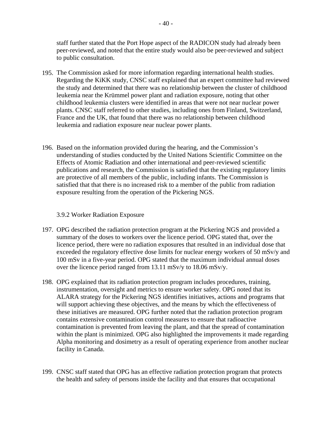staff further stated that the Port Hope aspect of the RADICON study had already been peer-reviewed, and noted that the entire study would also be peer-reviewed and subject to public consultation.

- 195. The Commission asked for more information regarding international health studies. Regarding the KiKK study, CNSC staff explained that an expert committee had reviewed the study and determined that there was no relationship between the cluster of childhood leukemia near the Krümmel power plant and radiation exposure, noting that other childhood leukemia clusters were identified in areas that were not near nuclear power plants. CNSC staff referred to other studies, including ones from Finland, Switzerland, France and the UK, that found that there was no relationship between childhood leukemia and radiation exposure near nuclear power plants.
- 196. Based on the information provided during the hearing, and the Commission's understanding of studies conducted by the United Nations Scientific Committee on the Effects of Atomic Radiation and other international and peer-reviewed scientific publications and research, the Commission is satisfied that the existing regulatory limits are protective of all members of the public, including infants. The Commission is satisfied that that there is no increased risk to a member of the public from radiation exposure resulting from the operation of the Pickering NGS.

### 3.9.2 Worker Radiation Exposure

- 197. OPG described the radiation protection program at the Pickering NGS and provided a summary of the doses to workers over the licence period. OPG stated that, over the licence period, there were no radiation exposures that resulted in an individual dose that exceeded the regulatory effective dose limits for nuclear energy workers of 50 mSv/y and 100 mSv in a five-year period. OPG stated that the maximum individual annual doses over the licence period ranged from 13.11 mSv/y to 18.06 mSv/y.
- 198. OPG explained that its radiation protection program includes procedures, training, instrumentation, oversight and metrics to ensure worker safety. OPG noted that its ALARA strategy for the Pickering NGS identifies initiatives, actions and programs that will support achieving these objectives, and the means by which the effectiveness of these initiatives are measured. OPG further noted that the radiation protection program contains extensive contamination control measures to ensure that radioactive contamination is prevented from leaving the plant, and that the spread of contamination within the plant is minimized. OPG also highlighted the improvements it made regarding Alpha monitoring and dosimetry as a result of operating experience from another nuclear facility in Canada.
- 199. CNSC staff stated that OPG has an effective radiation protection program that protects the health and safety of persons inside the facility and that ensures that occupational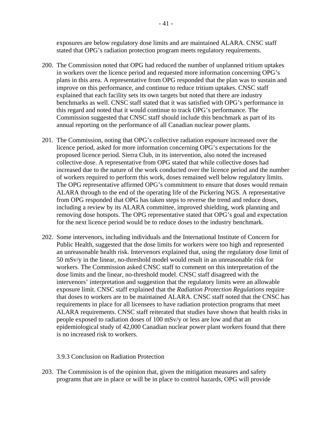exposures are below regulatory dose limits and are maintained ALARA. CNSC staff stated that OPG's radiation protection program meets regulatory requirements.

- 200. The Commission noted that OPG had reduced the number of unplanned tritium uptakes in workers over the licence period and requested more information concerning OPG's plans in this area. A representative from OPG responded that the plan was to sustain and improve on this performance, and continue to reduce tritium uptakes. CNSC staff explained that each facility sets its own targets but noted that there are industry benchmarks as well. CNSC staff stated that it was satisfied with OPG's performance in this regard and noted that it would continue to track OPG's performance. The Commission suggested that CNSC staff should include this benchmark as part of its annual reporting on the performance of all Canadian nuclear power plants.
- 201. The Commission, noting that OPG's collective radiation exposure increased over the licence period, asked for more information concerning OPG's expectations for the proposed licence period. Sierra Club, in its intervention, also noted the increased collective dose. A representative from OPG stated that while collective doses had increased due to the nature of the work conducted over the licence period and the number of workers required to perform this work, doses remained well below regulatory limits. The OPG representative affirmed OPG's commitment to ensure that doses would remain ALARA through to the end of the operating life of the Pickering NGS. A representative from OPG responded that OPG has taken steps to reverse the trend and reduce doses, including a review by its ALARA committee, improved shielding, work planning and removing dose hotspots. The OPG representative stated that OPG's goal and expectation for the next licence period would be to reduce doses to the industry benchmark.
- 202. Some intervenors, including individuals and the International Institute of Concern for Public Health, suggested that the dose limits for workers were too high and represented an unreasonable health risk. Intervenors explained that, using the regulatory dose limit of 50 mSv/y in the linear, no-threshold model would result in an unreasonable risk for workers. The Commission asked CNSC staff to comment on this interpretation of the dose limits and the linear, no-threshold model. CNSC staff disagreed with the intervenors' interpretation and suggestion that the regulatory limits were an allowable exposure limit. CNSC staff explained that the *Radiation Protection Regulations* require that doses to workers are to be maintained ALARA. CNSC staff noted that the CNSC has requirements in place for all licensees to have radiation protection programs that meet ALARA requirements. CNSC staff reiterated that studies have shown that health risks in people exposed to radiation doses of 100 mSv/y or less are low and that an epidemiological study of 42,000 Canadian nuclear power plant workers found that there is no increased risk to workers.

### 3.9.3 Conclusion on Radiation Protection

203. The Commission is of the opinion that, given the mitigation measures and safety programs that are in place or will be in place to control hazards, OPG will provide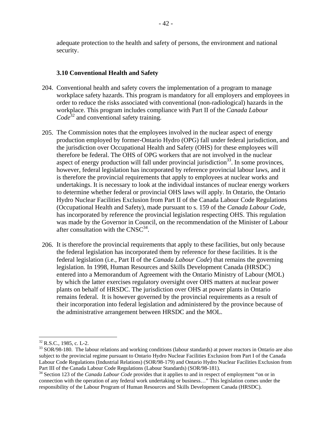adequate protection to the health and safety of persons, the environment and national security.

#### **3.10 Conventional Health and Safety**

- 204. Conventional health and safety covers the implementation of a program to manage workplace safety hazards. This program is mandatory for all employers and employees in order to reduce the risks associated with conventional (non-radiological) hazards in the workplace. This program includes compliance with Part II of the *Canada Labour Code*32 and conventional safety training.
- 205. The Commission notes that the employees involved in the nuclear aspect of energy production employed by former-Ontario Hydro (OPG) fall under federal jurisdiction, and the jurisdiction over Occupational Health and Safety (OHS) for these employees will therefore be federal. The OHS of OPG workers that are not involved in the nuclear aspect of energy production will fall under provincial jurisdiction<sup>33</sup>. In some provinces, however, federal legislation has incorporated by reference provincial labour laws, and it is therefore the provincial requirements that apply to employees at nuclear works and undertakings. It is necessary to look at the individual instances of nuclear energy workers to determine whether federal or provincial OHS laws will apply. In Ontario, the Ontario Hydro Nuclear Facilities Exclusion from Part II of the Canada Labour Code Regulations (Occupational Health and Safety), made pursuant to s. 159 of the *Canada Labour Code*, has incorporated by reference the provincial legislation respecting OHS. This regulation was made by the Governor in Council, on the recommendation of the Minister of Labour after consultation with the  $CNSC^{34}$ .
- 206. It is therefore the provincial requirements that apply to these facilities, but only because the federal legislation has incorporated them by reference for these facilities. It is the federal legislation (i.e., Part II of the *Canada Labour Code*) that remains the governing legislation. In 1998, Human Resources and Skills Development Canada (HRSDC) entered into a Memorandum of Agreement with the Ontario Ministry of Labour (MOL) by which the latter exercises regulatory oversight over OHS matters at nuclear power plants on behalf of HRSDC. The jurisdiction over OHS at power plants in Ontario remains federal. It is however governed by the provincial requirements as a result of their incorporation into federal legislation and administered by the province because of the administrative arrangement between HRSDC and the MOL.

 $32$  R.S.C., 1985, c. L-2.<br> $33$  SOR/98-180. The labour relations and working conditions (labour standards) at power reactors in Ontario are also subject to the provincial regime pursuant to Ontario Hydro Nuclear Facilities Exclusion from Part I of the Canada Labour Code Regulations (Industrial Relations) (SOR/98-179) and Ontario Hydro Nuclear Facilities Exclusion from Part III of the Canada Labour Code Regulations (Labour Standards) (SOR/98-181).

<sup>&</sup>lt;sup>34</sup> Section 123 of the *Canada Labour Code* provides that it applies to and in respect of employment "on or in connection with the operation of any federal work undertaking or business…" This legislation comes under the responsibility of the Labour Program of Human Resources and Skills Development Canada (HRSDC).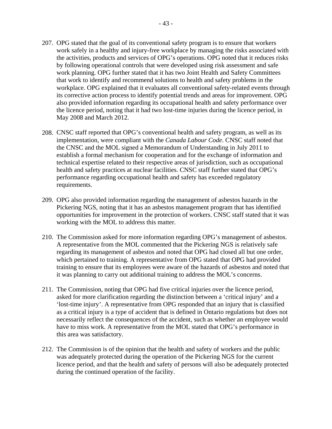- 207. OPG stated that the goal of its conventional safety program is to ensure that workers work safely in a healthy and injury-free workplace by managing the risks associated with the activities, products and services of OPG's operations. OPG noted that it reduces risks by following operational controls that were developed using risk assessment and safe work planning. OPG further stated that it has two Joint Health and Safety Committees that work to identify and recommend solutions to health and safety problems in the workplace. OPG explained that it evaluates all conventional safety-related events through its corrective action process to identify potential trends and areas for improvement. OPG also provided information regarding its occupational health and safety performance over the licence period, noting that it had two lost-time injuries during the licence period, in May 2008 and March 2012.
- 208. CNSC staff reported that OPG's conventional health and safety program, as well as its implementation, were compliant with the *Canada Labour Code*. CNSC staff noted that the CNSC and the MOL signed a Memorandum of Understanding in July 2011 to establish a formal mechanism for cooperation and for the exchange of information and technical expertise related to their respective areas of jurisdiction, such as occupational health and safety practices at nuclear facilities. CNSC staff further stated that OPG's performance regarding occupational health and safety has exceeded regulatory requirements.
- 209. OPG also provided information regarding the management of asbestos hazards in the Pickering NGS, noting that it has an asbestos management program that has identified opportunities for improvement in the protection of workers. CNSC staff stated that it was working with the MOL to address this matter.
- 210. The Commission asked for more information regarding OPG's management of asbestos. A representative from the MOL commented that the Pickering NGS is relatively safe regarding its management of asbestos and noted that OPG had closed all but one order, which pertained to training. A representative from OPG stated that OPG had provided training to ensure that its employees were aware of the hazards of asbestos and noted that it was planning to carry out additional training to address the MOL's concerns.
- 211. The Commission, noting that OPG had five critical injuries over the licence period, asked for more clarification regarding the distinction between a 'critical injury' and a 'lost-time injury'. A representative from OPG responded that an injury that is classified as a critical injury is a type of accident that is defined in Ontario regulations but does not necessarily reflect the consequences of the accident, such as whether an employee would have to miss work. A representative from the MOL stated that OPG's performance in this area was satisfactory.
- 212. The Commission is of the opinion that the health and safety of workers and the public was adequately protected during the operation of the Pickering NGS for the current licence period, and that the health and safety of persons will also be adequately protected during the continued operation of the facility.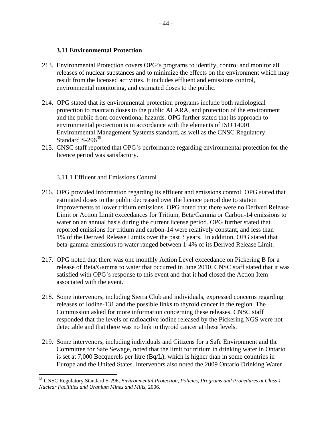### **3.11 Environmental Protection**

- 213. Environmental Protection covers OPG's programs to identify, control and monitor all releases of nuclear substances and to minimize the effects on the environment which may result from the licensed activities. It includes effluent and emissions control, environmental monitoring, and estimated doses to the public.
- 214. OPG stated that its environmental protection programs include both radiological protection to maintain doses to the public ALARA, and protection of the environment and the public from conventional hazards. OPG further stated that its approach to environmental protection is in accordance with the elements of ISO 14001 Environmental Management Systems standard, as well as the CNSC Regulatory Standard  $S-296^{35}$ .
- 215. CNSC staff reported that OPG's performance regarding environmental protection for the licence period was satisfactory.

3.11.1 Effluent and Emissions Control

- 216. OPG provided information regarding its effluent and emissions control. OPG stated that estimated doses to the public decreased over the licence period due to station improvements to lower tritium emissions. OPG noted that there were no Derived Release Limit or Action Limit exceedances for Tritium, Beta/Gamma or Carbon-14 emissions to water on an annual basis during the current license period. OPG further stated that reported emissions for tritium and carbon-14 were relatively constant, and less than 1% of the Derived Release Limits over the past 3 years. In addition, OPG stated that beta-gamma emissions to water ranged between 1-4% of its Derived Release Limit.
- 217. OPG noted that there was one monthly Action Level exceedance on Pickering B for a release of Beta/Gamma to water that occurred in June 2010. CNSC staff stated that it was satisfied with OPG's response to this event and that it had closed the Action Item associated with the event.
- 218. Some intervenors, including Sierra Club and individuals, expressed concerns regarding releases of Iodine-131 and the possible links to thyroid cancer in the region. The Commission asked for more information concerning these releases. CNSC staff responded that the levels of radioactive iodine released by the Pickering NGS were not detectable and that there was no link to thyroid cancer at these levels.
- 219. Some intervenors, including individuals and Citizens for a Safe Environment and the Committee for Safe Sewage, noted that the limit for tritium in drinking water in Ontario is set at 7,000 Becquerels per litre (Bq/L), which is higher than in some countries in Europe and the United States. Intervenors also noted the 2009 Ontario Drinking Water

<sup>35</sup> CNSC Regulatory Standard S-296, *Environmental Protection, Policies, Programs and Procedures at Class 1 Nuclear Facilities and Uranium Mines and Mills*, 2006.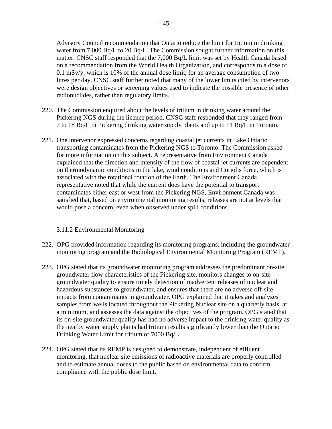litres per day. CNSC staff further noted that many of the lower limits cited by intervenors were design objectives or screening values used to indicate the possible presence of other radionuclides, rather than regulatory limits.

- 220. The Commission enquired about the levels of tritium in drinking water around the Pickering NGS during the licence period. CNSC staff responded that they ranged from 7 to 18 Bq/L in Pickering drinking water supply plants and up to 11 Bq/L in Toronto.
- 221. One intervenor expressed concerns regarding coastal jet currents in Lake Ontario transporting contaminates from the Pickering NGS to Toronto. The Commission asked for more information on this subject. A representative from Environment Canada explained that the direction and intensity of the flow of coastal jet currents are dependent on thermodynamic conditions in the lake, wind conditions and Coriolis force, which is associated with the rotational rotation of the Earth. The Environment Canada representative noted that while the current does have the potential to transport contaminates either east or west from the Pickering NGS, Environment Canada was satisfied that, based on environmental monitoring results, releases are not at levels that would pose a concern, even when observed under spill conditions.

# 3.11.2 Environmental Monitoring

- 222. OPG provided information regarding its monitoring programs, including the groundwater monitoring program and the Radiological Environmental Monitoring Program (REMP).
- 223. OPG stated that its groundwater monitoring program addresses the predominant on-site groundwater flow characteristics of the Pickering site, monitors changes to on-site groundwater quality to ensure timely detection of inadvertent releases of nuclear and hazardous substances to groundwater, and ensures that there are no adverse off-site impacts from contaminants in groundwater. OPG explained that it takes and analyzes samples from wells located throughout the Pickering Nuclear site on a quarterly basis, at a minimum, and assesses the data against the objectives of the program. OPG stated that its on-site groundwater quality has had no adverse impact to the drinking water quality as the nearby water supply plants had tritium results significantly lower than the Ontario Drinking Water Limit for tritium of 7000 Bq/L.
- 224. OPG stated that its REMP is designed to demonstrate, independent of effluent monitoring, that nuclear site emissions of radioactive materials are properly controlled and to estimate annual doses to the public based on environmental data to confirm compliance with the public dose limit.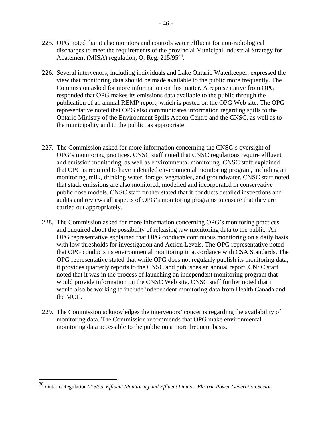- 225. OPG noted that it also monitors and controls water effluent for non-radiological discharges to meet the requirements of the provincial Municipal Industrial Strategy for Abatement (MISA) regulation, O. Reg. 215/95<sup>36</sup>.
- 226. Several intervenors, including individuals and Lake Ontario Waterkeeper, expressed the view that monitoring data should be made available to the public more frequently. The Commission asked for more information on this matter. A representative from OPG responded that OPG makes its emissions data available to the public through the publication of an annual REMP report, which is posted on the OPG Web site. The OPG representative noted that OPG also communicates information regarding spills to the Ontario Ministry of the Environment Spills Action Centre and the CNSC, as well as to the municipality and to the public, as appropriate.
- 227. The Commission asked for more information concerning the CNSC's oversight of OPG's monitoring practices. CNSC staff noted that CNSC regulations require effluent and emission monitoring, as well as environmental monitoring. CNSC staff explained that OPG is required to have a detailed environmental monitoring program, including air monitoring, milk, drinking water, forage, vegetables, and groundwater. CNSC staff noted that stack emissions are also monitored, modelled and incorporated in conservative public dose models. CNSC staff further stated that it conducts detailed inspections and audits and reviews all aspects of OPG's monitoring programs to ensure that they are carried out appropriately.
- 228. The Commission asked for more information concerning OPG's monitoring practices and enquired about the possibility of releasing raw monitoring data to the public. An OPG representative explained that OPG conducts continuous monitoring on a daily basis with low thresholds for investigation and Action Levels. The OPG representative noted that OPG conducts its environmental monitoring in accordance with CSA Standards. The OPG representative stated that while OPG does not regularly publish its monitoring data, it provides quarterly reports to the CNSC and publishes an annual report. CNSC staff noted that it was in the process of launching an independent monitoring program that would provide information on the CNSC Web site. CNSC staff further noted that it would also be working to include independent monitoring data from Health Canada and the MOL.
- 229. The Commission acknowledges the intervenors' concerns regarding the availability of monitoring data. The Commission recommends that OPG make environmental monitoring data accessible to the public on a more frequent basis.

<sup>36</sup> Ontario Regulation 215/95, *Effluent Monitoring and Effluent Limits – Electric Power Generation Sector*.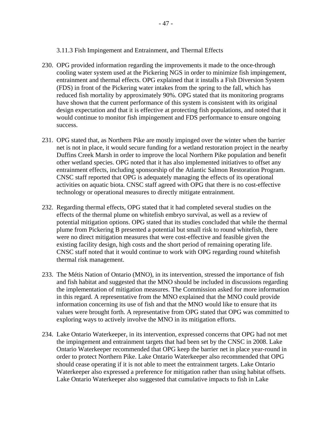- 3.11.3 Fish Impingement and Entrainment, and Thermal Effects
- 230. OPG provided information regarding the improvements it made to the once-through cooling water system used at the Pickering NGS in order to minimize fish impingement, entrainment and thermal effects. OPG explained that it installs a Fish Diversion System (FDS) in front of the Pickering water intakes from the spring to the fall, which has reduced fish mortality by approximately 90%. OPG stated that its monitoring programs have shown that the current performance of this system is consistent with its original design expectation and that it is effective at protecting fish populations, and noted that it would continue to monitor fish impingement and FDS performance to ensure ongoing success.
- 231. OPG stated that, as Northern Pike are mostly impinged over the winter when the barrier net is not in place, it would secure funding for a wetland restoration project in the nearby Duffins Creek Marsh in order to improve the local Northern Pike population and benefit other wetland species. OPG noted that it has also implemented initiatives to offset any entrainment effects, including sponsorship of the Atlantic Salmon Restoration Program. CNSC staff reported that OPG is adequately managing the effects of its operational activities on aquatic biota. CNSC staff agreed with OPG that there is no cost-effective technology or operational measures to directly mitigate entrainment.
- 232. Regarding thermal effects, OPG stated that it had completed several studies on the effects of the thermal plume on whitefish embryo survival, as well as a review of potential mitigation options. OPG stated that its studies concluded that while the thermal plume from Pickering B presented a potential but small risk to round whitefish, there were no direct mitigation measures that were cost-effective and feasible given the existing facility design, high costs and the short period of remaining operating life. CNSC staff noted that it would continue to work with OPG regarding round whitefish thermal risk management.
- 233. The Métis Nation of Ontario (MNO), in its intervention, stressed the importance of fish and fish habitat and suggested that the MNO should be included in discussions regarding the implementation of mitigation measures. The Commission asked for more information in this regard. A representative from the MNO explained that the MNO could provide information concerning its use of fish and that the MNO would like to ensure that its values were brought forth. A representative from OPG stated that OPG was committed to exploring ways to actively involve the MNO in its mitigation efforts.
- 234. Lake Ontario Waterkeeper, in its intervention, expressed concerns that OPG had not met the impingement and entrainment targets that had been set by the CNSC in 2008. Lake Ontario Waterkeeper recommended that OPG keep the barrier net in place year-round in order to protect Northern Pike. Lake Ontario Waterkeeper also recommended that OPG should cease operating if it is not able to meet the entrainment targets. Lake Ontario Waterkeeper also expressed a preference for mitigation rather than using habitat offsets. Lake Ontario Waterkeeper also suggested that cumulative impacts to fish in Lake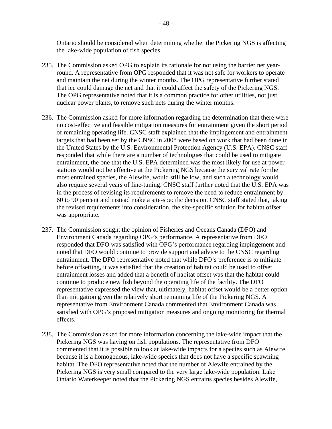Ontario should be considered when determining whether the Pickering NGS is affecting the lake-wide population of fish species.

- 235. The Commission asked OPG to explain its rationale for not using the barrier net yearround. A representative from OPG responded that it was not safe for workers to operate and maintain the net during the winter months. The OPG representative further stated that ice could damage the net and that it could affect the safety of the Pickering NGS. The OPG representative noted that it is a common practice for other utilities, not just nuclear power plants, to remove such nets during the winter months.
- 236. The Commission asked for more information regarding the determination that there were no cost-effective and feasible mitigation measures for entrainment given the short period of remaining operating life. CNSC staff explained that the impingement and entrainment targets that had been set by the CNSC in 2008 were based on work that had been done in the United States by the U.S. Environmental Protection Agency (U.S. EPA). CNSC staff responded that while there are a number of technologies that could be used to mitigate entrainment, the one that the U.S. EPA determined was the most likely for use at power stations would not be effective at the Pickering NGS because the survival rate for the most entrained species, the Alewife, would still be low, and such a technology would also require several years of fine-tuning. CNSC staff further noted that the U.S. EPA was in the process of revising its requirements to remove the need to reduce entrainment by 60 to 90 percent and instead make a site-specific decision. CNSC staff stated that, taking the revised requirements into consideration, the site-specific solution for habitat offset was appropriate.
- 237. The Commission sought the opinion of Fisheries and Oceans Canada (DFO) and Environment Canada regarding OPG's performance. A representative from DFO responded that DFO was satisfied with OPG's performance regarding impingement and noted that DFO would continue to provide support and advice to the CNSC regarding entrainment. The DFO representative noted that while DFO's preference is to mitigate before offsetting, it was satisfied that the creation of habitat could be used to offset entrainment losses and added that a benefit of habitat offset was that the habitat could continue to produce new fish beyond the operating life of the facility. The DFO representative expressed the view that, ultimately, habitat offset would be a better option than mitigation given the relatively short remaining life of the Pickering NGS. A representative from Environment Canada commented that Environment Canada was satisfied with OPG's proposed mitigation measures and ongoing monitoring for thermal effects.
- 238. The Commission asked for more information concerning the lake-wide impact that the Pickering NGS was having on fish populations. The representative from DFO commented that it is possible to look at lake-wide impacts for a species such as Alewife, because it is a homogenous, lake-wide species that does not have a specific spawning habitat. The DFO representative noted that the number of Alewife entrained by the Pickering NGS is very small compared to the very large lake-wide population. Lake Ontario Waterkeeper noted that the Pickering NGS entrains species besides Alewife,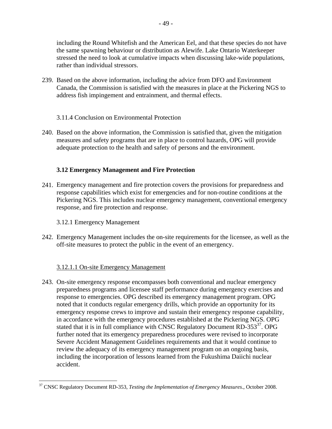including the Round Whitefish and the American Eel, and that these species do not have the same spawning behaviour or distribution as Alewife. Lake Ontario Waterkeeper stressed the need to look at cumulative impacts when discussing lake-wide populations, rather than individual stressors.

- 239. Based on the above information, including the advice from DFO and Environment Canada, the Commission is satisfied with the measures in place at the Pickering NGS to address fish impingement and entrainment, and thermal effects.
	- 3.11.4 Conclusion on Environmental Protection
- 240. Based on the above information, the Commission is satisfied that, given the mitigation measures and safety programs that are in place to control hazards, OPG will provide adequate protection to the health and safety of persons and the environment.

# **3.12 Emergency Management and Fire Protection**

- 241. Emergency management and fire protection covers the provisions for preparedness and response capabilities which exist for emergencies and for non-routine conditions at the Pickering NGS. This includes nuclear emergency management, conventional emergency response, and fire protection and response.
	- 3.12.1 Emergency Management

 $\overline{a}$ 

242. Emergency Management includes the on-site requirements for the licensee, as well as the off-site measures to protect the public in the event of an emergency.

# 3.12.1.1 On-site Emergency Management

243. On-site emergency response encompasses both conventional and nuclear emergency preparedness programs and licensee staff performance during emergency exercises and response to emergencies. OPG described its emergency management program. OPG noted that it conducts regular emergency drills, which provide an opportunity for its emergency response crews to improve and sustain their emergency response capability, in accordance with the emergency procedures established at the Pickering NGS. OPG stated that it is in full compliance with CNSC Regulatory Document RD-353 $37$ . OPG further noted that its emergency preparedness procedures were revised to incorporate Severe Accident Management Guidelines requirements and that it would continue to review the adequacy of its emergency management program on an ongoing basis, including the incorporation of lessons learned from the Fukushima Daiichi nuclear accident.

<sup>37</sup> CNSC Regulatory Document RD-353, *Testing the Implementation of Emergency Measures*., October 2008.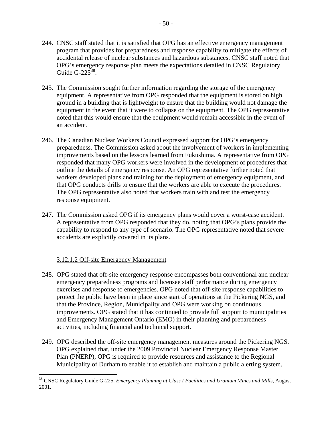- 50 -

- 244. CNSC staff stated that it is satisfied that OPG has an effective emergency management program that provides for preparedness and response capability to mitigate the effects of accidental release of nuclear substances and hazardous substances. CNSC staff noted that OPG's emergency response plan meets the expectations detailed in CNSC Regulatory Guide G-22 $5^{38}$ .
- 245. The Commission sought further information regarding the storage of the emergency equipment. A representative from OPG responded that the equipment is stored on high ground in a building that is lightweight to ensure that the building would not damage the equipment in the event that it were to collapse on the equipment. The OPG representative noted that this would ensure that the equipment would remain accessible in the event of an accident.
- 246. The Canadian Nuclear Workers Council expressed support for OPG's emergency preparedness. The Commission asked about the involvement of workers in implementing improvements based on the lessons learned from Fukushima. A representative from OPG responded that many OPG workers were involved in the development of procedures that outline the details of emergency response. An OPG representative further noted that workers developed plans and training for the deployment of emergency equipment, and that OPG conducts drills to ensure that the workers are able to execute the procedures. The OPG representative also noted that workers train with and test the emergency response equipment.
- 247. The Commission asked OPG if its emergency plans would cover a worst-case accident. A representative from OPG responded that they do, noting that OPG's plans provide the capability to respond to any type of scenario. The OPG representative noted that severe accidents are explicitly covered in its plans.

# 3.12.1.2 Off-site Emergency Management

1

- 248. OPG stated that off-site emergency response encompasses both conventional and nuclear emergency preparedness programs and licensee staff performance during emergency exercises and response to emergencies. OPG noted that off-site response capabilities to protect the public have been in place since start of operations at the Pickering NGS, and that the Province, Region, Municipality and OPG were working on continuous improvements. OPG stated that it has continued to provide full support to municipalities and Emergency Management Ontario (EMO) in their planning and preparedness activities, including financial and technical support.
- 249. OPG described the off-site emergency management measures around the Pickering NGS. OPG explained that, under the 2009 Provincial Nuclear Emergency Response Master Plan (PNERP), OPG is required to provide resources and assistance to the Regional Municipality of Durham to enable it to establish and maintain a public alerting system.

<sup>38</sup> CNSC Regulatory Guide G-225, *Emergency Planning at Class I Facilities and Uranium Mines and Mills*, August 2001.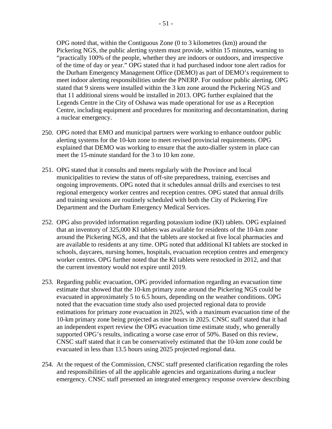- 51 -

OPG noted that, within the Contiguous Zone (0 to 3 kilometres (km)) around the Pickering NGS, the public alerting system must provide, within 15 minutes, warning to "practically 100% of the people, whether they are indoors or outdoors, and irrespective of the time of day or year." OPG stated that it had purchased indoor tone alert radios for the Durham Emergency Management Office (DEMO) as part of DEMO's requirement to meet indoor alerting responsibilities under the PNERP. For outdoor public alerting, OPG stated that 9 sirens were installed within the 3 km zone around the Pickering NGS and that 11 additional sirens would be installed in 2013. OPG further explained that the Legends Centre in the City of Oshawa was made operational for use as a Reception Centre, including equipment and procedures for monitoring and decontamination, during a nuclear emergency.

- 250. OPG noted that EMO and municipal partners were working to enhance outdoor public alerting systems for the 10-km zone to meet revised provincial requirements. OPG explained that DEMO was working to ensure that the auto-dialler system in place can meet the 15-minute standard for the 3 to 10 km zone.
- 251. OPG stated that it consults and meets regularly with the Province and local municipalities to review the status of off-site preparedness, training, exercises and ongoing improvements. OPG noted that it schedules annual drills and exercises to test regional emergency worker centres and reception centres. OPG stated that annual drills and training sessions are routinely scheduled with both the City of Pickering Fire Department and the Durham Emergency Medical Services.
- 252. OPG also provided information regarding potassium iodine (KI) tablets. OPG explained that an inventory of 325,000 KI tablets was available for residents of the 10-km zone around the Pickering NGS, and that the tablets are stocked at five local pharmacies and are available to residents at any time. OPG noted that additional KI tablets are stocked in schools, daycares, nursing homes, hospitals, evacuation reception centres and emergency worker centres. OPG further noted that the KI tablets were restocked in 2012, and that the current inventory would not expire until 2019.
- 253. Regarding public evacuation, OPG provided information regarding an evacuation time estimate that showed that the 10-km primary zone around the Pickering NGS could be evacuated in approximately 5 to 6.5 hours, depending on the weather conditions. OPG noted that the evacuation time study also used projected regional data to provide estimations for primary zone evacuation in 2025, with a maximum evacuation time of the 10-km primary zone being projected as nine hours in 2025. CNSC staff stated that it had an independent expert review the OPG evacuation time estimate study, who generally supported OPG's results, indicating a worse case error of 50%. Based on this review, CNSC staff stated that it can be conservatively estimated that the 10-km zone could be evacuated in less than 13.5 hours using 2025 projected regional data.
- 254. At the request of the Commission, CNSC staff presented clarification regarding the roles and responsibilities of all the applicable agencies and organizations during a nuclear emergency. CNSC staff presented an integrated emergency response overview describing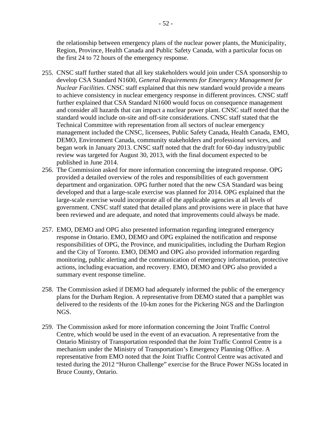the relationship between emergency plans of the nuclear power plants, the Municipality, Region, Province, Health Canada and Public Safety Canada, with a particular focus on the first 24 to 72 hours of the emergency response.

- 255. CNSC staff further stated that all key stakeholders would join under CSA sponsorship to develop CSA Standard N1600, *General Requirements for Emergency Management for Nuclear Facilities*. CNSC staff explained that this new standard would provide a means to achieve consistency in nuclear emergency response in different provinces. CNSC staff further explained that CSA Standard N1600 would focus on consequence management and consider all hazards that can impact a nuclear power plant. CNSC staff noted that the standard would include on-site and off-site considerations. CNSC staff stated that the Technical Committee with representation from all sectors of nuclear emergency management included the CNSC, licensees, Public Safety Canada, Health Canada, EMO, DEMO, Environment Canada, community stakeholders and professional services, and began work in January 2013. CNSC staff noted that the draft for 60-day industry/public review was targeted for August 30, 2013, with the final document expected to be published in June 2014.
- 256. The Commission asked for more information concerning the integrated response. OPG provided a detailed overview of the roles and responsibilities of each government department and organization. OPG further noted that the new CSA Standard was being developed and that a large-scale exercise was planned for 2014. OPG explained that the large-scale exercise would incorporate all of the applicable agencies at all levels of government. CNSC staff stated that detailed plans and provisions were in place that have been reviewed and are adequate, and noted that improvements could always be made.
- 257. EMO, DEMO and OPG also presented information regarding integrated emergency response in Ontario. EMO, DEMO and OPG explained the notification and response responsibilities of OPG, the Province, and municipalities, including the Durham Region and the City of Toronto. EMO, DEMO and OPG also provided information regarding monitoring, public alerting and the communication of emergency information, protective actions, including evacuation, and recovery. EMO, DEMO and OPG also provided a summary event response timeline.
- 258. The Commission asked if DEMO had adequately informed the public of the emergency plans for the Durham Region. A representative from DEMO stated that a pamphlet was delivered to the residents of the 10-km zones for the Pickering NGS and the Darlington NGS.
- 259. The Commission asked for more information concerning the Joint Traffic Control Centre, which would be used in the event of an evacuation. A representative from the Ontario Ministry of Transportation responded that the Joint Traffic Control Centre is a mechanism under the Ministry of Transportation's Emergency Planning Office. A representative from EMO noted that the Joint Traffic Control Centre was activated and tested during the 2012 "Huron Challenge" exercise for the Bruce Power NGSs located in Bruce County, Ontario.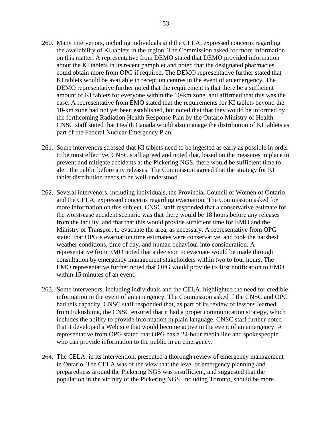- 260. Many intervenors, including individuals and the CELA, expressed concerns regarding the availability of KI tablets in the region. The Commission asked for more information on this matter. A representative from DEMO stated that DEMO provided information about the KI tablets in its recent pamphlet and noted that the designated pharmacies could obtain more from OPG if required. The DEMO representative further stated that KI tablets would be available in reception centres in the event of an emergency. The DEMO representative further noted that the requirement is that there be a sufficient amount of KI tablets for everyone within the 10-km zone, and affirmed that this was the case. A representative from EMO stated that the requirements for KI tablets beyond the 10-km zone had not yet been established, but noted that that they would be informed by the forthcoming Radiation Health Response Plan by the Ontario Ministry of Health. CNSC staff stated that Health Canada would also manage the distribution of KI tablets as part of the Federal Nuclear Emergency Plan.
- 261. Some intervenors stressed that KI tablets need to be ingested as early as possible in order to be most effective. CNSC staff agreed and noted that, based on the measures in place to prevent and mitigate accidents at the Pickering NGS, there would be sufficient time to alert the public before any releases. The Commission agreed that the strategy for KI tablet distribution needs to be well-understood.
- 262. Several intervenors, including individuals, the Provincial Council of Women of Ontario and the CELA, expressed concerns regarding evacuation. The Commission asked for more information on this subject. CNSC staff responded that a conservative estimate for the worst-case accident scenario was that there would be 18 hours before any releases from the facility, and that that this would provide sufficient time for EMO and the Ministry of Transport to evacuate the area, as necessary. A representative from OPG stated that OPG's evacuation time estimates were conservative, and took the harshest weather conditions, time of day, and human behaviour into consideration. A representative from EMO noted that a decision to evacuate would be made through consultation by emergency management stakeholders within two to four hours. The EMO representative further noted that OPG would provide its first notification to EMO within 15 minutes of an event.
- 263. Some intervenors, including individuals and the CELA, highlighted the need for credible information in the event of an emergency. The Commission asked if the CNSC and OPG had this capacity. CNSC staff responded that, as part of its review of lessons learned from Fukushima, the CNSC ensured that it had a proper communication strategy, which includes the ability to provide information in plain language. CNSC staff further noted that it developed a Web site that would become active in the event of an emergency. A representative from OPG stated that OPG has a 24-hour media line and spokespeople who can provide information to the public in an emergency.
- 264. The CELA, in its intervention, presented a thorough review of emergency management in Ontario. The CELA was of the view that the level of emergency planning and preparedness around the Pickering NGS was insufficient, and suggested that the population in the vicinity of the Pickering NGS, including Toronto, should be more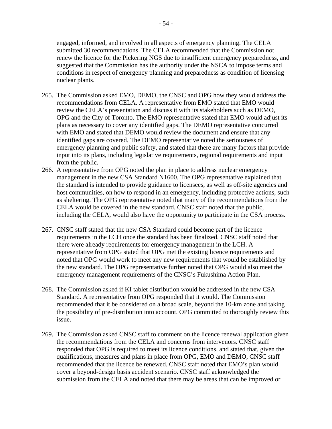engaged, informed, and involved in all aspects of emergency planning. The CELA submitted 30 recommendations. The CELA recommended that the Commission not renew the licence for the Pickering NGS due to insufficient emergency preparedness, and suggested that the Commission has the authority under the NSCA to impose terms and conditions in respect of emergency planning and preparedness as condition of licensing nuclear plants.

- 265. The Commission asked EMO, DEMO, the CNSC and OPG how they would address the recommendations from CELA. A representative from EMO stated that EMO would review the CELA's presentation and discuss it with its stakeholders such as DEMO, OPG and the City of Toronto. The EMO representative stated that EMO would adjust its plans as necessary to cover any identified gaps. The DEMO representative concurred with EMO and stated that DEMO would review the document and ensure that any identified gaps are covered. The DEMO representative noted the seriousness of emergency planning and public safety, and stated that there are many factors that provide input into its plans, including legislative requirements, regional requirements and input from the public.
- 266. A representative from OPG noted the plan in place to address nuclear emergency management in the new CSA Standard N1600. The OPG representative explained that the standard is intended to provide guidance to licensees, as well as off-site agencies and host communities, on how to respond in an emergency, including protective actions, such as sheltering. The OPG representative noted that many of the recommendations from the CELA would be covered in the new standard. CNSC staff noted that the public, including the CELA, would also have the opportunity to participate in the CSA process.
- 267. CNSC staff stated that the new CSA Standard could become part of the licence requirements in the LCH once the standard has been finalized. CNSC staff noted that there were already requirements for emergency management in the LCH. A representative from OPG stated that OPG met the existing licence requirements and noted that OPG would work to meet any new requirements that would be established by the new standard. The OPG representative further noted that OPG would also meet the emergency management requirements of the CNSC's Fukushima Action Plan.
- 268. The Commission asked if KI tablet distribution would be addressed in the new CSA Standard. A representative from OPG responded that it would. The Commission recommended that it be considered on a broad scale, beyond the 10-km zone and taking the possibility of pre-distribution into account. OPG committed to thoroughly review this issue.
- 269. The Commission asked CNSC staff to comment on the licence renewal application given the recommendations from the CELA and concerns from intervenors. CNSC staff responded that OPG is required to meet its licence conditions, and stated that, given the qualifications, measures and plans in place from OPG, EMO and DEMO, CNSC staff recommended that the licence be renewed. CNSC staff noted that EMO's plan would cover a beyond-design basis accident scenario. CNSC staff acknowledged the submission from the CELA and noted that there may be areas that can be improved or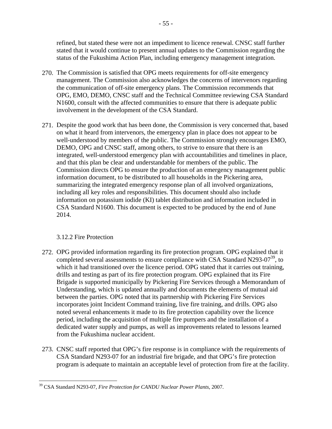refined, but stated these were not an impediment to licence renewal. CNSC staff further stated that it would continue to present annual updates to the Commission regarding the status of the Fukushima Action Plan, including emergency management integration.

- 270. The Commission is satisfied that OPG meets requirements for off-site emergency management. The Commission also acknowledges the concerns of intervenors regarding the communication of off-site emergency plans. The Commission recommends that OPG, EMO, DEMO, CNSC staff and the Technical Committee reviewing CSA Standard N1600, consult with the affected communities to ensure that there is adequate public involvement in the development of the CSA Standard.
- 271. Despite the good work that has been done, the Commission is very concerned that, based on what it heard from intervenors, the emergency plan in place does not appear to be well-understood by members of the public. The Commission strongly encourages EMO, DEMO, OPG and CNSC staff, among others, to strive to ensure that there is an integrated, well-understood emergency plan with accountabilities and timelines in place, and that this plan be clear and understandable for members of the public. The Commission directs OPG to ensure the production of an emergency management public information document, to be distributed to all households in the Pickering area, summarizing the integrated emergency response plan of all involved organizations, including all key roles and responsibilities. This document should also include information on potassium iodide (KI) tablet distribution and information included in CSA Standard N1600. This document is expected to be produced by the end of June 2014.

# 3.12.2 Fire Protection

- 272. OPG provided information regarding its fire protection program. OPG explained that it completed several assessments to ensure compliance with CSA Standard N293-07<sup>39</sup>, to which it had transitioned over the licence period. OPG stated that it carries out training, drills and testing as part of its fire protection program. OPG explained that its Fire Brigade is supported municipally by Pickering Fire Services through a Memorandum of Understanding, which is updated annually and documents the elements of mutual aid between the parties. OPG noted that its partnership with Pickering Fire Services incorporates joint Incident Command training, live fire training, and drills. OPG also noted several enhancements it made to its fire protection capability over the licence period, including the acquisition of multiple fire pumpers and the installation of a dedicated water supply and pumps, as well as improvements related to lessons learned from the Fukushima nuclear accident.
- 273. CNSC staff reported that OPG's fire response is in compliance with the requirements of CSA Standard N293-07 for an industrial fire brigade, and that OPG's fire protection program is adequate to maintain an acceptable level of protection from fire at the facility.

 $\overline{a}$ 39 CSA Standard N293-07, *Fire Protection for CANDU Nuclear Power Plants*, 2007.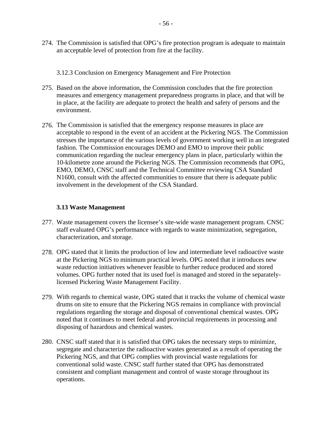- 274. The Commission is satisfied that OPG's fire protection program is adequate to maintain an acceptable level of protection from fire at the facility.
	- 3.12.3 Conclusion on Emergency Management and Fire Protection
- 275. Based on the above information, the Commission concludes that the fire protection measures and emergency management preparedness programs in place, and that will be in place, at the facility are adequate to protect the health and safety of persons and the environment.
- 276. The Commission is satisfied that the emergency response measures in place are acceptable to respond in the event of an accident at the Pickering NGS. The Commission stresses the importance of the various levels of government working well in an integrated fashion. The Commission encourages DEMO and EMO to improve their public communication regarding the nuclear emergency plans in place, particularly within the 10-kilometre zone around the Pickering NGS. The Commission recommends that OPG, EMO, DEMO, CNSC staff and the Technical Committee reviewing CSA Standard N1600, consult with the affected communities to ensure that there is adequate public involvement in the development of the CSA Standard.

# **3.13 Waste Management**

- 277. Waste management covers the licensee's site-wide waste management program. CNSC staff evaluated OPG's performance with regards to waste minimization, segregation, characterization, and storage.
- 278. OPG stated that it limits the production of low and intermediate level radioactive waste at the Pickering NGS to minimum practical levels. OPG noted that it introduces new waste reduction initiatives whenever feasible to further reduce produced and stored volumes. OPG further noted that its used fuel is managed and stored in the separatelylicensed Pickering Waste Management Facility.
- 279. With regards to chemical waste, OPG stated that it tracks the volume of chemical waste drums on site to ensure that the Pickering NGS remains in compliance with provincial regulations regarding the storage and disposal of conventional chemical wastes. OPG noted that it continues to meet federal and provincial requirements in processing and disposing of hazardous and chemical wastes.
- 280. CNSC staff stated that it is satisfied that OPG takes the necessary steps to minimize, segregate and characterize the radioactive wastes generated as a result of operating the Pickering NGS, and that OPG complies with provincial waste regulations for conventional solid waste. CNSC staff further stated that OPG has demonstrated consistent and compliant management and control of waste storage throughout its operations.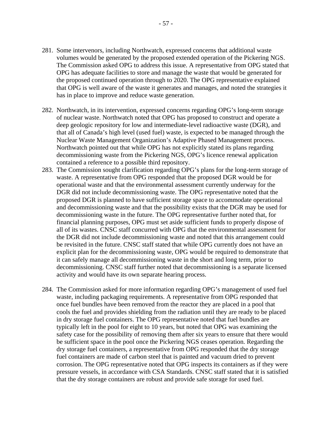- 281. Some intervenors, including Northwatch, expressed concerns that additional waste volumes would be generated by the proposed extended operation of the Pickering NGS. The Commission asked OPG to address this issue. A representative from OPG stated that OPG has adequate facilities to store and manage the waste that would be generated for the proposed continued operation through to 2020. The OPG representative explained that OPG is well aware of the waste it generates and manages, and noted the strategies it has in place to improve and reduce waste generation.
- 282. Northwatch, in its intervention, expressed concerns regarding OPG's long-term storage of nuclear waste. Northwatch noted that OPG has proposed to construct and operate a deep geologic repository for low and intermediate-level radioactive waste (DGR), and that all of Canada's high level (used fuel) waste, is expected to be managed through the Nuclear Waste Management Organization's Adaptive Phased Management process. Northwatch pointed out that while OPG has not explicitly stated its plans regarding decommissioning waste from the Pickering NGS, OPG's licence renewal application contained a reference to a possible third repository.
- 283. The Commission sought clarification regarding OPG's plans for the long-term storage of waste. A representative from OPG responded that the proposed DGR would be for operational waste and that the environmental assessment currently underway for the DGR did not include decommissioning waste. The OPG representative noted that the proposed DGR is planned to have sufficient storage space to accommodate operational and decommissioning waste and that the possibility exists that the DGR may be used for decommissioning waste in the future. The OPG representative further noted that, for financial planning purposes, OPG must set aside sufficient funds to properly dispose of all of its wastes. CNSC staff concurred with OPG that the environmental assessment for the DGR did not include decommissioning waste and noted that this arrangement could be revisited in the future. CNSC staff stated that while OPG currently does not have an explicit plan for the decommissioning waste, OPG would be required to demonstrate that it can safely manage all decommissioning waste in the short and long term, prior to decommissioning. CNSC staff further noted that decommissioning is a separate licensed activity and would have its own separate hearing process.
- 284. The Commission asked for more information regarding OPG's management of used fuel waste, including packaging requirements. A representative from OPG responded that once fuel bundles have been removed from the reactor they are placed in a pool that cools the fuel and provides shielding from the radiation until they are ready to be placed in dry storage fuel containers. The OPG representative noted that fuel bundles are typically left in the pool for eight to 10 years, but noted that OPG was examining the safety case for the possibility of removing them after six years to ensure that there would be sufficient space in the pool once the Pickering NGS ceases operation. Regarding the dry storage fuel containers, a representative from OPG responded that the dry storage fuel containers are made of carbon steel that is painted and vacuum dried to prevent corrosion. The OPG representative noted that OPG inspects its containers as if they were pressure vessels, in accordance with CSA Standards. CNSC staff stated that it is satisfied that the dry storage containers are robust and provide safe storage for used fuel.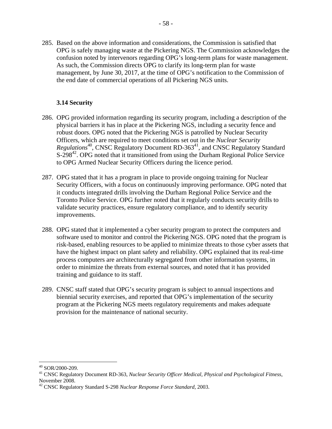285. Based on the above information and considerations, the Commission is satisfied that OPG is safely managing waste at the Pickering NGS. The Commission acknowledges the confusion noted by intervenors regarding OPG's long-term plans for waste management. As such, the Commission directs OPG to clarify its long-term plan for waste management, by June 30, 2017, at the time of OPG's notification to the Commission of the end date of commercial operations of all Pickering NGS units.

# **3.14 Security**

- 286. OPG provided information regarding its security program, including a description of the physical barriers it has in place at the Pickering NGS, including a security fence and robust doors. OPG noted that the Pickering NGS is patrolled by Nuclear Security Officers, which are required to meet conditions set out in the *Nuclear Security Regulations*<sup>40</sup>, CNSC Regulatory Document RD-363<sup>41</sup>, and CNSC Regulatory Standard S-298<sup>42</sup>. OPG noted that it transitioned from using the Durham Regional Police Service to OPG Armed Nuclear Security Officers during the licence period.
- 287. OPG stated that it has a program in place to provide ongoing training for Nuclear Security Officers, with a focus on continuously improving performance. OPG noted that it conducts integrated drills involving the Durham Regional Police Service and the Toronto Police Service. OPG further noted that it regularly conducts security drills to validate security practices, ensure regulatory compliance, and to identify security improvements.
- training and guidance to its staff. 288. OPG stated that it implemented a cyber security program to protect the computers and software used to monitor and control the Pickering NGS. OPG noted that the program is risk-based, enabling resources to be applied to minimize threats to those cyber assets that have the highest impact on plant safety and reliability. OPG explained that its real-time process computers are architecturally segregated from other information systems, in order to minimize the threats from external sources, and noted that it has provided
- 289. CNSC staff stated that OPG's security program is subject to annual inspections and biennial security exercises, and reported that OPG's implementation of the security program at the Pickering NGS meets regulatory requirements and makes adequate provision for the maintenance of national security.

 $40$  SOR/2000-209.

<sup>41</sup> CNSC Regulatory Document RD-363, *Nuclear Security Officer Medical, Physical and Psychological Fitness*, November 2008.

<sup>42</sup> CNSC Regulatory Standard S-298 *Nuclear Response Force Standard*, 2003.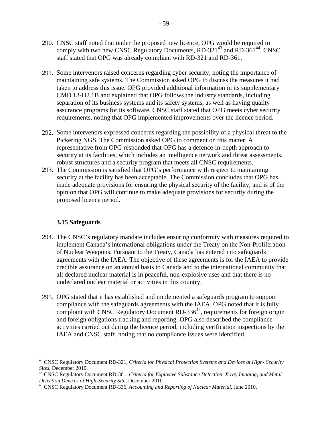- 290. CNSC staff noted that under the proposed new licence, OPG would be required to comply with two new CNSC Regulatory Documents,  $RD-321^{43}$  and  $RD-361^{44}$ . CNSC staff stated that OPG was already compliant with RD-321 and RD-361.
- 291. Some intervenors raised concerns regarding cyber security, noting the importance of maintaining safe systems. The Commission asked OPG to discuss the measures it had taken to address this issue. OPG provided additional information in its supplementary CMD 13-H2.1B and explained that OPG follows the industry standards, including separation of its business systems and its safety systems, as well as having quality assurance programs for its software. CNSC staff stated that OPG meets cyber security requirements, noting that OPG implemented improvements over the licence period.
- 292. Some intervenors expressed concerns regarding the possibility of a physical threat to the Pickering NGS. The Commission asked OPG to comment on this matter. A representative from OPG responded that OPG has a defence-in-depth approach to security at its facilities, which includes an intelligence network and threat assessments, robust structures and a security program that meets all CNSC requirements.
- 293. The Commission is satisfied that OPG's performance with respect to maintaining security at the facility has been acceptable. The Commission concludes that OPG has made adequate provisions for ensuring the physical security of the facility, and is of the opinion that OPG will continue to make adequate provisions for security during the proposed licence period.

### **3.15 Safeguards**

- 294. The CNSC's regulatory mandate includes ensuring conformity with measures required to implement Canada's international obligations under the Treaty on the Non-Proliferation of Nuclear Weapons. Pursuant to the Treaty, Canada has entered into safeguards agreements with the IAEA. The objective of these agreements is for the IAEA to provide credible assurance on an annual basis to Canada and to the international community that all declared nuclear material is in peaceful, non-explosive uses and that there is no undeclared nuclear material or activities in this country.
- 295. OPG stated that it has established and implemented a safeguards program to support compliance with the safeguards agreements with the IAEA. OPG noted that it is fully compliant with CNSC Regulatory Document RD-336 $45$ , requirements for foreign origin and foreign obligations tracking and reporting. OPG also described the compliance activities carried out during the licence period, including verification inspections by the IAEA and CNSC staff, noting that no compliance issues were identified.

<sup>&</sup>lt;sup>43</sup> CNSC Regulatory Document RD-321, *Criteria for Physical Protection Systems and Devices at High- Security Sites*, December 2010. *Sites*, December 2010. 44 CNSC Regulatory Document RD-361, *Criteria for Explosive Substance Detection, X-ray Imaging, and Metal*

 *Detection Devices at High-Security Site*, December 2010. 45 CNSC Regulatory Document RD-336, *Accounting and Reporting of Nuclear Material*, June 2010.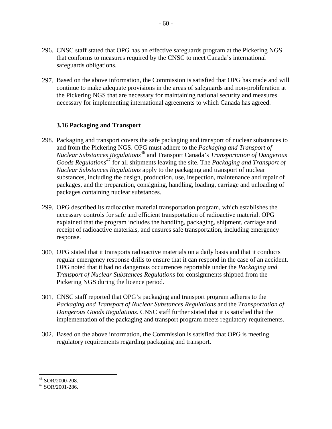- 296. CNSC staff stated that OPG has an effective safeguards program at the Pickering NGS that conforms to measures required by the CNSC to meet Canada's international safeguards obligations.
- 297. Based on the above information, the Commission is satisfied that OPG has made and will continue to make adequate provisions in the areas of safeguards and non-proliferation at the Pickering NGS that are necessary for maintaining national security and measures necessary for implementing international agreements to which Canada has agreed.

# **3.16 Packaging and Transport**

- 298. Packaging and transport covers the safe packaging and transport of nuclear substances to and from the Pickering NGS. OPG must adhere to the *Packaging and Transport of Nuclear Substances Regulations*46 and Transport Canada's *Transportation of Dangerous Goods Regulations*47 for all shipments leaving the site. The *Packaging and Transport of Nuclear Substances Regulations* apply to the packaging and transport of nuclear substances, including the design, production, use, inspection, maintenance and repair of packages, and the preparation, consigning, handling, loading, carriage and unloading of packages containing nuclear substances.
- 299. OPG described its radioactive material transportation program, which establishes the necessary controls for safe and efficient transportation of radioactive material. OPG explained that the program includes the handling, packaging, shipment, carriage and receipt of radioactive materials, and ensures safe transportation, including emergency response.
- 300. OPG stated that it transports radioactive materials on a daily basis and that it conducts regular emergency response drills to ensure that it can respond in the case of an accident. OPG noted that it had no dangerous occurrences reportable under the *Packaging and Transport of Nuclear Substances Regulations* for consignments shipped from the Pickering NGS during the licence period.
- 301. CNSC staff reported that OPG's packaging and transport program adheres to the *Packaging and Transport of Nuclear Substances Regulations* and the *Transportation of Dangerous Goods Regulations*. CNSC staff further stated that it is satisfied that the implementation of the packaging and transport program meets regulatory requirements.
- 302. Based on the above information, the Commission is satisfied that OPG is meeting regulatory requirements regarding packaging and transport.

 $46$  SOR/2000-208.

 $47$  SOR/2001-286.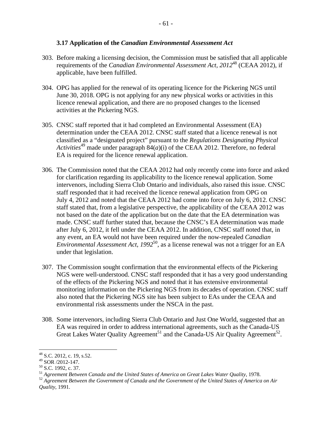- 303. Before making a licensing decision, the Commission must be satisfied that all applicable requirements of the *Canadian Environmental Assessment Act, 2012*48 (CEAA 2012), if applicable, have been fulfilled.
- 304. OPG has applied for the renewal of its operating licence for the Pickering NGS until June 30, 2018. OPG is not applying for any new physical works or activities in this licence renewal application, and there are no proposed changes to the licensed activities at the Pickering NGS.
- 305. CNSC staff reported that it had completed an Environmental Assessment (EA) determination under the CEAA 2012. CNSC staff stated that a licence renewal is not classified as a "designated project" pursuant to the *Regulations Designating Physical Activities*<sup>49</sup> made under paragraph  $84(a)(i)$  of the CEAA 2012. Therefore, no federal EA is required for the licence renewal application.
- 306. The Commission noted that the CEAA 2012 had only recently come into force and asked for clarification regarding its applicability to the licence renewal application. Some intervenors, including Sierra Club Ontario and individuals, also raised this issue. CNSC staff responded that it had received the licence renewal application from OPG on July 4, 2012 and noted that the CEAA 2012 had come into force on July 6, 2012. CNSC staff stated that, from a legislative perspective, the applicability of the CEAA 2012 was not based on the date of the application but on the date that the EA determination was made. CNSC staff further stated that, because the CNSC's EA determination was made after July 6, 2012, it fell under the CEAA 2012. In addition, CNSC staff noted that, in any event, an EA would not have been required under the now-repealed *Canadian Environmental Assessment Act, 1992*50, as a license renewal was not a trigger for an EA under that legislation.
- 307. The Commission sought confirmation that the environmental effects of the Pickering NGS were well-understood. CNSC staff responded that it has a very good understanding of the effects of the Pickering NGS and noted that it has extensive environmental monitoring information on the Pickering NGS from its decades of operation. CNSC staff also noted that the Pickering NGS site has been subject to EAs under the CEAA and environmental risk assessments under the NSCA in the past.
- 308. Some intervenors, including Sierra Club Ontario and Just One World, suggested that an EA was required in order to address international agreements, such as the Canada-US Great Lakes Water Quality Agreement<sup>51</sup> and the Canada-US Air Quality Agreement<sup>52</sup>.

 $\overline{a}$  $48$  S.C. 2012, c. 19, s.52.

 $49$  SOR  $/2012 - 147$ .

<sup>&</sup>lt;sup>51</sup> Agreement Between Canada and the United States of America on Great Lakes Water Quality, 1978.<br><sup>52</sup> Agreement Between the Government of Canada and the Government of the United States of America on Air <sup>50</sup> S.C. 1992, c. 37.<br><sup>51</sup> Agreement Between Canada and the United States of America on Great Lakes Water Quality, 1978.

*Quality*, 1991.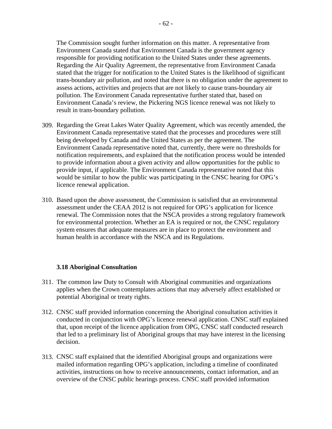The Commission sought further information on this matter. A representative from Environment Canada stated that Environment Canada is the government agency responsible for providing notification to the United States under these agreements. Regarding the Air Quality Agreement, the representative from Environment Canada stated that the trigger for notification to the United States is the likelihood of significant trans-boundary air pollution, and noted that there is no obligation under the agreement to assess actions, activities and projects that are not likely to cause trans-boundary air pollution. The Environment Canada representative further stated that, based on Environment Canada's review, the Pickering NGS licence renewal was not likely to result in trans-boundary pollution.

- 309. Regarding the Great Lakes Water Quality Agreement, which was recently amended, the Environment Canada representative stated that the processes and procedures were still being developed by Canada and the United States as per the agreement. The Environment Canada representative noted that, currently, there were no thresholds for notification requirements, and explained that the notification process would be intended to provide information about a given activity and allow opportunities for the public to provide input, if applicable. The Environment Canada representative noted that this would be similar to how the public was participating in the CNSC hearing for OPG's licence renewal application.
- 310. Based upon the above assessment, the Commission is satisfied that an environmental assessment under the CEAA 2012 is not required for OPG's application for licence renewal. The Commission notes that the NSCA provides a strong regulatory framework for environmental protection. Whether an EA is required or not, the CNSC regulatory system ensures that adequate measures are in place to protect the environment and human health in accordance with the NSCA and its Regulations.

### **3.18 Aboriginal Consultation**

- 311. The common law Duty to Consult with Aboriginal communities and organizations applies when the Crown contemplates actions that may adversely affect established or potential Aboriginal or treaty rights.
- 312. CNSC staff provided information concerning the Aboriginal consultation activities it conducted in conjunction with OPG's licence renewal application. CNSC staff explained that, upon receipt of the licence application from OPG, CNSC staff conducted research that led to a preliminary list of Aboriginal groups that may have interest in the licensing decision.
- 313. CNSC staff explained that the identified Aboriginal groups and organizations were mailed information regarding OPG's application, including a timeline of coordinated activities, instructions on how to receive announcements, contact information, and an overview of the CNSC public hearings process. CNSC staff provided information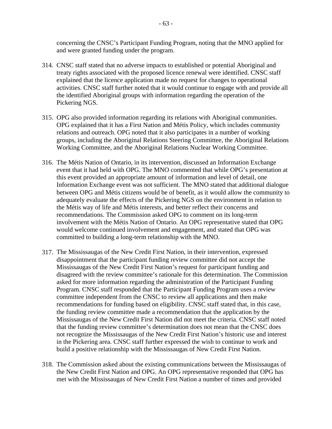concerning the CNSC's Participant Funding Program, noting that the MNO applied for and were granted funding under the program.

- 314. CNSC staff stated that no adverse impacts to established or potential Aboriginal and treaty rights associated with the proposed licence renewal were identified. CNSC staff explained that the licence application made no request for changes to operational activities. CNSC staff further noted that it would continue to engage with and provide all the identified Aboriginal groups with information regarding the operation of the Pickering NGS.
- 315. OPG also provided information regarding its relations with Aboriginal communities. OPG explained that it has a First Nation and Métis Policy, which includes community relations and outreach. OPG noted that it also participates in a number of working groups, including the Aboriginal Relations Steering Committee, the Aboriginal Relations Working Committee, and the Aboriginal Relations Nuclear Working Committee.
- 316. The Métis Nation of Ontario, in its intervention, discussed an Information Exchange event that it had held with OPG. The MNO commented that while OPG's presentation at this event provided an appropriate amount of information and level of detail, one Information Exchange event was not sufficient. The MNO stated that additional dialogue between OPG and Métis citizens would be of benefit, as it would allow the community to adequately evaluate the effects of the Pickering NGS on the environment in relation to the Métis way of life and Métis interests, and better reflect their concerns and recommendations. The Commission asked OPG to comment on its long-term involvement with the Métis Nation of Ontario. An OPG representative stated that OPG would welcome continued involvement and engagement, and stated that OPG was committed to building a long-term relationship with the MNO.
- 317. The Mississaugas of the New Credit First Nation, in their intervention, expressed disappointment that the participant funding review committee did not accept the Mississaugas of the New Credit First Nation's request for participant funding and disagreed with the review committee's rationale for this determination. The Commission asked for more information regarding the administration of the Participant Funding Program. CNSC staff responded that the Participant Funding Program uses a review committee independent from the CNSC to review all applications and then make recommendations for funding based on eligibility. CNSC staff stated that, in this case, the funding review committee made a recommendation that the application by the Mississaugas of the New Credit First Nation did not meet the criteria. CNSC staff noted that the funding review committee's determination does not mean that the CNSC does not recognize the Mississaugas of the New Credit First Nation's historic use and interest in the Pickering area. CNSC staff further expressed the wish to continue to work and build a positive relationship with the Mississaugas of New Credit First Nation.
- 318. The Commission asked about the existing communications between the Mississaugas of the New Credit First Nation and OPG. An OPG representative responded that OPG has met with the Mississaugas of New Credit First Nation a number of times and provided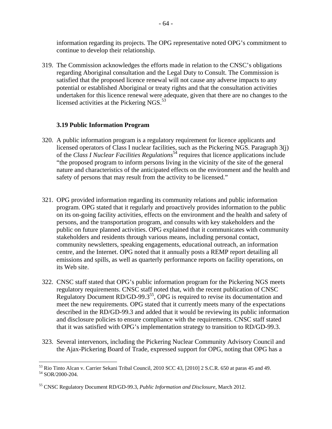information regarding its projects. The OPG representative noted OPG's commitment to continue to develop their relationship.

319. The Commission acknowledges the efforts made in relation to the CNSC's obligations regarding Aboriginal consultation and the Legal Duty to Consult. The Commission is satisfied that the proposed licence renewal will not cause any adverse impacts to any potential or established Aboriginal or treaty rights and that the consultation activities undertaken for this licence renewal were adequate, given that there are no changes to the licensed activities at the Pickering NGS. $53$ 

### **3.19 Public Information Program**

- 320. A public information program is a regulatory requirement for licence applicants and licensed operators of Class I nuclear facilities, such as the Pickering NGS. Paragraph 3(j) of the *Class I Nuclear Facilities Regulations*54 requires that licence applications include "the proposed program to inform persons living in the vicinity of the site of the general nature and characteristics of the anticipated effects on the environment and the health and safety of persons that may result from the activity to be licensed."
- its Web site. 321. OPG provided information regarding its community relations and public information program. OPG stated that it regularly and proactively provides information to the public on its on-going facility activities, effects on the environment and the health and safety of persons, and the transportation program, and consults with key stakeholders and the public on future planned activities. OPG explained that it communicates with community stakeholders and residents through various means, including personal contact, community newsletters, speaking engagements, educational outreach, an information centre, and the Internet. OPG noted that it annually posts a REMP report detailing all emissions and spills, as well as quarterly performance reports on facility operations, on
- 322. CNSC staff stated that OPG's public information program for the Pickering NGS meets regulatory requirements. CNSC staff noted that, with the recent publication of CNSC Regulatory Document RD/GD-99.3<sup>55</sup>, OPG is required to revise its documentation and meet the new requirements. OPG stated that it currently meets many of the expectations described in the RD/GD-99.3 and added that it would be reviewing its public information and disclosure policies to ensure compliance with the requirements. CNSC staff stated that it was satisfied with OPG's implementation strategy to transition to RD/GD-99.3.
- 323. Several intervenors, including the Pickering Nuclear Community Advisory Council and the Ajax-Pickering Board of Trade, expressed support for OPG, noting that OPG has a

<u>.</u>

 $53$  Rio Tinto Alcan v. Carrier Sekani Tribal Council, 2010 SCC 43, [2010] 2 S.C.R. 650 at paras 45 and 49.

<sup>54</sup> SOR/2000-204.

<sup>55</sup> CNSC Regulatory Document RD/GD-99.3, *Public Information and Disclosure*, March 2012.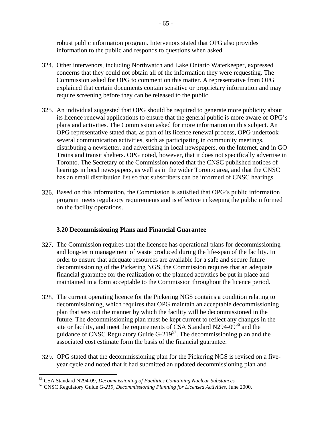robust public information program. Intervenors stated that OPG also provides information to the public and responds to questions when asked.

- 324. Other intervenors, including Northwatch and Lake Ontario Waterkeeper, expressed concerns that they could not obtain all of the information they were requesting. The Commission asked for OPG to comment on this matter. A representative from OPG explained that certain documents contain sensitive or proprietary information and may require screening before they can be released to the public.
- 325. An individual suggested that OPG should be required to generate more publicity about its licence renewal applications to ensure that the general public is more aware of OPG's plans and activities. The Commission asked for more information on this subject. An OPG representative stated that, as part of its licence renewal process, OPG undertook several communication activities, such as participating in community meetings, distributing a newsletter, and advertising in local newspapers, on the Internet, and in GO Trains and transit shelters. OPG noted, however, that it does not specifically advertise in Toronto. The Secretary of the Commission noted that the CNSC published notices of hearings in local newspapers, as well as in the wider Toronto area, and that the CNSC has an email distribution list so that subscribers can be informed of CNSC hearings.
- 326. Based on this information, the Commission is satisfied that OPG's public information program meets regulatory requirements and is effective in keeping the public informed on the facility operations.

# **3.20 Decommissioning Plans and Financial Guarantee**

- 327. The Commission requires that the licensee has operational plans for decommissioning and long-term management of waste produced during the life-span of the facility. In order to ensure that adequate resources are available for a safe and secure future decommissioning of the Pickering NGS, the Commission requires that an adequate financial guarantee for the realization of the planned activities be put in place and maintained in a form acceptable to the Commission throughout the licence period.
- 328. The current operating licence for the Pickering NGS contains a condition relating to decommissioning, which requires that OPG maintain an acceptable decommissioning plan that sets out the manner by which the facility will be decommissioned in the future. The decommissioning plan must be kept current to reflect any changes in the site or facility, and meet the requirements of CSA Standard N294-09<sup>56</sup> and the guidance of CNSC Regulatory Guide  $G-219^{57}$ . The decommissioning plan and the associated cost estimate form the basis of the financial guarantee.
- 329. OPG stated that the decommissioning plan for the Pickering NGS is revised on a fiveyear cycle and noted that it had submitted an updated decommissioning plan and

<sup>56</sup> CSA Standard N294-09, *Decommissioning of Facilities Containing Nuclear Substances* 57 CNSC Regulatory Guide *G-219, Decommissioning Planning for Licensed Activities*, June 2000.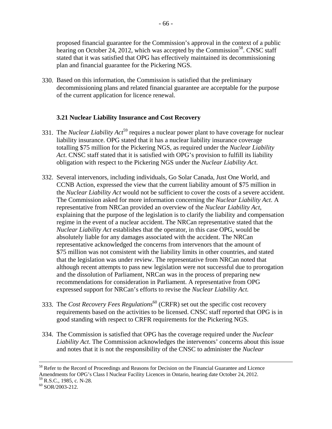proposed financial guarantee for the Commission's approval in the context of a public hearing on October 24, 2012, which was accepted by the Commission<sup>58</sup>. CNSC staff stated that it was satisfied that OPG has effectively maintained its decommissioning plan and financial guarantee for the Pickering NGS.

330. Based on this information, the Commission is satisfied that the preliminary decommissioning plans and related financial guarantee are acceptable for the purpose of the current application for licence renewal.

# **3.21 Nuclear Liability Insurance and Cost Recovery**

- 331. The *Nuclear Liability Act*<sup>59</sup> requires a nuclear power plant to have coverage for nuclear liability insurance. OPG stated that it has a nuclear liability insurance coverage totalling \$75 million for the Pickering NGS, as required under the *Nuclear Liability Act*. CNSC staff stated that it is satisfied with OPG's provision to fulfill its liability obligation with respect to the Pickering NGS under the *Nuclear Liability Act*.
- 332. Several intervenors, including individuals, Go Solar Canada, Just One World, and CCNB Action, expressed the view that the current liability amount of \$75 million in the *Nuclear Liability Act* would not be sufficient to cover the costs of a severe accident. The Commission asked for more information concerning the *Nuclear Liability Act*. A representative from NRCan provided an overview of the *Nuclear Liability Act*, explaining that the purpose of the legislation is to clarify the liability and compensation regime in the event of a nuclear accident. The NRCan representative stated that the *Nuclear Liability Act* establishes that the operator, in this case OPG, would be absolutely liable for any damages associated with the accident. The NRCan representative acknowledged the concerns from intervenors that the amount of \$75 million was not consistent with the liability limits in other countries, and stated that the legislation was under review. The representative from NRCan noted that although recent attempts to pass new legislation were not successful due to prorogation and the dissolution of Parliament, NRCan was in the process of preparing new recommendations for consideration in Parliament. A representative from OPG expressed support for NRCan's efforts to revise the *Nuclear Liability Act*.
- 333. The *Cost Recovery Fees Regulations*<sup>60</sup> (CRFR) set out the specific cost recovery requirements based on the activities to be licensed. CNSC staff reported that OPG is in good standing with respect to CRFR requirements for the Pickering NGS.
- 334. The Commission is satisfied that OPG has the coverage required under the *Nuclear Liability Act*. The Commission acknowledges the intervenors' concerns about this issue and notes that it is not the responsibility of the CNSC to administer the *Nuclear*

<sup>&</sup>lt;sup>58</sup> Refer to the Record of Proceedings and Reasons for Decision on the Financial Guarantee and Licence Amendments for OPG's Class I Nuclear Facility Licences in Ontario, hearing date October 24, 2012.

<sup>&</sup>lt;sup>59</sup> R.S.C., 1985, c. N-28.<br><sup>60</sup> SOR/2003-212.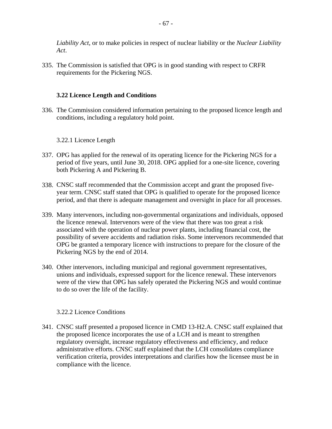*Liability Act*, or to make policies in respect of nuclear liability or the *Nuclear Liability Act*.

335. The Commission is satisfied that OPG is in good standing with respect to CRFR requirements for the Pickering NGS.

# **3.22 Licence Length and Conditions**

336. The Commission considered information pertaining to the proposed licence length and conditions, including a regulatory hold point.

# 3.22.1 Licence Length

- 337. OPG has applied for the renewal of its operating licence for the Pickering NGS for a period of five years, until June 30, 2018. OPG applied for a one-site licence, covering both Pickering A and Pickering B.
- 338. CNSC staff recommended that the Commission accept and grant the proposed fiveyear term. CNSC staff stated that OPG is qualified to operate for the proposed licence period, and that there is adequate management and oversight in place for all processes.
- 339. Many intervenors, including non-governmental organizations and individuals, opposed the licence renewal. Intervenors were of the view that there was too great a risk associated with the operation of nuclear power plants, including financial cost, the possibility of severe accidents and radiation risks. Some intervenors recommended that OPG be granted a temporary licence with instructions to prepare for the closure of the Pickering NGS by the end of 2014.
- 340. Other intervenors, including municipal and regional government representatives, unions and individuals, expressed support for the licence renewal. These intervenors were of the view that OPG has safely operated the Pickering NGS and would continue to do so over the life of the facility.

### 3.22.2 Licence Conditions

341. CNSC staff presented a proposed licence in CMD 13-H2.A. CNSC staff explained that the proposed licence incorporates the use of a LCH and is meant to strengthen regulatory oversight, increase regulatory effectiveness and efficiency, and reduce administrative efforts. CNSC staff explained that the LCH consolidates compliance verification criteria, provides interpretations and clarifies how the licensee must be in compliance with the licence.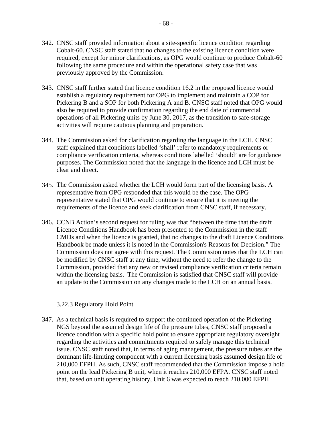- 342. CNSC staff provided information about a site-specific licence condition regarding Cobalt-60. CNSC staff stated that no changes to the existing licence condition were required, except for minor clarifications, as OPG would continue to produce Cobalt-60 following the same procedure and within the operational safety case that was previously approved by the Commission.
- 343. CNSC staff further stated that licence condition 16.2 in the proposed licence would establish a regulatory requirement for OPG to implement and maintain a COP for Pickering B and a SOP for both Pickering A and B. CNSC staff noted that OPG would also be required to provide confirmation regarding the end date of commercial operations of all Pickering units by June 30, 2017, as the transition to safe-storage activities will require cautious planning and preparation.
- 344. The Commission asked for clarification regarding the language in the LCH. CNSC staff explained that conditions labelled 'shall' refer to mandatory requirements or compliance verification criteria, whereas conditions labelled 'should' are for guidance purposes. The Commission noted that the language in the licence and LCH must be clear and direct.
- 345. The Commission asked whether the LCH would form part of the licensing basis. A representative from OPG responded that this would be the case. The OPG representative stated that OPG would continue to ensure that it is meeting the requirements of the licence and seek clarification from CNSC staff, if necessary.
- 346. CCNB Action's second request for ruling was that "between the time that the draft" Licence Conditions Handbook has been presented to the Commission in the staff CMDs and when the licence is granted, that no changes to the draft Licence Conditions Handbook be made unless it is noted in the Commission's Reasons for Decision." The Commission does not agree with this request. The Commission notes that the LCH can be modified by CNSC staff at any time, without the need to refer the change to the Commission, provided that any new or revised compliance verification criteria remain within the licensing basis. The Commission is satisfied that CNSC staff will provide an update to the Commission on any changes made to the LCH on an annual basis.

## 3.22.3 Regulatory Hold Point

347. As a technical basis is required to support the continued operation of the Pickering NGS beyond the assumed design life of the pressure tubes, CNSC staff proposed a licence condition with a specific hold point to ensure appropriate regulatory oversight regarding the activities and commitments required to safely manage this technical issue. CNSC staff noted that, in terms of aging management, the pressure tubes are the dominant life-limiting component with a current licensing basis assumed design life of 210,000 EFPH. As such, CNSC staff recommended that the Commission impose a hold point on the lead Pickering B unit, when it reaches 210,000 EFPA. CNSC staff noted that, based on unit operating history, Unit 6 was expected to reach 210,000 EFPH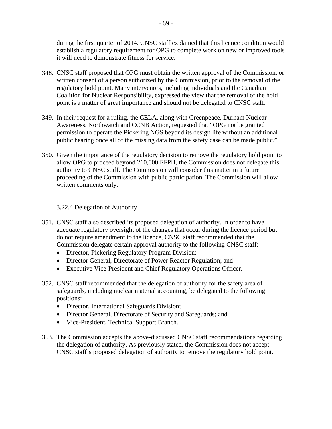during the first quarter of 2014. CNSC staff explained that this licence condition would establish a regulatory requirement for OPG to complete work on new or improved tools it will need to demonstrate fitness for service.

- 348. CNSC staff proposed that OPG must obtain the written approval of the Commission, or written consent of a person authorized by the Commission, prior to the removal of the regulatory hold point. Many intervenors, including individuals and the Canadian Coalition for Nuclear Responsibility, expressed the view that the removal of the hold point is a matter of great importance and should not be delegated to CNSC staff.
- 349. In their request for a ruling, the CELA, along with Greenpeace, Durham Nuclear Awareness, Northwatch and CCNB Action, requested that "OPG not be granted permission to operate the Pickering NGS beyond its design life without an additional public hearing once all of the missing data from the safety case can be made public."
- 350. Given the importance of the regulatory decision to remove the regulatory hold point to allow OPG to proceed beyond 210,000 EFPH, the Commission does not delegate this authority to CNSC staff. The Commission will consider this matter in a future proceeding of the Commission with public participation. The Commission will allow written comments only.

## 3.22.4 Delegation of Authority

- Commission delegate certain approval authority to the following CNSC staff: 351. CNSC staff also described its proposed delegation of authority. In order to have adequate regulatory oversight of the changes that occur during the licence period but do not require amendment to the licence, CNSC staff recommended that the
	- Director, Pickering Regulatory Program Division;
	- Director General, Directorate of Power Reactor Regulation; and
	- Executive Vice-President and Chief Regulatory Operations Officer.
- 352. CNSC staff recommended that the delegation of authority for the safety area of safeguards, including nuclear material accounting, be delegated to the following positions:
	- Director, International Safeguards Division;
	- Director General, Directorate of Security and Safeguards; and
	- Vice-President, Technical Support Branch.
- 353. The Commission accepts the above-discussed CNSC staff recommendations regarding the delegation of authority. As previously stated, the Commission does not accept CNSC staff's proposed delegation of authority to remove the regulatory hold point.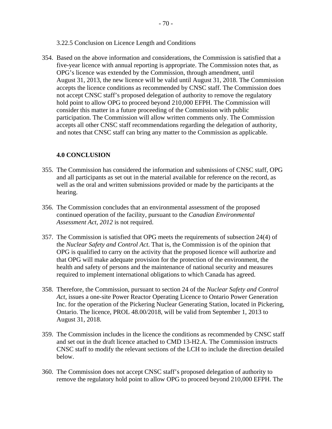3.22.5 Conclusion on Licence Length and Conditions

354. Based on the above information and considerations, the Commission is satisfied that a five-year licence with annual reporting is appropriate. The Commission notes that, as OPG's licence was extended by the Commission, through amendment, until August 31, 2013, the new licence will be valid until August 31, 2018. The Commission accepts the licence conditions as recommended by CNSC staff. The Commission does not accept CNSC staff's proposed delegation of authority to remove the regulatory hold point to allow OPG to proceed beyond 210,000 EFPH. The Commission will consider this matter in a future proceeding of the Commission with public participation. The Commission will allow written comments only. The Commission accepts all other CNSC staff recommendations regarding the delegation of authority, and notes that CNSC staff can bring any matter to the Commission as applicable.

## **4.0 CONCLUSION**

- 355. The Commission has considered the information and submissions of CNSC staff, OPG and all participants as set out in the material available for reference on the record, as well as the oral and written submissions provided or made by the participants at the hearing.
- 356. The Commission concludes that an environmental assessment of the proposed continued operation of the facility, pursuant to the *Canadian Environmental Assessment Act, 2012* is not required.
- 357. The Commission is satisfied that OPG meets the requirements of subsection 24(4) of the *Nuclear Safety and Control Act*. That is, the Commission is of the opinion that OPG is qualified to carry on the activity that the proposed licence will authorize and that OPG will make adequate provision for the protection of the environment, the health and safety of persons and the maintenance of national security and measures required to implement international obligations to which Canada has agreed.
- 358. Therefore, the Commission, pursuant to section 24 of the *Nuclear Safety and Control Act*, issues a one-site Power Reactor Operating Licence to Ontario Power Generation Inc. for the operation of the Pickering Nuclear Generating Station, located in Pickering, Ontario. The licence, PROL 48.00/2018, will be valid from September 1, 2013 to August 31, 2018.
- 359. The Commission includes in the licence the conditions as recommended by CNSC staff and set out in the draft licence attached to CMD 13-H2.A. The Commission instructs CNSC staff to modify the relevant sections of the LCH to include the direction detailed below.
- 360. The Commission does not accept CNSC staff's proposed delegation of authority to remove the regulatory hold point to allow OPG to proceed beyond 210,000 EFPH. The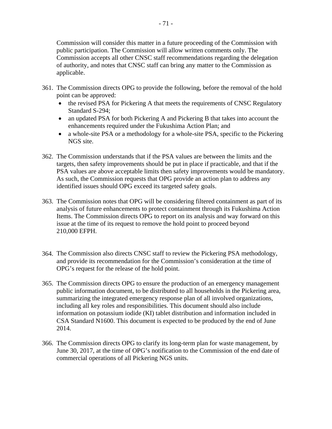Commission will consider this matter in a future proceeding of the Commission with public participation. The Commission will allow written comments only. The Commission accepts all other CNSC staff recommendations regarding the delegation of authority, and notes that CNSC staff can bring any matter to the Commission as applicable.

- 361. The Commission directs OPG to provide the following, before the removal of the hold point can be approved:
	- the revised PSA for Pickering A that meets the requirements of CNSC Regulatory Standard S-294;
	- an updated PSA for both Pickering A and Pickering B that takes into account the enhancements required under the Fukushima Action Plan; and
	- a whole-site PSA or a methodology for a whole-site PSA, specific to the Pickering NGS site.
- 362. The Commission understands that if the PSA values are between the limits and the targets, then safety improvements should be put in place if practicable, and that if the PSA values are above acceptable limits then safety improvements would be mandatory. As such, the Commission requests that OPG provide an action plan to address any identified issues should OPG exceed its targeted safety goals.
- 363. The Commission notes that OPG will be considering filtered containment as part of its analysis of future enhancements to protect containment through its Fukushima Action Items. The Commission directs OPG to report on its analysis and way forward on this issue at the time of its request to remove the hold point to proceed beyond 210,000 EFPH.
- 364. The Commission also directs CNSC staff to review the Pickering PSA methodology, and provide its recommendation for the Commission's consideration at the time of OPG's request for the release of the hold point.
- 365. The Commission directs OPG to ensure the production of an emergency management public information document, to be distributed to all households in the Pickering area, summarizing the integrated emergency response plan of all involved organizations, including all key roles and responsibilities. This document should also include information on potassium iodide (KI) tablet distribution and information included in CSA Standard N1600. This document is expected to be produced by the end of June 2014.
- 366. The Commission directs OPG to clarify its long-term plan for waste management, by June 30, 2017, at the time of OPG's notification to the Commission of the end date of commercial operations of all Pickering NGS units.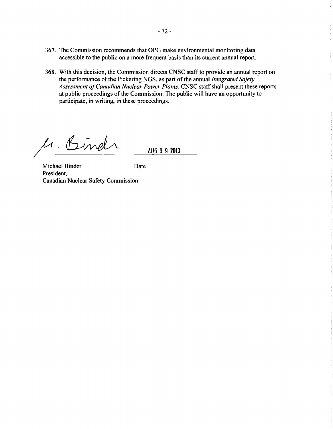- 367. The Commission recommends that OPG make environmental monitoring data accessible to the public on a more frequent basis than its current annual report.
- 368. With this decision, the Commission directs CNSC staff to provide an annual report on the performance of the Pickering NGS, as part of the annual *Integrated Safety Assessment ofCanadian Nuclear Power Plants.* CNSC staff shall present these reports at public proceedings of the Commission. The public will have an opportunity to participate, in writing, in these proceedings.

M. Bindr

AUG 0 **9 2013** 

Michael Binder Date President, Canadian Nuclear Safety Commission

ł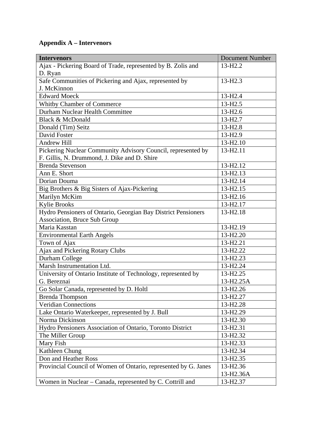## **Appendix A – Intervenors**

| <b>Intervenors</b>                                              | <b>Document Number</b> |
|-----------------------------------------------------------------|------------------------|
| Ajax - Pickering Board of Trade, represented by B. Zolis and    | 13-H <sub>2.2</sub>    |
| D. Ryan                                                         |                        |
| Safe Communities of Pickering and Ajax, represented by          | $13-H2.3$              |
| J. McKinnon                                                     |                        |
| <b>Edward Moeck</b>                                             | 13-H <sub>2.4</sub>    |
| Whitby Chamber of Commerce                                      | $13 - H2.5$            |
| Durham Nuclear Health Committee                                 | 13-H <sub>2.6</sub>    |
| Black & McDonald                                                | 13-H <sub>2.7</sub>    |
| Donald (Tim) Seitz                                              | 13-H <sub>2.8</sub>    |
| David Foster                                                    | 13-H <sub>2.9</sub>    |
| <b>Andrew Hill</b>                                              | 13-H <sub>2.10</sub>   |
| Pickering Nuclear Community Advisory Council, represented by    | 13-H <sub>2.11</sub>   |
| F. Gillis, N. Drummond, J. Dike and D. Shire                    |                        |
| <b>Brenda Stevenson</b>                                         | 13-H2.12               |
| Ann E. Short                                                    | 13-H <sub>2.13</sub>   |
| Dorian Douma                                                    | 13-H <sub>2.14</sub>   |
| Big Brothers & Big Sisters of Ajax-Pickering                    | 13-H2.15               |
| Marilyn McKim                                                   | 13-H <sub>2.16</sub>   |
| <b>Kylie Brooks</b>                                             | 13-H <sub>2.17</sub>   |
| Hydro Pensioners of Ontario, Georgian Bay District Pensioners   | 13-H2.18               |
| Association, Bruce Sub Group                                    |                        |
| Maria Kasstan                                                   | 13-H2.19               |
| <b>Environmental Earth Angels</b>                               | 13-H <sub>2.20</sub>   |
| Town of Ajax                                                    | 13-H <sub>2.21</sub>   |
| Ajax and Pickering Rotary Clubs                                 | 13-H2.22               |
| Durham College                                                  | 13-H2.23               |
| Marsh Instrumentation Ltd.                                      | 13-H <sub>2.24</sub>   |
| University of Ontario Institute of Technology, represented by   | 13-H <sub>2.25</sub>   |
| G. Bereznai                                                     | 13-H2.25A              |
| Go Solar Canada, represented by D. Holtl                        | 13-H <sub>2.26</sub>   |
| <b>Brenda Thompson</b>                                          | 13-H2.27               |
| <b>Veridian Connections</b>                                     | 13-H <sub>2.28</sub>   |
| Lake Ontario Waterkeeper, represented by J. Bull                | 13-H <sub>2.29</sub>   |
| Norma Dickinson                                                 | 13-H <sub>2.30</sub>   |
| Hydro Pensioners Association of Ontario, Toronto District       | 13-H <sub>2.31</sub>   |
| The Miller Group                                                | 13-H2.32               |
| Mary Fish                                                       | 13-H2.33               |
| Kathleen Chung                                                  | 13-H <sub>2.34</sub>   |
| Don and Heather Ross                                            | 13-H <sub>2.35</sub>   |
| Provincial Council of Women of Ontario, represented by G. Janes | 13-H <sub>2.36</sub>   |
|                                                                 | 13-H <sub>2.36</sub> A |
| Women in Nuclear – Canada, represented by C. Cottrill and       | 13-H <sub>2.37</sub>   |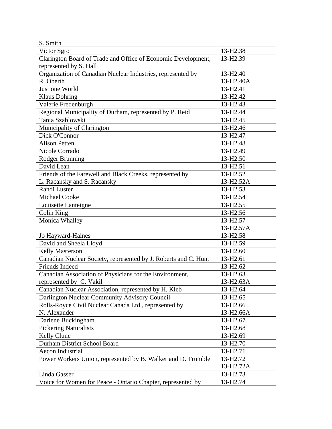| S. Smith                                                        |                        |
|-----------------------------------------------------------------|------------------------|
| Victor Sgro                                                     | 13-H2.38               |
| Clarington Board of Trade and Office of Economic Development,   | 13-H2.39               |
| represented by S. Hall                                          |                        |
| Organization of Canadian Nuclear Industries, represented by     | 13-H <sub>2.40</sub>   |
| R. Oberth                                                       | 13-H <sub>2.40</sub> A |
| Just one World                                                  | 13-H <sub>2.41</sub>   |
| <b>Klaus Dohring</b>                                            | 13-H <sub>2.42</sub>   |
| Valerie Fredenburgh                                             | 13-H <sub>2.43</sub>   |
| Regional Municipality of Durham, represented by P. Reid         | 13-H <sub>2.44</sub>   |
| Tania Szablowski                                                | 13-H <sub>2.45</sub>   |
| Municipality of Clarington                                      | 13-H <sub>2.46</sub>   |
| Dick O'Connor                                                   | 13-H <sub>2.47</sub>   |
| <b>Alison Petten</b>                                            | 13-H <sub>2.48</sub>   |
| Nicole Corrado                                                  | 13-H <sub>2.49</sub>   |
| Rodger Brunning                                                 | 13-H <sub>2.50</sub>   |
| David Lean                                                      | 13-H <sub>2.51</sub>   |
| Friends of the Farewell and Black Creeks, represented by        | 13-H <sub>2.52</sub>   |
| L. Racansky and S. Racansky                                     | 13-H2.52A              |
| Randi Luster                                                    | 13-H <sub>2.53</sub>   |
| <b>Michael Cooke</b>                                            | 13-H2.54               |
| Louisette Lanteigne                                             | 13-H <sub>2.55</sub>   |
| Colin King                                                      | 13-H <sub>2.56</sub>   |
| Monica Whalley                                                  | 13-H <sub>2.57</sub>   |
|                                                                 | 13-H2.57A              |
| Jo Hayward-Haines                                               | 13-H2.58               |
| David and Sheela Lloyd                                          | 13-H2.59               |
| Kelly Masterson                                                 | 13-H <sub>2.60</sub>   |
| Canadian Nuclear Society, represented by J. Roberts and C. Hunt | 13-H2.61               |
| Friends Indeed                                                  | 13-H <sub>2.62</sub>   |
| Canadian Association of Physicians for the Environment,         | 13-H <sub>2.63</sub>   |
| represented by C. Vakil                                         | 13-H2.63A              |
| Canadian Nuclear Association, represented by H. Kleb            | 13-H <sub>2.64</sub>   |
| Darlington Nuclear Community Advisory Council                   | 13-H <sub>2.65</sub>   |
| Rolls-Royce Civil Nuclear Canada Ltd., represented by           | 13-H <sub>2.66</sub>   |
| N. Alexander                                                    | 13-H <sub>2.66</sub> A |
| Darlene Buckingham                                              | 13-H <sub>2.67</sub>   |
| <b>Pickering Naturalists</b>                                    | 13-H <sub>2.68</sub>   |
| Kelly Clune                                                     | 13-H <sub>2.69</sub>   |
| Durham District School Board                                    | 13-H <sub>2.70</sub>   |
| Aecon Industrial                                                | 13-H <sub>2.71</sub>   |
| Power Workers Union, represented by B. Walker and D. Trumble    | 13-H <sub>2.72</sub>   |
|                                                                 | 13-H2.72A              |
| Linda Gasser                                                    | 13-H <sub>2.73</sub>   |
| Voice for Women for Peace - Ontario Chapter, represented by     | 13-H <sub>2.74</sub>   |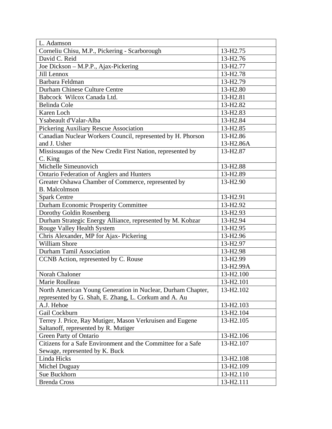| L. Adamson                                                   |                        |
|--------------------------------------------------------------|------------------------|
| Corneliu Chisu, M.P., Pickering - Scarborough                | 13-H <sub>2.75</sub>   |
| David C. Reid                                                | 13-H <sub>2.76</sub>   |
| Joe Dickson - M.P.P., Ajax-Pickering                         | 13-H <sub>2.77</sub>   |
| Jill Lennox                                                  | 13-H <sub>2.78</sub>   |
| Barbara Feldman                                              | 13-H2.79               |
| Durham Chinese Culture Centre                                | 13-H <sub>2.80</sub>   |
| Babcock Wilcox Canada Ltd.                                   | 13-H <sub>2.81</sub>   |
| <b>Belinda Cole</b>                                          | 13-H <sub>2.82</sub>   |
| Karen Loch                                                   | 13-H <sub>2.83</sub>   |
| Ysabeault d'Valar-Alba                                       | 13-H <sub>2.84</sub>   |
| Pickering Auxiliary Rescue Association                       | 13-H <sub>2.85</sub>   |
| Canadian Nuclear Workers Council, represented by H. Phorson  | 13-H <sub>2.86</sub>   |
| and J. Usher                                                 | 13-H <sub>2.86</sub> A |
| Mississaugas of the New Credit First Nation, represented by  | 13-H <sub>2.87</sub>   |
| C. King                                                      |                        |
| Michelle Simeunovich                                         | 13-H <sub>2.88</sub>   |
| <b>Ontario Federation of Anglers and Hunters</b>             | 13-H2.89               |
| Greater Oshawa Chamber of Commerce, represented by           | 13-H <sub>2.90</sub>   |
| <b>B.</b> Malcolmson                                         |                        |
| <b>Spark Centre</b>                                          | 13-H <sub>2.91</sub>   |
| <b>Durham Economic Prosperity Committee</b>                  | 13-H <sub>2.92</sub>   |
| Dorothy Goldin Rosenberg                                     | 13-H <sub>2.93</sub>   |
| Durham Strategic Energy Alliance, represented by M. Kobzar   | 13-H <sub>2.94</sub>   |
| Rouge Valley Health System                                   | 13-H <sub>2.95</sub>   |
| Chris Alexander, MP for Ajax- Pickering                      | 13-H <sub>2.96</sub>   |
| <b>William Shore</b>                                         | 13-H <sub>2.97</sub>   |
| <b>Durham Tamil Association</b>                              | 13-H <sub>2.98</sub>   |
| CCNB Action, represented by C. Rouse                         | 13-H <sub>2.99</sub>   |
|                                                              | 13-H2.99A              |
| Norah Chaloner                                               | 13-H2.100              |
| Marie Roulleau                                               | 13-H2.101              |
| North American Young Generation in Nuclear, Durham Chapter,  | 13-H <sub>2.102</sub>  |
| represented by G. Shah, E. Zhang, L. Corkum and A. Au        |                        |
| A.J. Hehoe                                                   | 13-H2.103              |
| Gail Cockburn                                                | 13-H <sub>2.104</sub>  |
| Terrey J. Price, Ray Mutiger, Mason Verkruisen and Eugene    | 13-H <sub>2</sub> .105 |
| Saltanoff, represented by R. Mutiger                         |                        |
| Green Party of Ontario                                       | 13-H <sub>2.106</sub>  |
| Citizens for a Safe Environment and the Committee for a Safe | 13-H2.107              |
| Sewage, represented by K. Buck                               |                        |
| Linda Hicks                                                  | 13-H <sub>2.108</sub>  |
| Michel Duguay                                                | 13-H2.109              |
| Sue Buckhorn                                                 | 13-H2.110              |
| <b>Brenda Cross</b>                                          | 13-H2.111              |